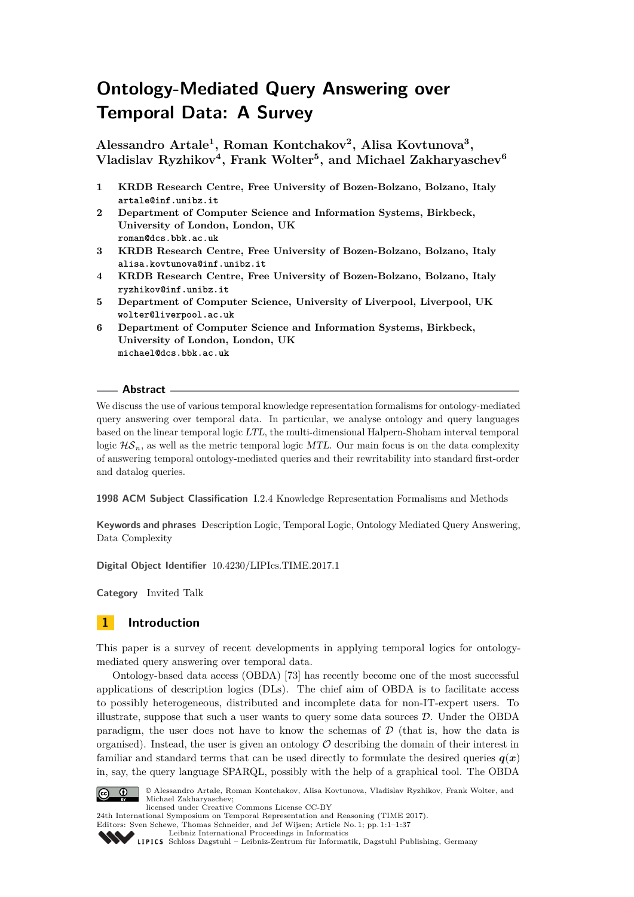# **Ontology-Mediated Query Answering over Temporal Data: A Survey**

**Alessandro Artale<sup>1</sup> , Roman Kontchakov<sup>2</sup> , Alisa Kovtunova<sup>3</sup> , Vladislav Ryzhikov<sup>4</sup> , Frank Wolter<sup>5</sup> , and Michael Zakharyaschev<sup>6</sup>**

- **1 KRDB Research Centre, Free University of Bozen-Bolzano, Bolzano, Italy artale@inf.unibz.it**
- **2 Department of Computer Science and Information Systems, Birkbeck, University of London, London, UK roman@dcs.bbk.ac.uk**
- **3 KRDB Research Centre, Free University of Bozen-Bolzano, Bolzano, Italy alisa.kovtunova@inf.unibz.it**
- **4 KRDB Research Centre, Free University of Bozen-Bolzano, Bolzano, Italy ryzhikov@inf.unibz.it**
- **5 Department of Computer Science, University of Liverpool, Liverpool, UK wolter@liverpool.ac.uk**
- **6 Department of Computer Science and Information Systems, Birkbeck, University of London, London, UK michael@dcs.bbk.ac.uk**

### **Abstract**

We discuss the use of various temporal knowledge representation formalisms for ontology-mediated query answering over temporal data. In particular, we analyse ontology and query languages based on the linear temporal logic LTL, the multi-dimensional Halpern-Shoham interval temporal logic  $\mathcal{H}S_n$ , as well as the metric temporal logic MTL. Our main focus is on the data complexity of answering temporal ontology-mediated queries and their rewritability into standard first-order and datalog queries.

**1998 ACM Subject Classification** I.2.4 Knowledge Representation Formalisms and Methods

**Keywords and phrases** Description Logic, Temporal Logic, Ontology Mediated Query Answering, Data Complexity

**Digital Object Identifier** [10.4230/LIPIcs.TIME.2017.1](http://dx.doi.org/10.4230/LIPIcs.TIME.2017.1)

**Category** Invited Talk

### **1 Introduction**

This paper is a survey of recent developments in applying temporal logics for ontologymediated query answering over temporal data.

Ontology-based data access (OBDA) [\[73\]](#page-36-0) has recently become one of the most successful applications of description logics (DLs). The chief aim of OBDA is to facilitate access to possibly heterogeneous, distributed and incomplete data for non-IT-expert users. To illustrate, suppose that such a user wants to query some data sources  $D$ . Under the OBDA paradigm, the user does not have to know the schemas of  $\mathcal D$  (that is, how the data is organised). Instead, the user is given an ontology  $\mathcal O$  describing the domain of their interest in familiar and standard terms that can be used directly to formulate the desired queries  $q(x)$ in, say, the query language SPARQL, possibly with the help of a graphical tool. The OBDA



© Alessandro Artale, Roman Kontchakov, Alisa Kovtunova, Vladislav Ryzhikov, Frank Wolter, and Michael Zakharyaschev; licensed under Creative Commons License CC-BY

Editors: Sven Schewe, Thomas Schneider, and Jef Wijsen; Article No. 1; pp. 1:1–1[:37](#page-36-1)



[Schloss Dagstuhl – Leibniz-Zentrum für Informatik, Dagstuhl Publishing, Germany](http://www.dagstuhl.de)

<sup>24</sup>th International Symposium on Temporal Representation and Reasoning (TIME 2017).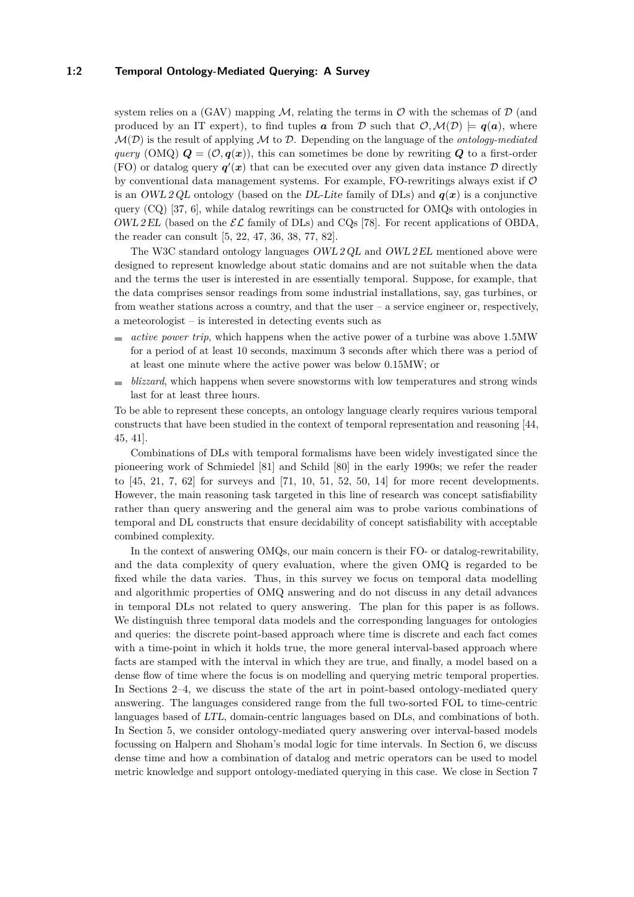### **1:2 Temporal Ontology-Mediated Querying: A Survey**

system relies on a (GAV) mapping M, relating the terms in  $\mathcal O$  with the schemas of  $\mathcal D$  (and produced by an IT expert), to find tuples *a* from D such that  $\mathcal{O}, \mathcal{M}(\mathcal{D}) \models q(a)$ , where  $\mathcal{M}(\mathcal{D})$  is the result of applying  $\mathcal M$  to  $\mathcal D$ . Depending on the language of the *ontology-mediated query* (OMQ)  $\mathbf{Q} = (\mathcal{O}, \mathbf{q}(\mathbf{x}))$ , this can sometimes be done by rewriting  $\mathbf{Q}$  to a first-order (FO) or datalog query  $q'(x)$  that can be executed over any given data instance  $\mathcal D$  directly by conventional data management systems. For example, FO-rewritings always exist if O is an OWL 2 QL ontology (based on the DL-Lite family of DLs) and  $q(x)$  is a conjunctive query  $(CQ)$  [\[37,](#page-33-0) [6\]](#page-31-0), while datalog rewritings can be constructed for OMQs with ontologies in OWL 2 EL (based on the  $\mathcal{EL}$  family of DLs) and CQs [\[78\]](#page-36-2). For recent applications of OBDA, the reader can consult [\[5,](#page-31-1) [22,](#page-32-0) [47,](#page-34-0) [36,](#page-33-1) [38,](#page-33-2) [77,](#page-36-3) [82\]](#page-36-4).

The W3C standard ontology languages OWL 2 QL and OWL 2 EL mentioned above were designed to represent knowledge about static domains and are not suitable when the data and the terms the user is interested in are essentially temporal. Suppose, for example, that the data comprises sensor readings from some industrial installations, say, gas turbines, or from weather stations across a country, and that the user  $-$  a service engineer or, respectively, a meteorologist – is interested in detecting events such as

- *active power trip*, which happens when the active power of a turbine was above 1.5MW  $\sim$ for a period of at least 10 seconds, maximum 3 seconds after which there was a period of at least one minute where the active power was below 0.15MW; or
- *blizzard*, which happens when severe snowstorms with low temperatures and strong winds last for at least three hours.

To be able to represent these concepts, an ontology language clearly requires various temporal constructs that have been studied in the context of temporal representation and reasoning [\[44,](#page-34-1) [45,](#page-34-2) [41\]](#page-34-3).

Combinations of DLs with temporal formalisms have been widely investigated since the pioneering work of Schmiedel [\[81\]](#page-36-5) and Schild [\[80\]](#page-36-6) in the early 1990s; we refer the reader to  $[45, 21, 7, 62]$  $[45, 21, 7, 62]$  $[45, 21, 7, 62]$  $[45, 21, 7, 62]$  $[45, 21, 7, 62]$  $[45, 21, 7, 62]$  $[45, 21, 7, 62]$  for surveys and  $[71, 10, 51, 52, 50, 14]$  $[71, 10, 51, 52, 50, 14]$  $[71, 10, 51, 52, 50, 14]$  $[71, 10, 51, 52, 50, 14]$  $[71, 10, 51, 52, 50, 14]$  $[71, 10, 51, 52, 50, 14]$  $[71, 10, 51, 52, 50, 14]$  $[71, 10, 51, 52, 50, 14]$  $[71, 10, 51, 52, 50, 14]$  $[71, 10, 51, 52, 50, 14]$  $[71, 10, 51, 52, 50, 14]$  for more recent developments. However, the main reasoning task targeted in this line of research was concept satisfiability rather than query answering and the general aim was to probe various combinations of temporal and DL constructs that ensure decidability of concept satisfiability with acceptable combined complexity.

In the context of answering OMQs, our main concern is their FO- or datalog-rewritability, and the data complexity of query evaluation, where the given OMQ is regarded to be fixed while the data varies. Thus, in this survey we focus on temporal data modelling and algorithmic properties of OMQ answering and do not discuss in any detail advances in temporal DLs not related to query answering. The plan for this paper is as follows. We distinguish three temporal data models and the corresponding languages for ontologies and queries: the discrete point-based approach where time is discrete and each fact comes with a time-point in which it holds true, the more general interval-based approach where facts are stamped with the interval in which they are true, and finally, a model based on a dense flow of time where the focus is on modelling and querying metric temporal properties. In Sections [2–](#page-2-0)[4,](#page-14-0) we discuss the state of the art in point-based ontology-mediated query answering. The languages considered range from the full two-sorted FOL to time-centric languages based of LTL, domain-centric languages based on DLs, and combinations of both. In Section [5,](#page-18-0) we consider ontology-mediated query answering over interval-based models focussing on Halpern and Shoham's modal logic for time intervals. In Section [6,](#page-24-0) we discuss dense time and how a combination of datalog and metric operators can be used to model metric knowledge and support ontology-mediated querying in this case. We close in Section [7](#page-29-0)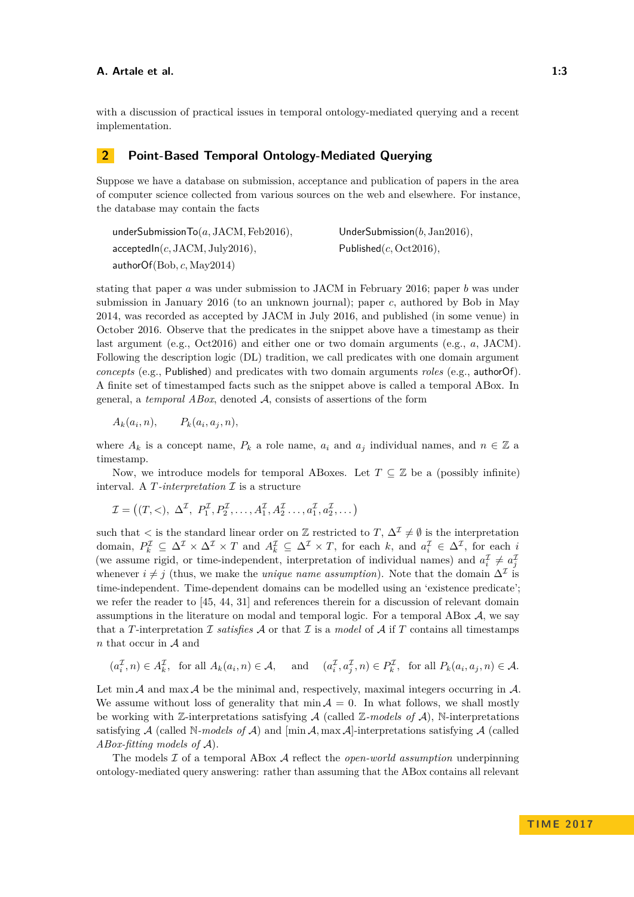with a discussion of practical issues in temporal ontology-mediated querying and a recent implementation.

### <span id="page-2-0"></span>**2 Point-Based Temporal Ontology-Mediated Querying**

Suppose we have a database on submission, acceptance and publication of papers in the area of computer science collected from various sources on the web and elsewhere. For instance, the database may contain the facts

underSubmissionTo(*a,* JACM*,* Feb2016)*,* UnderSubmission(*b,* Jan2016)*,* acceptedIn(*c,* JACM*,* July2016)*,* Published(*c,* Oct2016)*,* authorOf(Bob*, c,* May2014)

stating that paper *a* was under submission to JACM in February 2016; paper *b* was under submission in January 2016 (to an unknown journal); paper *c*, authored by Bob in May 2014, was recorded as accepted by JACM in July 2016, and published (in some venue) in October 2016. Observe that the predicates in the snippet above have a timestamp as their last argument (e.g., Oct2016) and either one or two domain arguments (e.g., *a*, JACM). Following the description logic (DL) tradition, we call predicates with one domain argument *concepts* (e.g., Published) and predicates with two domain arguments *roles* (e.g., authorOf). A finite set of timestamped facts such as the snippet above is called a temporal ABox. In general, a *temporal ABox*, denoted A, consists of assertions of the form

 $A_k(a_i, n)$ ,  $P_k(a_i, a_j, n),$ 

where  $A_k$  is a concept name,  $P_k$  a role name,  $a_i$  and  $a_j$  individual names, and  $n \in \mathbb{Z}$  a timestamp.

Now, we introduce models for temporal ABoxes. Let  $T \subseteq \mathbb{Z}$  be a (possibly infinite) interval. A  $T$ -interpretation  $\mathcal I$  is a structure

$$
\mathcal{I} = ((T, <), \Delta^{\mathcal{I}}, P_1^{\mathcal{I}}, P_2^{\mathcal{I}}, \dots, A_1^{\mathcal{I}}, A_2^{\mathcal{I}} \dots, a_1^{\mathcal{I}}, a_2^{\mathcal{I}}, \dots)
$$

such that  $\lt$  is the standard linear order on  $\mathbb Z$  restricted to  $T, \Delta^{\mathcal I} \neq \emptyset$  is the interpretation domain,  $P_k^{\mathcal{I}} \subseteq \Delta^{\mathcal{I}} \times \Delta^{\mathcal{I}} \times T$  and  $A_k^{\mathcal{I}} \subseteq \Delta^{\mathcal{I}} \times T$ , for each *k*, and  $a_i^{\mathcal{I}} \in \Delta^{\mathcal{I}}$ , for each *i* (we assume rigid, or time-independent, interpretation of individual names) and  $a_i^{\mathcal{I}} \neq a_j^{\mathcal{I}}$ whenever  $i \neq j$  (thus, we make the *unique name assumption*). Note that the domain  $\Delta^{\mathcal{I}}$  is time-independent. Time-dependent domains can be modelled using an 'existence predicate'; we refer the reader to [\[45,](#page-34-2) [44,](#page-34-1) [31\]](#page-33-3) and references therein for a discussion of relevant domain assumptions in the literature on modal and temporal logic. For a temporal ABox  $A$ , we say that a *T*-interpretation *I* satisfies A or that *I* is a *model* of A if *T* contains all timestamps *n* that occur in A and

 $(a_i^{\mathcal{I}}, n) \in A_k^{\mathcal{I}}$ , for all  $A_k(a_i, n) \in \mathcal{A}$ , and  $(a_i^{\mathcal{I}}, a_j^{\mathcal{I}}, n) \in P_k^{\mathcal{I}}$ , for all  $P_k(a_i, a_j, n) \in \mathcal{A}$ .

Let min  $\mathcal A$  and max  $\mathcal A$  be the minimal and, respectively, maximal integers occurring in  $\mathcal A$ . We assume without loss of generality that  $\min \mathcal{A} = 0$ . In what follows, we shall mostly be working with  $\mathbb{Z}$ -interpretations satisfying  $\mathcal{A}$  (called  $\mathbb{Z}\text{-models of }\mathcal{A}$ ), N-interpretations satisfying  $A$  (called N-models of  $A$ ) and  $[\min A, \max A]$ -interpretations satisfying  $A$  (called *ABox-fitting models of* A).

The models I of a temporal ABox A reflect the *open-world assumption* underpinning ontology-mediated query answering: rather than assuming that the ABox contains all relevant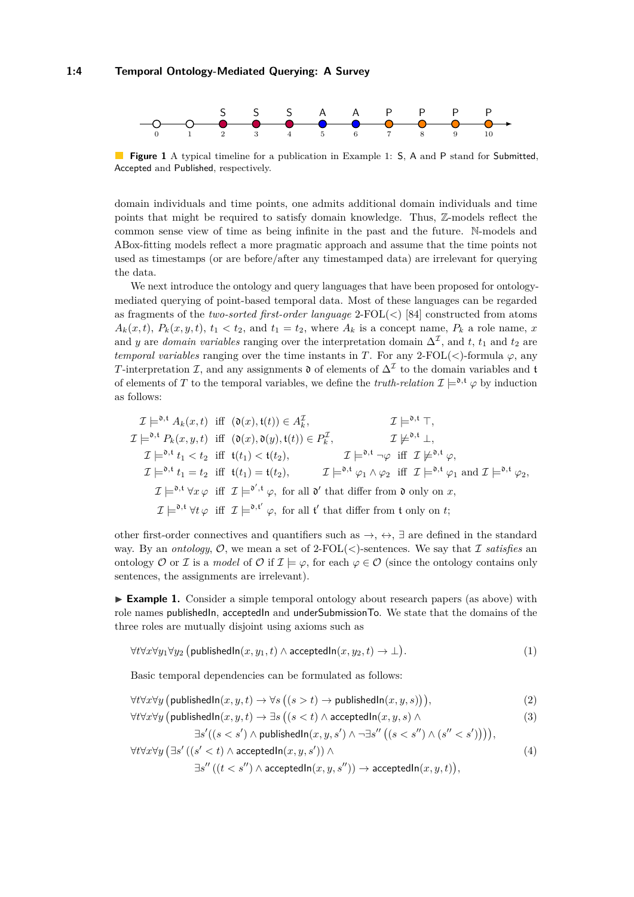#### **1:4 Temporal Ontology-Mediated Querying: A Survey**

<span id="page-3-3"></span>

**Figure 1** A typical timeline for a publication in Example [1:](#page-3-0) **S**, A and P stand for Submitted, Accepted and Published, respectively.

domain individuals and time points, one admits additional domain individuals and time points that might be required to satisfy domain knowledge. Thus, Z-models reflect the common sense view of time as being infinite in the past and the future. N-models and ABox-fitting models reflect a more pragmatic approach and assume that the time points not used as timestamps (or are before/after any timestamped data) are irrelevant for querying the data.

We next introduce the ontology and query languages that have been proposed for ontologymediated querying of point-based temporal data. Most of these languages can be regarded as fragments of the *two-sorted first-order language* 2-FOL(*<*) [\[84\]](#page-36-7) constructed from atoms  $A_k(x,t)$ ,  $P_k(x,y,t)$ ,  $t_1 < t_2$ , and  $t_1 = t_2$ , where  $A_k$  is a concept name,  $P_k$  a role name, *x* and *y* are *domain variables* ranging over the interpretation domain  $\Delta^{\mathcal{I}}$ , and *t*, *t*<sub>1</sub> and *t*<sub>2</sub> are *temporal variables* ranging over the time instants in *T*. For any 2-FOL( $\lt$ )-formula  $\varphi$ , any *T*-interpretation *I*, and any assignments  $\mathfrak{d}$  of elements of  $\Delta^{\mathcal{I}}$  to the domain variables and t of elements of *T* to the temporal variables, we define the *truth-relation*  $\mathcal{I} \models^{0,\mathfrak{t}} \varphi$  by induction as follows:

$$
\mathcal{I} \models^{0,\mathfrak{t}} A_{k}(x,t) \text{ iff } (\mathfrak{d}(x), \mathfrak{t}(t)) \in A_{k}^{\mathcal{I}}, \qquad \qquad \mathcal{I} \models^{0,\mathfrak{t}} \top,
$$
\n
$$
\mathcal{I} \models^{0,\mathfrak{t}} P_{k}(x,y,t) \text{ iff } (\mathfrak{d}(x), \mathfrak{d}(y), \mathfrak{t}(t)) \in P_{k}^{\mathcal{I}}, \qquad \qquad \mathcal{I} \not\models^{0,\mathfrak{t}} \bot,
$$
\n
$$
\mathcal{I} \models^{0,\mathfrak{t}} t_{1} < t_{2} \text{ iff } \mathfrak{t}(t_{1}) < \mathfrak{t}(t_{2}), \qquad \qquad \mathcal{I} \models^{0,\mathfrak{t}} \neg \varphi \text{ iff } \mathcal{I} \not\models^{0,\mathfrak{t}} \varphi,
$$
\n
$$
\mathcal{I} \models^{0,\mathfrak{t}} t_{1} = t_{2} \text{ iff } \mathfrak{t}(t_{1}) = \mathfrak{t}(t_{2}), \qquad \qquad \mathcal{I} \models^{0,\mathfrak{t}} \varphi_{1} \land \varphi_{2} \text{ iff } \mathcal{I} \models^{0,\mathfrak{t}} \varphi_{1} \text{ and } \mathcal{I} \models^{0,\mathfrak{t}} \varphi_{2},
$$
\n
$$
\mathcal{I} \models^{0,\mathfrak{t}} \forall x \varphi \text{ iff } \mathcal{I} \models^{0',\mathfrak{t}} \varphi, \text{ for all } \mathfrak{d}' \text{ that differ from } \mathfrak{d} \text{ only on } x,
$$
\n
$$
\mathcal{I} \models^{0,\mathfrak{t}} \forall t \varphi \text{ iff } \mathcal{I} \models^{0,\mathfrak{t}'} \varphi, \text{ for all } \mathfrak{t}' \text{ that differ from } \mathfrak{t} \text{ only on } t;
$$

other first-order connectives and quantifiers such as  $\rightarrow$ ,  $\leftrightarrow$ ,  $\exists$  are defined in the standard way. By an *ontology*,  $\mathcal{O}$ , we mean a set of 2-FOL( $\lt$ )-sentences. We say that I *satisfies* an ontology O or I is a *model* of O if  $\mathcal{I} \models \varphi$ , for each  $\varphi \in \mathcal{O}$  (since the ontology contains only sentences, the assignments are irrelevant).

<span id="page-3-0"></span>► **Example 1.** Consider a simple temporal ontology about research papers (as above) with role names publishedIn, acceptedIn and underSubmissionTo. We state that the domains of the three roles are mutually disjoint using axioms such as

$$
\forall t \forall x \forall y_1 \forall y_2 \ (\text{publishedIn}(x, y_1, t) \land \text{acceptedIn}(x, y_2, t) \to \bot).
$$
 (1)

Basic temporal dependencies can be formulated as follows:

$$
\forall t \forall x \forall y \ (\text{publishedIn}(x, y, t) \rightarrow \forall s \ ((s > t) \rightarrow \text{publishedIn}(x, y, s))), \tag{2}
$$

$$
\forall t \forall x \forall y \left( \text{publishedIn}(x, y, t) \rightarrow \exists s \left( (s < t) \land \text{acceptedIn}(x, y, s) \land \right. \right) \tag{3}
$$

<span id="page-3-5"></span><span id="page-3-4"></span><span id="page-3-2"></span><span id="page-3-1"></span>
$$
\exists s'((s
$$

$$
\forall t \forall x \forall y \left(\exists s' \left( (s' < t) \land \text{acceptedIn}(x, y, s') \right) \land \right. \\
 \exists s'' \left( (t < s'') \land \text{acceptedIn}(x, y, s'') \right) \rightarrow \text{acceptedIn}(x, y, t) \right),\n \tag{4}
$$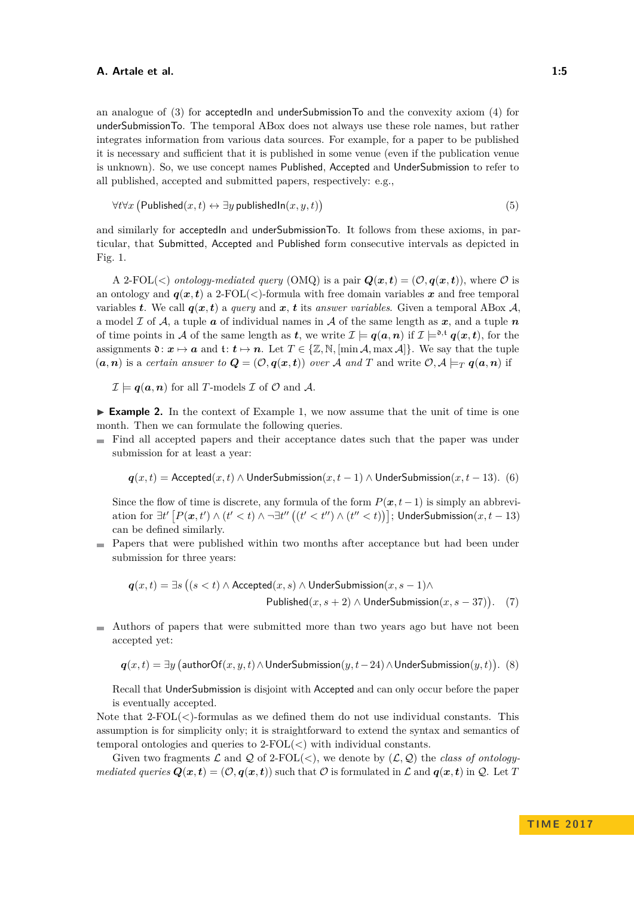an analogue of [\(3\)](#page-3-1) for acceptedIn and underSubmissionTo and the convexity axiom [\(4\)](#page-3-2) for underSubmissionTo. The temporal ABox does not always use these role names, but rather integrates information from various data sources. For example, for a paper to be published it is necessary and sufficient that it is published in some venue (even if the publication venue is unknown). So, we use concept names Published, Accepted and UnderSubmission to refer to all published, accepted and submitted papers, respectively: e.g.,

<span id="page-4-0"></span>
$$
\forall t \forall x \left( \mathsf{Published}(x, t) \leftrightarrow \exists y \mathsf{ publishedIn}(x, y, t) \right) \tag{5}
$$

and similarly for acceptedIn and underSubmissionTo. It follows from these axioms, in particular, that Submitted, Accepted and Published form consecutive intervals as depicted in Fig. [1.](#page-3-3)

A 2-FOL( $\lt$ ) *ontology-mediated query* (OMQ) is a pair  $Q(x,t) = (O, q(x,t))$ , where O is an ontology and  $q(x,t)$  a 2-FOL( $\langle \cdot \rangle$ -formula with free domain variables x and free temporal variables *t*. We call  $q(x,t)$  a *query* and  $x$ , *t* its *answer variables*. Given a temporal ABox  $A$ , a model  $\mathcal I$  of  $\mathcal A$ , a tuple  $\boldsymbol{a}$  of individual names in  $\mathcal A$  of the same length as  $\boldsymbol{x}$ , and a tuple  $\boldsymbol{n}$ of time points in A of the same length as *t*, we write  $\mathcal{I} \models q(a, n)$  if  $\mathcal{I} \models^{\mathfrak{d}, \mathfrak{t}} q(x, t)$ , for the assignments  $\mathfrak{d}: \mathbf{x} \mapsto \mathbf{a}$  and  $\mathfrak{t}: \mathbf{t} \mapsto \mathbf{n}$ . Let  $T \in \{ \mathbb{Z}, \mathbb{N}, \left[ \min \mathcal{A}, \max \mathcal{A} \right] \}$ . We say that the tuple  $(a, n)$  is a *certain answer to*  $Q = (\mathcal{O}, q(x, t))$  *over* A *and* T and write  $\mathcal{O}, A \models_T q(a, n)$  if

$$
\mathcal{I} \models q(a, n)
$$
 for all *T*-models  $\mathcal{I}$  of  $\mathcal{O}$  and  $\mathcal{A}$ .

<span id="page-4-2"></span>► **Example 2.** In the context of Example [1,](#page-3-0) we now assume that the unit of time is one month. Then we can formulate the following queries.

Find all accepted papers and their acceptance dates such that the paper was under submission for at least a year:

<span id="page-4-3"></span>
$$
q(x,t)
$$
 = Accepted $(x,t)$   $\land$  UnderSubmission $(x,t-1)$   $\land$  UnderSubmission $(x,t-13)$ . (6)

Since the flow of time is discrete, any formula of the form  $P(\mathbf{x}, t-1)$  is simply an abbrevi- $\alpha$  ation for ∃*t'*  $[P(x,t') \wedge (t' < t) \wedge \neg \exists t''((t' < t'') \wedge (t'' < t))]$ ; UnderSubmission $(x,t-13)$ can be defined similarly.

Papers that were published within two months after acceptance but had been under submission for three years:

<span id="page-4-4"></span>
$$
\mathbf{q}(x,t) = \exists s \left( (s < t) \land \text{Accepted}(x,s) \land \text{UnderSubmission}(x,s-1) \land \right.
$$
  
Published(x, s + 2)  $\land$  UnderSubmission(x, s - 37)). (7)

 $\blacksquare$  Authors of papers that were submitted more than two years ago but have not been accepted yet:

<span id="page-4-1"></span>*q*(*x, t*) = ∃*y* (authorOf(*x, y, t*)∧UnderSubmission(*y, t* − 24)∧UnderSubmission(*y, t*)). (8)

Recall that UnderSubmission is disjoint with Accepted and can only occur before the paper is eventually accepted.

Note that 2-FOL(*<*)-formulas as we defined them do not use individual constants. This assumption is for simplicity only; it is straightforward to extend the syntax and semantics of temporal ontologies and queries to 2-FOL(*<*) with individual constants.

Given two fragments  $\mathcal L$  and  $\mathcal Q$  of 2-FOL(<), we denote by  $(\mathcal L, \mathcal Q)$  the *class of ontologymediated queries*  $Q(x,t) = (\mathcal{O}, q(x,t))$  such that  $\mathcal{O}$  is formulated in  $\mathcal{L}$  and  $q(x,t)$  in  $\mathcal{Q}$ . Let *T*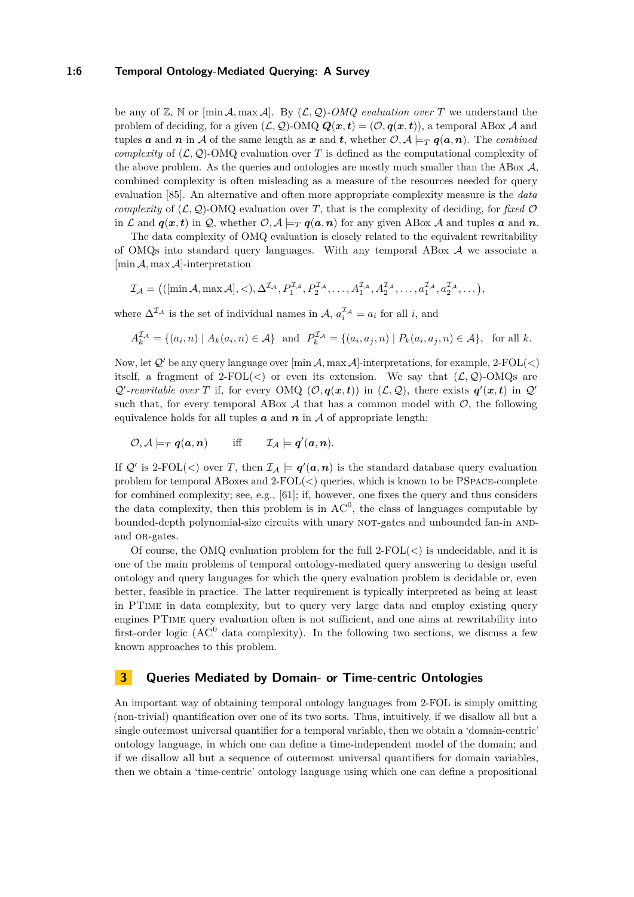### **1:6 Temporal Ontology-Mediated Querying: A Survey**

be any of  $\mathbb{Z}$ ,  $\mathbb{N}$  or  $[\min \mathcal{A}, \max \mathcal{A}]$ . By  $(\mathcal{L}, \mathcal{Q})$ *-OMQ evaluation over T* we understand the problem of deciding, for a given  $(L, Q)$ -OMQ  $Q(x, t) = (O, q(x, t))$ , a temporal ABox A and tuples *a* and *n* in A of the same length as *x* and *t*, whether  $\mathcal{O}, \mathcal{A} \models_T q(a,n)$ . The *combined complexity* of  $(L, Q)$ -OMQ evaluation over *T* is defined as the computational complexity of the above problem. As the queries and ontologies are mostly much smaller than the ABox  $A$ , combined complexity is often misleading as a measure of the resources needed for query evaluation [\[85\]](#page-36-8). An alternative and often more appropriate complexity measure is the *data complexity* of  $(L, Q)$ -OMQ evaluation over *T*, that is the complexity of deciding, for *fixed*  $\mathcal{O}$ in L and  $q(x,t)$  in Q, whether  $\mathcal{O}, \mathcal{A} \models_T q(a,n)$  for any given ABox A and tuples a and n.

The data complexity of OMQ evaluation is closely related to the equivalent rewritability of OMQs into standard query languages. With any temporal ABox  $A$  we associate a [min A*,* max A]-interpretation

$$
\mathcal{I}_{\mathcal{A}} = \big( (\left[\min \mathcal{A}, \max \mathcal{A}\right], <), \Delta^{\mathcal{I}_{\mathcal{A}}}, P_1^{\mathcal{I}_{\mathcal{A}}}, P_2^{\mathcal{I}_{\mathcal{A}}}, \dots, A_1^{\mathcal{I}_{\mathcal{A}}}, A_2^{\mathcal{I}_{\mathcal{A}}}, \dots, a_1^{\mathcal{I}_{\mathcal{A}}}, a_2^{\mathcal{I}_{\mathcal{A}}}, \dots \big),
$$

where  $\Delta^{\mathcal{I}_{\mathcal{A}}}$  is the set of individual names in  $\mathcal{A}, a_i^{\mathcal{I}_{\mathcal{A}}} = a_i$  for all *i*, and

$$
A_k^{\mathcal{I}_{\mathcal{A}}} = \{ (a_i, n) \mid A_k(a_i, n) \in \mathcal{A} \} \text{ and } P_k^{\mathcal{I}_{\mathcal{A}}} = \{ (a_i, a_j, n) \mid P_k(a_i, a_j, n) \in \mathcal{A} \}, \text{ for all } k.
$$

Now, let  $Q'$  be any query language over  $[\min A, \max A]$ -interpretations, for example, 2-FOL(<) itself, a fragment of  $2\text{-FOL}(<)$  or even its extension. We say that  $(\mathcal{L}, \mathcal{Q})$ -OMQs are  $Q'$ -rewritable over *T* if, for every OMQ  $(\mathcal{O}, q(x,t))$  in  $(\mathcal{L}, \mathcal{Q})$ , there exists  $q'(x,t)$  in  $Q'$ such that, for every temporal ABox  $A$  that has a common model with  $O$ , the following equivalence holds for all tuples  $\boldsymbol{a}$  and  $\boldsymbol{n}$  in  $\mathcal A$  of appropriate length:

$$
\mathcal{O}, \mathcal{A} \models_T q(a,n) \quad \text{iff} \quad \mathcal{I}_{\mathcal{A}} \models q'(a,n).
$$

If  $\mathcal{Q}'$  is 2-FOL(<) over *T*, then  $\mathcal{I}_{\mathcal{A}} \models q'(\boldsymbol{a}, \boldsymbol{n})$  is the standard database query evaluation problem for temporal ABoxes and 2-FOL(*<*) queries, which is known to be PSpace-complete for combined complexity; see, e.g., [\[61\]](#page-35-2); if, however, one fixes the query and thus considers the data complexity, then this problem is in  $AC^0$ , the class of languages computable by bounded-depth polynomial-size circuits with unary NOT-gates and unbounded fan-in ANDand OR-gates.

Of course, the OMQ evaluation problem for the full 2-FOL(*<*) is undecidable, and it is one of the main problems of temporal ontology-mediated query answering to design useful ontology and query languages for which the query evaluation problem is decidable or, even better, feasible in practice. The latter requirement is typically interpreted as being at least in PTime in data complexity, but to query very large data and employ existing query engines PTime query evaluation often is not sufficient, and one aims at rewritability into first-order logic ( $AC^0$  data complexity). In the following two sections, we discuss a few known approaches to this problem.

### **3 Queries Mediated by Domain- or Time-centric Ontologies**

An important way of obtaining temporal ontology languages from 2-FOL is simply omitting (non-trivial) quantification over one of its two sorts. Thus, intuitively, if we disallow all but a single outermost universal quantifier for a temporal variable, then we obtain a 'domain-centric' ontology language, in which one can define a time-independent model of the domain; and if we disallow all but a sequence of outermost universal quantifiers for domain variables, then we obtain a 'time-centric' ontology language using which one can define a propositional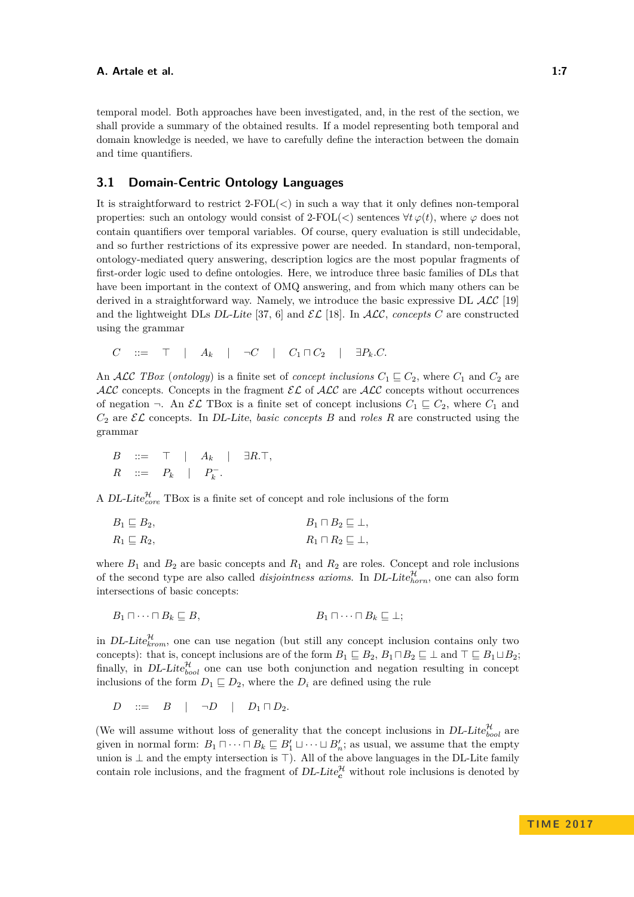temporal model. Both approaches have been investigated, and, in the rest of the section, we shall provide a summary of the obtained results. If a model representing both temporal and domain knowledge is needed, we have to carefully define the interaction between the domain and time quantifiers.

### **3.1 Domain-Centric Ontology Languages**

It is straightforward to restrict 2-FOL(*<*) in such a way that it only defines non-temporal properties: such an ontology would consist of 2-FOL( $\lt$ ) sentences  $\forall t \varphi(t)$ , where  $\varphi$  does not contain quantifiers over temporal variables. Of course, query evaluation is still undecidable, and so further restrictions of its expressive power are needed. In standard, non-temporal, ontology-mediated query answering, description logics are the most popular fragments of first-order logic used to define ontologies. Here, we introduce three basic families of DLs that have been important in the context of OMQ answering, and from which many others can be derived in a straightforward way. Namely, we introduce the basic expressive DL  $\mathcal{ALC}$  [\[19\]](#page-32-4) and the lightweight DLs DL-Lite [\[37,](#page-33-0) [6\]](#page-31-0) and  $\mathcal{EL}$  [\[18\]](#page-32-5). In  $\mathcal{ALC}$ , *concepts C* are constructed using the grammar

 $C$  ::=  $\top$  |  $A_k$  |  $\neg C$  |  $C_1 \sqcap C_2$  |  $\exists P_k.C.$ 

An ALC *TBox* (*ontology*) is a finite set of *concept inclusions*  $C_1 \subseteq C_2$ , where  $C_1$  and  $C_2$  are ALC concepts. Concepts in the fragment  $\mathcal{EL}$  of ALC are ALC concepts without occurrences of negation  $\neg$ . An  $\mathcal{EL}$  TBox is a finite set of concept inclusions  $C_1 \sqsubseteq C_2$ , where  $C_1$  and  $C_2$  are  $\mathcal{EL}$  concepts. In DL-Lite, *basic concepts B* and *roles R* are constructed using the grammar

$$
\begin{array}{rcl}\nB & ::= & \top & | & A_k & | & \exists R.\top, \\
R & ::= & P_k & | & P_k^-\n\end{array}
$$

A DL-Lite<sup> $\mathcal{H}_{core}$ </sup> TBox is a finite set of concept and role inclusions of the form

$$
B_1 \sqsubseteq B_2, \qquad B_1 \sqcap B_2 \sqsubseteq \bot, R_1 \sqsubseteq R_2, \qquad R_1 \sqcap R_2 \sqsubseteq \bot,
$$

where  $B_1$  and  $B_2$  are basic concepts and  $R_1$  and  $R_2$  are roles. Concept and role inclusions of the second type are also called *disjointness axioms*. In DL-Lite $_{horn}^{\mathcal{H}}$ , one can also form intersections of basic concepts:

$$
B_1 \sqcap \cdots \sqcap B_k \sqsubseteq B, \qquad \qquad B_1 \sqcap \cdots \sqcap B_k \sqsubseteq \bot;
$$

in DL-Lite $_{krom}^{\mathcal{H}}$ , one can use negation (but still any concept inclusion contains only two concepts): that is, concept inclusions are of the form  $B_1 \sqsubseteq B_2$ ,  $B_1 \sqcap B_2 \sqsubseteq \bot$  and  $\top \sqsubseteq B_1 \sqcup B_2$ ; finally, in DL-Lite<sup>H</sup><sub>bool</sub> one can use both conjunction and negation resulting in concept inclusions of the form  $D_1 \sqsubseteq D_2$ , where the  $D_i$  are defined using the rule

 $D$  ::=  $B$  |  $\neg D$  |  $D_1 \sqcap D_2$ .

(We will assume without loss of generality that the concept inclusions in  $DL\text{-}Lie_{bool}^{\mathcal{H}}$  are given in normal form:  $B_1 \sqcap \cdots \sqcap B_k \sqsubseteq B'_1 \sqcup \cdots \sqcup B'_n$ ; as usual, we assume that the empty union is  $\perp$  and the empty intersection is  $\top$ ). All of the above languages in the DL-Lite family contain role inclusions, and the fragment of  $DL\text{-}Lie_c^{\mathcal{H}}$  without role inclusions is denoted by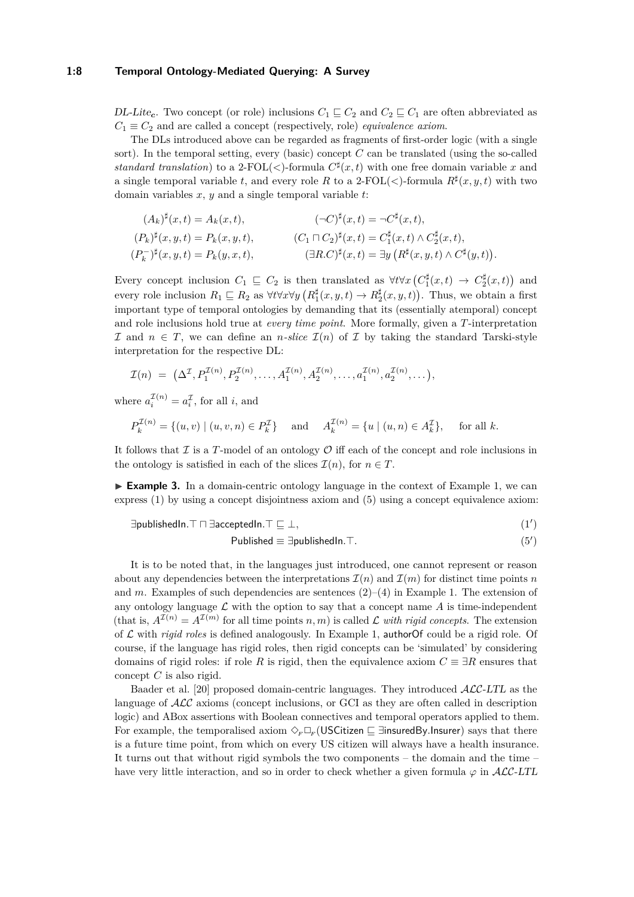### **1:8 Temporal Ontology-Mediated Querying: A Survey**

DL-Lite<sub>c</sub>. Two concept (or role) inclusions  $C_1 \sqsubseteq C_2$  and  $C_2 \sqsubseteq C_1$  are often abbreviated as  $C_1 \equiv C_2$  and are called a concept (respectively, role) *equivalence axiom*.

The DLs introduced above can be regarded as fragments of first-order logic (with a single sort). In the temporal setting, every (basic) concept *C* can be translated (using the so-called *standard translation*) to a 2-FOL(<)-formula  $C^{\sharp}(x,t)$  with one free domain variable x and a single temporal variable *t*, and every role *R* to a 2-FOL( $\lt$ )-formula  $R^{\sharp}(x, y, t)$  with two domain variables *x*, *y* and a single temporal variable *t*:

$$
(A_k)^{\sharp}(x,t) = A_k(x,t), \qquad (-C)^{\sharp}(x,t) = \neg C^{\sharp}(x,t),
$$
  
\n
$$
(P_k)^{\sharp}(x,y,t) = P_k(x,y,t), \qquad (C_1 \sqcap C_2)^{\sharp}(x,t) = C_1^{\sharp}(x,t) \land C_2^{\sharp}(x,t),
$$
  
\n
$$
(P_k^{-})^{\sharp}(x,y,t) = P_k(y,x,t), \qquad (\exists R.C)^{\sharp}(x,t) = \exists y (R^{\sharp}(x,y,t) \land C^{\sharp}(y,t)).
$$

Every concept inclusion  $C_1 \subseteq C_2$  is then translated as  $\forall t \forall x (C_1^{\sharp}(x,t) \rightarrow C_2^{\sharp}(x,t))$  and every role inclusion  $R_1 \subseteq R_2$  as  $\forall t \forall x \forall y (R_1^{\sharp}(x, y, t) \rightarrow R_2^{\sharp}(x, y, t))$ . Thus, we obtain a first important type of temporal ontologies by demanding that its (essentially atemporal) concept and role inclusions hold true at *every time point*. More formally, given a *T*-interpretation I and  $n \in T$ , we can define an *n*-slice  $\mathcal{I}(n)$  of I by taking the standard Tarski-style interpretation for the respective DL:

$$
\mathcal{I}(n) = (\Delta^{\mathcal{I}}, P_1^{\mathcal{I}(n)}, P_2^{\mathcal{I}(n)}, \dots, A_1^{\mathcal{I}(n)}, A_2^{\mathcal{I}(n)}, \dots, a_1^{\mathcal{I}(n)}, a_2^{\mathcal{I}(n)}, \dots),
$$

where  $a_i^{\mathcal{I}(n)} = a_i^{\mathcal{I}}$ , for all *i*, and

$$
P_k^{\mathcal{I}(n)} = \{(u, v) \mid (u, v, n) \in P_k^{\mathcal{I}}\} \quad \text{and} \quad A_k^{\mathcal{I}(n)} = \{u \mid (u, n) \in A_k^{\mathcal{I}}\}, \quad \text{for all } k.
$$

It follows that  $\mathcal I$  is a *T*-model of an ontology  $\mathcal O$  iff each of the concept and role inclusions in the ontology is satisfied in each of the slices  $\mathcal{I}(n)$ , for  $n \in T$ .

 $\triangleright$  **Example 3.** In a domain-centric ontology language in the context of Example [1,](#page-3-0) we can express [\(1\)](#page-3-4) by using a concept disjointness axiom and [\(5\)](#page-4-0) using a concept equivalence axiom:

 $\exists$ publishedIn.<sup>T</sup> □ ∃acceptedIn.<sup>T</sup> □ ⊥,  $(1')$ 

$$
Published \equiv \exists publishedIn.T.
$$
\n
$$
(5')
$$

It is to be noted that, in the languages just introduced, one cannot represent or reason about any dependencies between the interpretations  $\mathcal{I}(n)$  and  $\mathcal{I}(m)$  for distinct time points *n* and *m*. Examples of such dependencies are sentences  $(2)-(4)$  $(2)-(4)$  $(2)-(4)$  in Example [1.](#page-3-0) The extension of any ontology language  $\mathcal L$  with the option to say that a concept name  $A$  is time-independent (that is,  $A^{I(n)} = A^{I(m)}$  for all time points *n, m*) is called L *with rigid concepts*. The extension of L with *rigid roles* is defined analogously. In Example [1,](#page-3-0) authorOf could be a rigid role. Of course, if the language has rigid roles, then rigid concepts can be 'simulated' by considering domains of rigid roles: if role *R* is rigid, then the equivalence axiom  $C \equiv \exists R$  ensures that concept *C* is also rigid.

Baader et al. [\[20\]](#page-32-6) proposed domain-centric languages. They introduced ALC-LTL as the language of  $\mathcal{ALC}$  axioms (concept inclusions, or GCI as they are often called in description logic) and ABox assertions with Boolean connectives and temporal operators applied to them. For example, the temporalised axiom  $\Diamond_F \Box_F$  (USCitizen  $\Box$  ∃insuredBy.Insurer) says that there is a future time point, from which on every US citizen will always have a health insurance. It turns out that without rigid symbols the two components – the domain and the time – have very little interaction, and so in order to check whether a given formula  $\varphi$  in  $\mathcal{ALC}\text{-}LTL$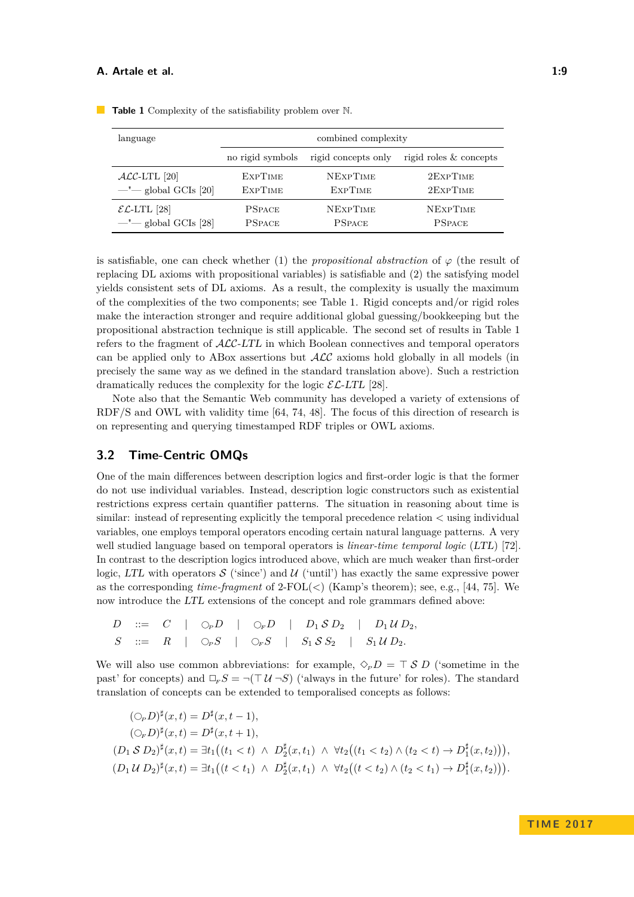| language                        | combined complexity |                     |                        |  |
|---------------------------------|---------------------|---------------------|------------------------|--|
|                                 | no rigid symbols    | rigid concepts only | rigid roles & concepts |  |
| $\mathcal{ALC}\text{-LTL}$ [20] | <b>EXPTIME</b>      | <b>NEXPTIME</b>     | 2EXPTIME               |  |
| $-$ " $-$ global GCIs [20]      | <b>EXPTIME</b>      | <b>EXPTIME</b>      | 2EXPTIME               |  |
| $\mathcal{EL}$ -LTL [28]        | <b>PSPACE</b>       | <b>NEXPTIME</b>     | <b>NEXPTIME</b>        |  |
| $-$ " $-$ global GCIs [28]      | <b>PSPACE</b>       | <b>PSPACE</b>       | <b>PSPACE</b>          |  |

<span id="page-8-0"></span>**Table 1** Complexity of the satisfiability problem over N.

is satisfiable, one can check whether (1) the *propositional abstraction* of  $\varphi$  (the result of replacing DL axioms with propositional variables) is satisfiable and (2) the satisfying model yields consistent sets of DL axioms. As a result, the complexity is usually the maximum of the complexities of the two components; see Table [1.](#page-8-0) Rigid concepts and/or rigid roles make the interaction stronger and require additional global guessing/bookkeeping but the propositional abstraction technique is still applicable. The second set of results in Table [1](#page-8-0) refers to the fragment of ALC-LTL in which Boolean connectives and temporal operators can be applied only to ABox assertions but  $\mathcal{ALC}$  axioms hold globally in all models (in precisely the same way as we defined in the standard translation above). Such a restriction dramatically reduces the complexity for the logic  $\mathcal{EL}$ -LTL [\[28\]](#page-33-4).

Note also that the Semantic Web community has developed a variety of extensions of RDF/S and OWL with validity time [\[64,](#page-35-3) [74,](#page-36-9) [48\]](#page-34-7). The focus of this direction of research is on representing and querying timestamped RDF triples or OWL axioms.

### <span id="page-8-1"></span>**3.2 Time-Centric OMQs**

One of the main differences between description logics and first-order logic is that the former do not use individual variables. Instead, description logic constructors such as existential restrictions express certain quantifier patterns. The situation in reasoning about time is similar: instead of representing explicitly the temporal precedence relation *<* using individual variables, one employs temporal operators encoding certain natural language patterns. A very well studied language based on temporal operators is *linear-time temporal logic* (LTL) [\[72\]](#page-35-4). In contrast to the description logics introduced above, which are much weaker than first-order logic, LTL with operators  $\mathcal S$  ('since') and  $\mathcal U$  ('until') has exactly the same expressive power as the corresponding *time-fragment* of 2-FOL(*<*) (Kamp's theorem); see, e.g., [\[44,](#page-34-1) [75\]](#page-36-10). We now introduce the LTL extensions of the concept and role grammars defined above:

$$
\begin{array}{ccccccc}\nD & ::= & C & | & \bigcirc_{P} D & | & \bigcirc_{F} D & | & D_1 \mathcal{S} D_2 & | & D_1 \mathcal{U} D_2, \\
S & ::= & R & | & \bigcirc_{P} S & | & \bigcirc_{F} S & | & S_1 \mathcal{S} S_2 & | & S_1 \mathcal{U} D_2.\n\end{array}
$$

We will also use common abbreviations: for example,  $\Diamond_p D = \top S D$  ('sometime in the past' for concepts) and  $\Box_F S = \neg (\Box U \neg S)$  ('always in the future' for roles). The standard translation of concepts can be extended to temporalised concepts as follows:

$$
(\bigcirc_{F} D)^{\sharp}(x,t) = D^{\sharp}(x,t-1),
$$
  
\n
$$
(\bigcirc_{F} D)^{\sharp}(x,t) = D^{\sharp}(x,t+1),
$$
  
\n
$$
(D_{1} S D_{2})^{\sharp}(x,t) = \exists t_{1}((t_{1} < t) \land D^{\sharp}_{2}(x,t_{1}) \land \forall t_{2}((t_{1} < t_{2}) \land (t_{2} < t) \rightarrow D^{\sharp}_{1}(x,t_{2}))),
$$
  
\n
$$
(D_{1} U D_{2})^{\sharp}(x,t) = \exists t_{1}((t < t_{1}) \land D^{\sharp}_{2}(x,t_{1}) \land \forall t_{2}((t < t_{2}) \land (t_{2} < t_{1}) \rightarrow D^{\sharp}_{1}(x,t_{2}))).
$$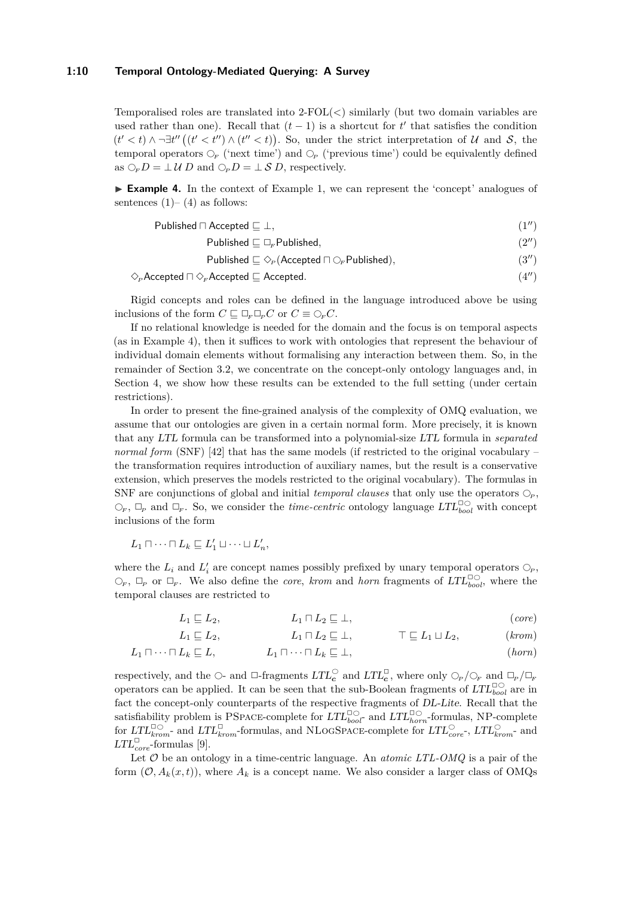### **1:10 Temporal Ontology-Mediated Querying: A Survey**

Temporalised roles are translated into 2-FOL(*<*) similarly (but two domain variables are used rather than one). Recall that  $(t-1)$  is a shortcut for  $t'$  that satisfies the condition  $(t' < t)$  ∧ ¬∃*t*" ( $(t' < t'')$  ∧  $(t'' < t)$ ). So, under the strict interpretation of U and S, the temporal operators  $\mathcal{O}_F$  ('next time') and  $\mathcal{O}_P$  ('previous time') could be equivalently defined as  $\bigcirc_F D = \perp U D$  and  $\bigcirc_P D = \perp S D$ , respectively.

<span id="page-9-0"></span>► **Example 4.** In the context of Example [1,](#page-3-0) we can represent the 'concept' analogues of sentences  $(1)$ – $(4)$  as follows:

$$
Published \sqcap Accepted \sqsubseteq \bot,
$$
\n
$$
(1'')
$$

Published  $\square \square_r$  Published, [\(2](#page-3-5)<sup>*0*</sup>)

Published  $\sqsubseteq \Diamond_P(\text{Accepted} \sqcap \bigcirc_F \text{Published}),$  [\(3](#page-3-1)")

$$
\Diamond_{\scriptscriptstyle P} \text{Accepted} \sqcap \Diamond_{\scriptscriptstyle F} \text{Accepted} \sqsubseteq \text{Accepted}.\tag{4'}
$$

Rigid concepts and roles can be defined in the language introduced above be using inclusions of the form  $C \sqsubseteq \Box_F \Box_P C$  or  $C \equiv \bigcirc_F C$ .

If no relational knowledge is needed for the domain and the focus is on temporal aspects (as in Example [4\)](#page-9-0), then it suffices to work with ontologies that represent the behaviour of individual domain elements without formalising any interaction between them. So, in the remainder of Section [3.2,](#page-8-1) we concentrate on the concept-only ontology languages and, in Section [4,](#page-14-0) we show how these results can be extended to the full setting (under certain restrictions).

In order to present the fine-grained analysis of the complexity of OMQ evaluation, we assume that our ontologies are given in a certain normal form. More precisely, it is known that any LTL formula can be transformed into a polynomial-size LTL formula in *separated normal form* (SNF) [\[42\]](#page-34-8) that has the same models (if restricted to the original vocabulary – the transformation requires introduction of auxiliary names, but the result is a conservative extension, which preserves the models restricted to the original vocabulary). The formulas in SNF are conjunctions of global and initial *temporal clauses* that only use the operators  $\bigcirc_P$ ,  $\bigcirc_F$ ,  $\Box_P$  and  $\Box_F$ . So, we consider the *time-centric* ontology language  $LTL_{bool}^{\Box\bigcirc}$  with concept inclusions of the form

$$
L_1 \sqcap \cdots \sqcap L_k \sqsubseteq L'_1 \sqcup \cdots \sqcup L'_n,
$$

where the  $L_i$  and  $L'_i$  are concept names possibly prefixed by unary temporal operators  $\bigcirc_P$ ,  $\bigcirc_F$ ,  $\Box_P$  or  $\Box_F$ . We also define the *core*, *krom* and *horn* fragments of  $LTL_{bool}^{\Box\bigcirc}$ , where the temporal clauses are restricted to

$$
L_1 \sqsubseteq L_2, \qquad L_1 \sqcap L_2 \sqsubseteq \bot, \qquad (core)
$$

$$
L_1 \sqsubseteq L_2, \qquad L_1 \sqcap L_2 \sqsubseteq \bot, \qquad \top \sqsubseteq L_1 \sqcup L_2, \qquad (krom)
$$

$$
L_1 \sqcap \cdots \sqcap L_k \sqsubseteq L, \qquad L_1 \sqcap \cdots \sqcap L_k \sqsubseteq \bot, \qquad (horn)
$$

respectively, and the  $\bigcirc$ - and  $\Box$ -fragments  $LTL_c^{\Box}$  and  $LTL_c^{\Box}$ , where only  $\bigcirc_{P}/\bigcirc_{F}$  and  $\Box_{P}/\Box_{F}$ operators can be applied. It can be seen that the sub-Boolean fragments of  $LTL_{bool}^{\square\bigcirc}$  are in fact the concept-only counterparts of the respective fragments of DL-Lite. Recall that the satisfiability problem is PSPACE-complete for  $LTL_{boot}^{\square\bigcirc}$  and  $LTL_{horn}^{\square\bigcirc}$ -formulas, NP-complete for  $LTL_{krom}^{\Box\bigcirc}$  and  $LTL_{krom}^{\Box}$ -formulas, and NLOGSPACE-complete for  $LTL_{core}^{\bigcirc}$ ,  $LTL_{krom}^{\bigcirc}$  and  $LTL_{core}^{\Box}$ -formulas [\[9\]](#page-32-7).

Let O be an ontology in a time-centric language. An *atomic LTL-OMQ* is a pair of the form  $(\mathcal{O}, A_k(x, t))$ , where  $A_k$  is a concept name. We also consider a larger class of OMQs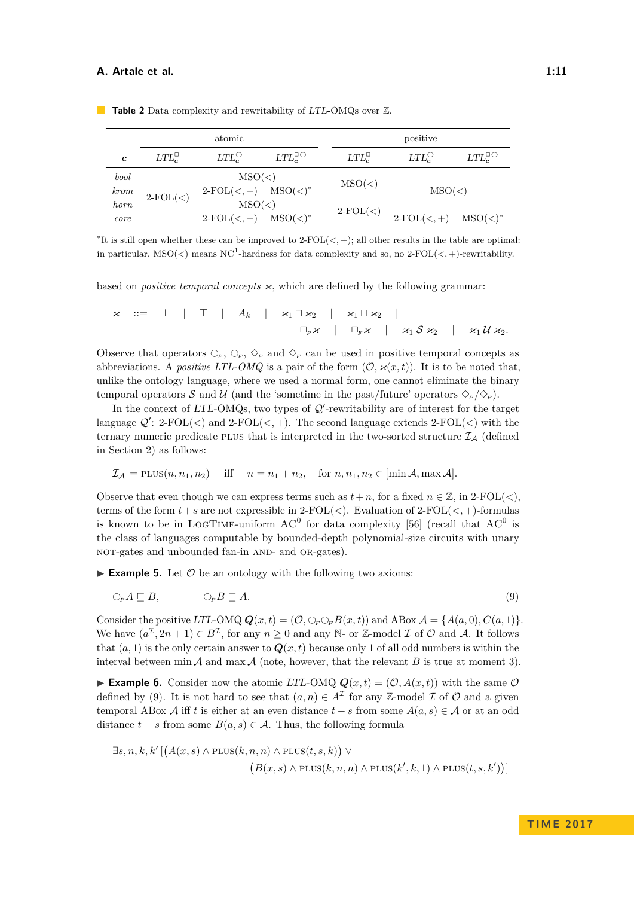|                  |                   | atomic                                       |                        |                | positive                |                        |
|------------------|-------------------|----------------------------------------------|------------------------|----------------|-------------------------|------------------------|
| $\boldsymbol{c}$ | $LTL_c^{\square}$ | $LTL_c^{\bigcirc}$                           | $LTL_c^{\Box\bigcirc}$ | $LTL_c^{\Box}$ | $LTL_c^{\bigcirc}$      | $LTL_c^{\Box\bigcirc}$ |
| bool<br>krom     | $2-FOL(<)$        | MSO(<)<br>$2-FOL(<,+)$ $MSO(<)$ <sup>*</sup> |                        | MSO(<)         | MSO(<)                  |                        |
| horn<br>core     |                   | MSO(<)<br>$2-FOL(<,+)$ $MSO(<)^*$            |                        | $2-FOL(<)$     | $2-FOL(<,+)$ $MSO(<)^*$ |                        |

<span id="page-10-1"></span>**Table 2** Data complexity and rewritability of LTL-OMQs over  $\mathbb{Z}$ .

∗ It is still open whether these can be improved to 2-FOL(*<,* +); all other results in the table are optimal: in particular,  $MSO(<)$  means  $NC<sup>1</sup>$ -hardness for data complexity and so, no 2-FOL $(<, +)$ -rewritability.

based on *positive temporal concepts*  $\varkappa$ , which are defined by the following grammar:

$$
\begin{array}{ccccccc}\n\varkappa & ::= & \perp & | & \top & | & A_k & | & \varkappa_1 \sqcap \varkappa_2 & | & \varkappa_1 \sqcup \varkappa_2 & | & \\
 & \square_{\scriptscriptstyle P} \varkappa & | & \square_{\scriptscriptstyle F} \varkappa & | & \varkappa_1 \mathcal{S} \varkappa_2 & | & \varkappa_1 \mathcal{U} \varkappa_2.\n\end{array}
$$

Observe that operators  $\bigcirc_P$ ,  $\bigcirc_F$ ,  $\bigcirc_F$  and  $\bigcirc_F$  can be used in positive temporal concepts as abbreviations. A *positive LTL-OMQ* is a pair of the form  $(\mathcal{O}, \varkappa(x, t))$ . It is to be noted that, unlike the ontology language, where we used a normal form, one cannot eliminate the binary temporal operators S and U (and the 'sometime in the past/future' operators  $\Diamond_{P}/\Diamond_{F}$ ).

In the context of  $LTL$ -OMQs, two types of  $Q'$ -rewritability are of interest for the target language  $\mathcal{Q}'$ : 2-FOL(<) and 2-FOL(<, +). The second language extends 2-FOL(<) with the ternary numeric predicate PLUS that is interpreted in the two-sorted structure  $\mathcal{I}_{A}$  (defined in Section [2\)](#page-2-0) as follows:

$$
\mathcal{I}_{\mathcal{A}} \models \text{PLUS}(n, n_1, n_2) \quad \text{iff} \quad n = n_1 + n_2, \quad \text{for } n, n_1, n_2 \in [\min \mathcal{A}, \max \mathcal{A}].
$$

Observe that even though we can express terms such as  $t + n$ , for a fixed  $n \in \mathbb{Z}$ , in 2-FOL(<), terms of the form  $t + s$  are not expressible in 2-FOL( $\lt$ ). Evaluation of 2-FOL( $\lt$ , +)-formulas is known to be in LOGTIME-uniform  $AC^0$  for data complexity [\[56\]](#page-35-5) (recall that  $AC^0$  is the class of languages computable by bounded-depth polynomial-size circuits with unary NOT-gates and unbounded fan-in AND- and OR-gates).

**Example 5.** Let  $\mathcal O$  be an ontology with the following two axioms:

<span id="page-10-0"></span>
$$
\bigcirc_{P} A \sqsubseteq B, \qquad \bigcirc_{P} B \sqsubseteq A. \tag{9}
$$

Consider the positive LTL-OMQ  $Q(x, t) = (O, \mathcal{O}_F \mathcal{O}_F B(x, t))$  and ABox  $\mathcal{A} = \{A(a, 0), C(a, 1)\}.$ We have  $(a^{\mathcal{I}}, 2n+1) \in B^{\mathcal{I}}$ , for any  $n \geq 0$  and any N- or Z-model  $\mathcal{I}$  of  $\mathcal{O}$  and  $\mathcal{A}$ . It follows that  $(a, 1)$  is the only certain answer to  $Q(x, t)$  because only 1 of all odd numbers is within the interval between min  $\mathcal A$  and max  $\mathcal A$  (note, however, that the relevant  $B$  is true at moment 3).

**Example 6.** Consider now the atomic LTL-OMQ  $Q(x,t) = (0, A(x,t))$  with the same O defined by [\(9\)](#page-10-0). It is not hard to see that  $(a, n) \in A^{\mathcal{I}}$  for any Z-model  $\mathcal{I}$  of  $\mathcal{O}$  and a given temporal ABox A iff t is either at an even distance  $t - s$  from some  $A(a, s) \in \mathcal{A}$  or at an odd distance  $t - s$  from some  $B(a, s) \in \mathcal{A}$ . Thus, the following formula

$$
\exists s, n, k, k' \left[ \left( A(x, s) \land \text{PLUS}(k, n, n) \land \text{PLUS}(t, s, k) \right) \lor \right.\n \left( B(x, s) \land \text{PLUS}(k, n, n) \land \text{PLUS}(k', k, 1) \land \text{PLUS}(t, s, k') \right) \right]
$$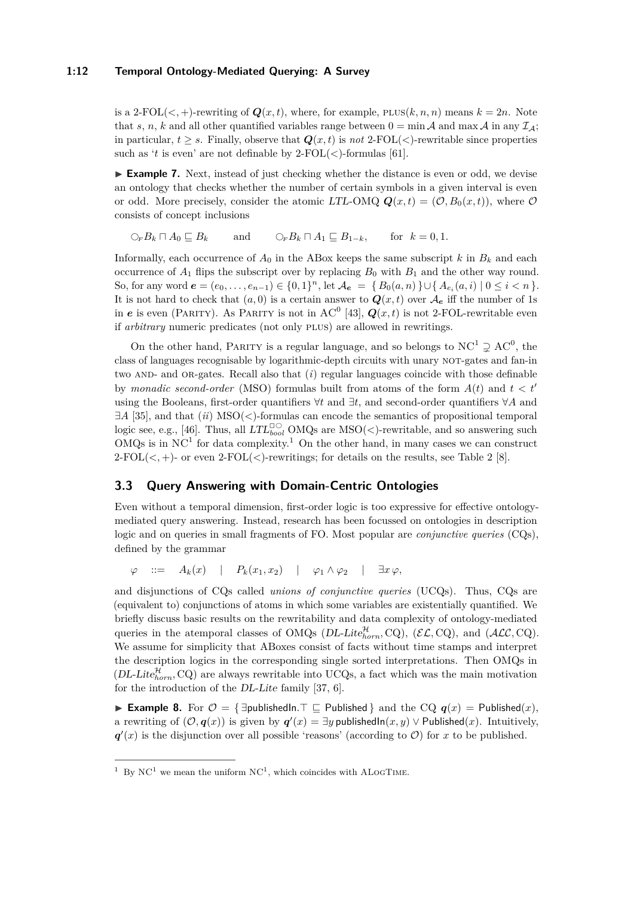### **1:12 Temporal Ontology-Mediated Querying: A Survey**

is a 2-FOL( $\lt$ , +)-rewriting of  $Q(x,t)$ , where, for example,  $PLUS(k, n, n)$  means  $k = 2n$ . Note that *s*, *n*, *k* and all other quantified variables range between  $0 = \min A$  and  $\max A$  in any  $\mathcal{I}_A$ ; in particular,  $t > s$ . Finally, observe that  $Q(x, t)$  is *not* 2-FOL( $\lt$ )-rewritable since properties such as '*t* is even' are not definable by  $2\text{-FOL}(<)$ -formulas [\[61\]](#page-35-2).

► **Example 7.** Next, instead of just checking whether the distance is even or odd, we devise an ontology that checks whether the number of certain symbols in a given interval is even or odd. More precisely, consider the atomic LTL-OMQ  $\mathbf{Q}(x,t) = (\mathcal{O}, B_0(x,t))$ , where  $\mathcal O$ consists of concept inclusions

 $\bigcirc$ <sub>*F*</sub>  $B_k \sqcap A_0 \sqsubseteq B_k$  and  $\bigcirc$ <sub>*F*</sub> $B_k \sqcap A_1 \sqsubseteq B_{1-k}$ , for  $k = 0, 1$ .

Informally, each occurrence of  $A_0$  in the ABox keeps the same subscript  $k$  in  $B_k$  and each occurrence of  $A_1$  flips the subscript over by replacing  $B_0$  with  $B_1$  and the other way round. So, for any word  $e = (e_0, \ldots, e_{n-1}) \in \{0, 1\}^n$ , let  $\mathcal{A}_e = \{B_0(a, n)\} \cup \{A_{e_i}(a, i) \mid 0 \le i < n\}$ . It is not hard to check that  $(a, 0)$  is a certain answer to  $Q(x, t)$  over  $\mathcal{A}_{e}$  iff the number of 1s in *e* is even (PARITY). As PARITY is not in AC<sup>0</sup> [\[43\]](#page-34-9),  $\mathbf{Q}(x,t)$  is not 2-FOL-rewritable even if *arbitrary* numeric predicates (not only PLUS) are allowed in rewritings.

On the other hand, PARITY is a regular language, and so belongs to  $NC^1 \supsetneq AC^0$ , the class of languages recognisable by logarithmic-depth circuits with unary NOT-gates and fan-in two AND- and OR-gates. Recall also that (*i*) regular languages coincide with those definable by *monadic second-order* (MSO) formulas built from atoms of the form  $A(t)$  and  $t < t'$ using the Booleans, first-order quantifiers ∀*t* and ∃*t*, and second-order quantifiers ∀*A* and ∃*A* [\[35\]](#page-33-5), and that (*ii*) MSO(*<*)-formulas can encode the semantics of propositional temporal logic see, e.g., [\[46\]](#page-34-10). Thus, all  $LTL_{bool}^{\square\bigcirc}$  OMQs are MSO( $\lt$ )-rewritable, and so answering such OMQs is in  $NC<sup>1</sup>$  $NC<sup>1</sup>$  $NC<sup>1</sup>$  for data complexity.<sup>1</sup> On the other hand, in many cases we can construct  $2-FOL(<, +)$ - or even  $2-FOL(<)$ -rewritings; for details on the results, see Table [2](#page-10-1) [\[8\]](#page-31-3).

### **3.3 Query Answering with Domain-Centric Ontologies**

Even without a temporal dimension, first-order logic is too expressive for effective ontologymediated query answering. Instead, research has been focussed on ontologies in description logic and on queries in small fragments of FO. Most popular are *conjunctive queries* (CQs), defined by the grammar

 $\varphi$  ::=  $A_k(x)$  |  $P_k(x_1, x_2)$  |  $\varphi_1 \wedge \varphi_2$  |  $\exists x \varphi$ ,

and disjunctions of CQs called *unions of conjunctive queries* (UCQs). Thus, CQs are (equivalent to) conjunctions of atoms in which some variables are existentially quantified. We briefly discuss basic results on the rewritability and data complexity of ontology-mediated queries in the atemporal classes of OMQs (DL-Lite $_{horn}^{H}$ , CQ), ( $\mathcal{EL}$ , CQ), and ( $\mathcal{ALC}$ , CQ). We assume for simplicity that ABoxes consist of facts without time stamps and interpret the description logics in the corresponding single sorted interpretations. Then OMQs in  $(DL\text{-}Life_{horn}^{\mathcal{H}},\text{CQ})$  are always rewritable into UCQs, a fact which was the main motivation for the introduction of the DL-Lite family [\[37,](#page-33-0) [6\]](#page-31-0).

**► Example 8.** For  $\mathcal{O} = \{\exists$ publishedIn.  $\top \sqsubset \mathsf{Published}\}$  and the CQ  $q(x) = \mathsf{Published}(x)$ , a rewriting of  $(0, q(x))$  is given by  $q'(x) = \exists y$  publishedIn $(x, y) \vee$  Published $(x)$ . Intuitively,  $q'(x)$  is the disjunction over all possible 'reasons' (according to  $\mathcal{O}$ ) for *x* to be published.

<span id="page-11-0"></span><sup>&</sup>lt;sup>1</sup> By NC<sup>1</sup> we mean the uniform NC<sup>1</sup>, which coincides with ALOGTIME.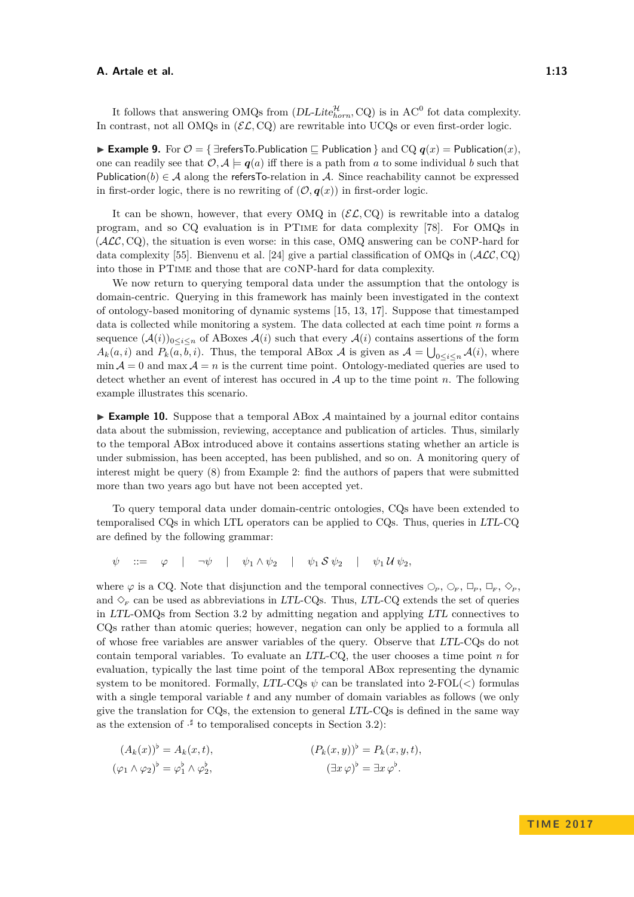It follows that answering OMQs from  $(DL\text{-}Life_{horn}^{\mathcal{H}}, CQ)$  is in AC<sup>0</sup> fot data complexity. In contrast, not all OMQs in  $(\mathcal{EL},\text{CO})$  are rewritable into UCQs or even first-order logic.

**► Example 9.** For  $\mathcal{O} = \{ \exists \text{refersTo}.\text{Publication} \sqsubset \text{Publication} \}$  and  $\text{CQ } q(x) = \text{Publication}(x)$ , one can readily see that  $\mathcal{O}, \mathcal{A} \models q(a)$  iff there is a path from a to some individual b such that Publication(*b*)  $\in \mathcal{A}$  along the refersTo-relation in A. Since reachability cannot be expressed in first-order logic, there is no rewriting of  $(0, q(x))$  in first-order logic.

It can be shown, however, that every OMQ in  $(\mathcal{EL}, \text{CQ})$  is rewritable into a datalog program, and so CQ evaluation is in PTime for data complexity [\[78\]](#page-36-2). For OMQs in  $(\mathcal{ALC},\text{CQ})$ , the situation is even worse: in this case, OMQ answering can be CONP-hard for data complexity [\[55\]](#page-34-11). Bienvenu et al. [\[24\]](#page-33-6) give a partial classification of OMQs in (ALC*,* CQ) into those in PTime and those that are coNP-hard for data complexity.

We now return to querying temporal data under the assumption that the ontology is domain-centric. Querying in this framework has mainly been investigated in the context of ontology-based monitoring of dynamic systems [\[15,](#page-32-8) [13,](#page-32-9) [17\]](#page-32-10). Suppose that timestamped data is collected while monitoring a system. The data collected at each time point *n* forms a sequence  $(A(i))_{0\leq i\leq n}$  of ABoxes  $A(i)$  such that every  $A(i)$  contains assertions of the form  $A_k(a, i)$  and  $P_k(a, b, i)$ . Thus, the temporal ABox A is given as  $A = \bigcup_{0 \leq i \leq n} A(i)$ , where  $\min A = 0$  and  $\max A = n$  is the current time point. Ontology-mediated queries are used to detect whether an event of interest has occured in A up to the time point *n*. The following example illustrates this scenario.

 $\triangleright$  **Example 10.** Suppose that a temporal ABox  $\mathcal A$  maintained by a journal editor contains data about the submission, reviewing, acceptance and publication of articles. Thus, similarly to the temporal ABox introduced above it contains assertions stating whether an article is under submission, has been accepted, has been published, and so on. A monitoring query of interest might be query [\(8\)](#page-4-1) from Example [2:](#page-4-2) find the authors of papers that were submitted more than two years ago but have not been accepted yet.

To query temporal data under domain-centric ontologies, CQs have been extended to temporalised CQs in which LTL operators can be applied to CQs. Thus, queries in LTL-CQ are defined by the following grammar:

 $\psi$  ::=  $\varphi$  |  $\neg \psi$  |  $\psi_1 \wedge \psi_2$  |  $\psi_1 S \psi_2$  |  $\psi_1 U \psi_2$ ,

where  $\varphi$  is a CQ. Note that disjunction and the temporal connectives  $\bigcirc_P$ ,  $\bigcirc_F$ ,  $\bigcirc_F$ ,  $\bigcirc_F$ ,  $\bigcirc_F$ , and  $\Diamond_F$  can be used as abbreviations in LTL-CQs. Thus, LTL-CQ extends the set of queries in LTL-OMQs from Section [3.2](#page-8-1) by admitting negation and applying LTL connectives to CQs rather than atomic queries; however, negation can only be applied to a formula all of whose free variables are answer variables of the query. Observe that LTL-CQs do not contain temporal variables. To evaluate an LTL-CQ, the user chooses a time point *n* for evaluation, typically the last time point of the temporal ABox representing the dynamic system to be monitored. Formally, LTL-CQs *ψ* can be translated into 2-FOL(*<*) formulas with a single temporal variable *t* and any number of domain variables as follows (we only give the translation for  $CQ_s$ , the extension to general  $LTL-CQ_s$  is defined in the same way as the extension of  $\cdot^{\sharp}$  to temporalised concepts in Section [3.2\)](#page-8-1):

 $(A_k(x))^{\flat} = A_k(x,t),$   $(P_k(x,y))^{\flat} = P_k(x,y,t),$  $(\varphi_1 \wedge \varphi_2)^{\flat} = \varphi_1^{\flat} \wedge \varphi_2^{\flat}$ *,*  $\left(\exists x \, \varphi\right)^{\flat} = \exists x \, \varphi^{\flat}.$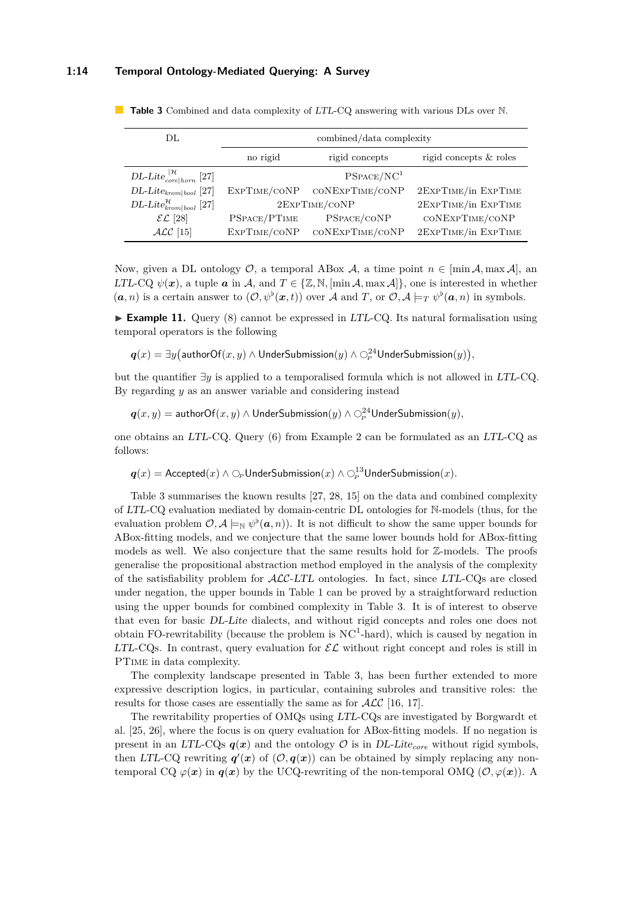### **1:14 Temporal Ontology-Mediated Querying: A Survey**

| DL.                                             | combined/data complexity |                        |                        |  |
|-------------------------------------------------|--------------------------|------------------------|------------------------|--|
|                                                 | no rigid                 | rigid concepts         | rigid concepts & roles |  |
| DL-Lite $_{core horn}^{ \mathcal{H}}$ [27]      |                          | PSPACE/NC <sup>1</sup> |                        |  |
| $DL\text{-}Like_{krom bool}$ [27]               | EXPTIME/CONP             | CONEXPTIME/CONP        | 2EXPTIME/in EXPTIME    |  |
| $DL\text{-}Lite_{kron bool}^{\mathcal{H}}$ [27] | 2EXPTIME/CONP            |                        | 2EXPTIME/in EXPTIME    |  |
| $\mathcal{EL}$ [28]                             | PSPACE/PTIME             | PSPACE/CONP            | CONEXPTIME/CONP        |  |
| $\text{ALC}$ [15]                               | EXPTIME/CONP             | CONEXPTIME/CONP        | 2EXPTIME/in EXPTIME    |  |

<span id="page-13-0"></span>**Table 3** Combined and data complexity of LTL-CQ answering with various DLs over N.

Now, given a DL ontology  $\mathcal{O}$ , a temporal ABox  $\mathcal{A}$ , a time point  $n \in [\min \mathcal{A}, \max \mathcal{A}]$ , and LTL-CQ  $\psi(\mathbf{x})$ , a tuple  $\mathbf{a}$  in  $\mathcal{A}$ , and  $T \in \{Z, \mathbb{N}, \{\min \mathcal{A}, \max \mathcal{A}\}\}\$ , one is interested in whether  $(a, n)$  is a certain answer to  $(\mathcal{O}, \psi^{\flat}(\boldsymbol{x}, t))$  over A and T, or  $\mathcal{O}, \mathcal{A} \models_T \psi^{\flat}(\boldsymbol{a}, n)$  in symbols.

<span id="page-13-1"></span> $\triangleright$  **Example 11.** Query [\(8\)](#page-4-1) cannot be expressed in LTL-CQ. Its natural formalisation using temporal operators is the following

 $\bm{q}(x) = \exists y \big(\textsf{authorOf}(x, y) \wedge \textsf{UnderSubmission}(y) \wedge \bigcirc^{24}_{\bm{\scriptscriptstyle{P}}} \textsf{UnderSubmission}(y)\big),$ 

but the quantifier ∃*y* is applied to a temporalised formula which is not allowed in LTL-CQ. By regarding *y* as an answer variable and considering instead

 $\bm{q}(x,y) = \mathsf{authorOf}(x,y) \land \mathsf{UnderSubmission}(y) \land \bigcirc^{24}_{\bm{\scriptstyle{P}}} \mathsf{UnderSubmission}(y),$ 

one obtains an LTL-CQ. Query [\(6\)](#page-4-3) from Example [2](#page-4-2) can be formulated as an LTL-CQ as follows:

 $\bm{q}(x) = \mathsf{Accepted}(x) \land \bigcirc_{\scriptscriptstyle P} \mathsf{UnderSubmission}(x) \land \bigcirc_{\scriptscriptstyle P}^{13} \mathsf{UnderSubmission}(x).$ 

Table [3](#page-13-0) summarises the known results [\[27,](#page-33-7) [28,](#page-33-4) [15\]](#page-32-8) on the data and combined complexity of LTL-CQ evaluation mediated by domain-centric DL ontologies for N-models (thus, for the evaluation problem  $\mathcal{O}, \mathcal{A} \models_{\mathbb{N}} \psi^{\flat}(\boldsymbol{a}, n)$ . It is not difficult to show the same upper bounds for ABox-fitting models, and we conjecture that the same lower bounds hold for ABox-fitting models as well. We also conjecture that the same results hold for Z-models. The proofs generalise the propositional abstraction method employed in the analysis of the complexity of the satisfiability problem for  $\text{ACC-LTL}$  ontologies. In fact, since LTL-CQs are closed under negation, the upper bounds in Table [1](#page-8-0) can be proved by a straightforward reduction using the upper bounds for combined complexity in Table [3.](#page-13-0) It is of interest to observe that even for basic DL-Lite dialects, and without rigid concepts and roles one does not obtain FO-rewritability (because the problem is  $NC<sup>1</sup>$ -hard), which is caused by negation in LTL-CQs. In contrast, query evaluation for  $\mathcal{EL}$  without right concept and roles is still in PTime in data complexity.

The complexity landscape presented in Table [3,](#page-13-0) has been further extended to more expressive description logics, in particular, containing subroles and transitive roles: the results for those cases are essentially the same as for  $\mathcal{ALC}$  [\[16,](#page-32-11) [17\]](#page-32-10).

The rewritability properties of OMQs using LTL-CQs are investigated by Borgwardt et al. [\[25,](#page-33-8) [26\]](#page-33-9), where the focus is on query evaluation for ABox-fitting models. If no negation is present in an LTL-CQs  $q(x)$  and the ontology  $\mathcal O$  is in DL-Lite<sub>core</sub> without rigid symbols, then LTL-CQ rewriting  $q'(x)$  of  $(0, q(x))$  can be obtained by simply replacing any nontemporal CQ  $\varphi(x)$  in  $q(x)$  by the UCQ-rewriting of the non-temporal OMQ  $(\mathcal{O}, \varphi(x))$ . A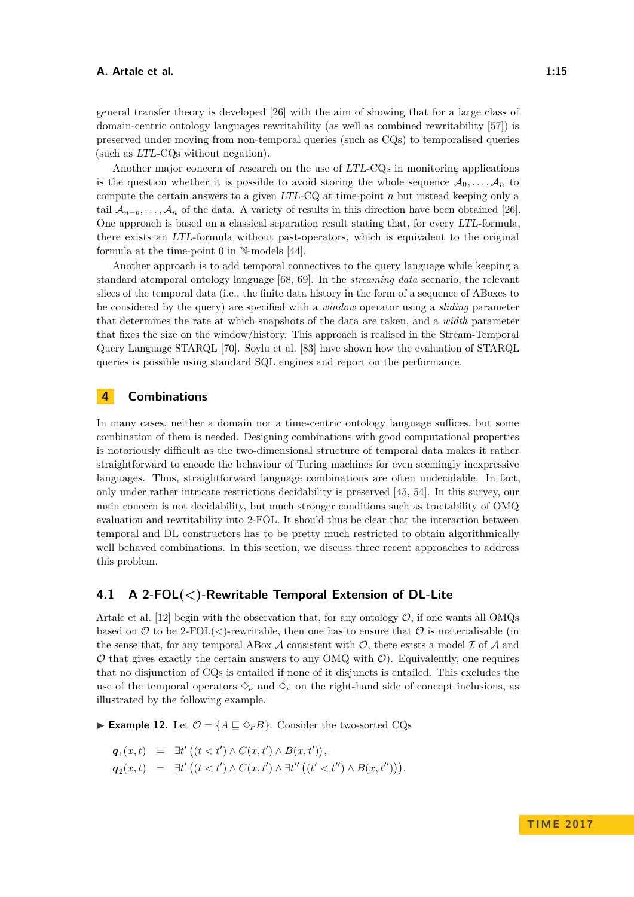general transfer theory is developed [\[26\]](#page-33-9) with the aim of showing that for a large class of domain-centric ontology languages rewritability (as well as combined rewritability [\[57\]](#page-35-6)) is preserved under moving from non-temporal queries (such as CQs) to temporalised queries (such as LTL-CQs without negation).

Another major concern of research on the use of LTL-CQs in monitoring applications is the question whether it is possible to avoid storing the whole sequence  $A_0, \ldots, A_n$  to compute the certain answers to a given LTL-CQ at time-point *n* but instead keeping only a tail  $\mathcal{A}_{n-b}$ , ...,  $\mathcal{A}_n$  of the data. A variety of results in this direction have been obtained [\[26\]](#page-33-9). One approach is based on a classical separation result stating that, for every LTL-formula, there exists an LTL-formula without past-operators, which is equivalent to the original formula at the time-point 0 in N-models [\[44\]](#page-34-1).

Another approach is to add temporal connectives to the query language while keeping a standard atemporal ontology language [\[68,](#page-35-7) [69\]](#page-35-8). In the *streaming data* scenario, the relevant slices of the temporal data (i.e., the finite data history in the form of a sequence of ABoxes to be considered by the query) are specified with a *window* operator using a *sliding* parameter that determines the rate at which snapshots of the data are taken, and a *width* parameter that fixes the size on the window/history. This approach is realised in the Stream-Temporal Query Language STARQL [\[70\]](#page-35-9). Soylu et al. [\[83\]](#page-36-11) have shown how the evaluation of STARQL queries is possible using standard SQL engines and report on the performance.

### <span id="page-14-0"></span>**4 Combinations**

In many cases, neither a domain nor a time-centric ontology language suffices, but some combination of them is needed. Designing combinations with good computational properties is notoriously difficult as the two-dimensional structure of temporal data makes it rather straightforward to encode the behaviour of Turing machines for even seemingly inexpressive languages. Thus, straightforward language combinations are often undecidable. In fact, only under rather intricate restrictions decidability is preserved [\[45,](#page-34-2) [54\]](#page-34-12). In this survey, our main concern is not decidability, but much stronger conditions such as tractability of OMQ evaluation and rewritability into 2-FOL. It should thus be clear that the interaction between temporal and DL constructors has to be pretty much restricted to obtain algorithmically well behaved combinations. In this section, we discuss three recent approaches to address this problem.

### <span id="page-14-1"></span>**4.1 A 2-FOL(***<***)-Rewritable Temporal Extension of DL-Lite**

Artale et al. [\[12\]](#page-32-12) begin with the observation that, for any ontology  $\mathcal{O}$ , if one wants all OMQs based on  $\mathcal O$  to be 2-FOL( $\lt$ )-rewritable, then one has to ensure that  $\mathcal O$  is materialisable (in the sense that, for any temporal ABox  $\mathcal A$  consistent with  $\mathcal O$ , there exists a model  $\mathcal I$  of  $\mathcal A$  and  $\mathcal O$  that gives exactly the certain answers to any OMQ with  $\mathcal O$ ). Equivalently, one requires that no disjunction of CQs is entailed if none of it disjuncts is entailed. This excludes the use of the temporal operators  $\Diamond_F$  and  $\Diamond_P$  on the right-hand side of concept inclusions, as illustrated by the following example.

► **Example 12.** Let  $\mathcal{O} = \{A \sqsubseteq \Diamond_F B\}$ . Consider the two-sorted CQs

$$
q_1(x,t) = \exists t' ((t < t') \land C(x,t') \land B(x,t')),
$$
  
\n
$$
q_2(x,t) = \exists t' ((t < t') \land C(x,t') \land \exists t'' ((t' < t'') \land B(x,t'))).
$$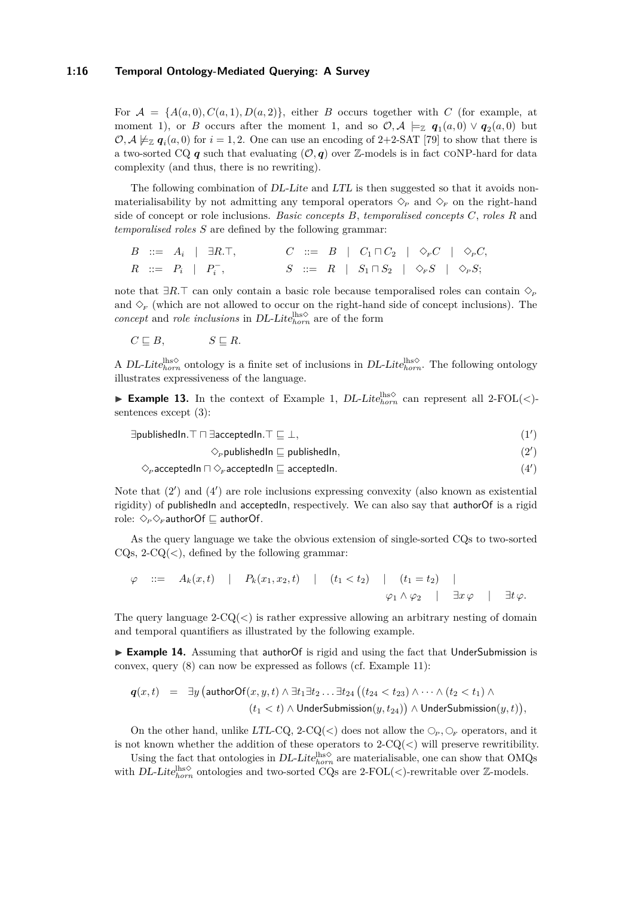### **1:16 Temporal Ontology-Mediated Querying: A Survey**

For  $A = \{A(a, 0), C(a, 1), D(a, 2)\}\$ , either *B* occurs together with *C* (for example, at moment 1), or *B* occurs after the moment 1, and so  $\mathcal{O}, \mathcal{A} \models_{\mathbb{Z}} q_1(a,0) \vee q_2(a,0)$  but  $\mathcal{O}, \mathcal{A} \not\models_{\mathbb{Z}} q_i(a,0)$  for  $i = 1,2$ . One can use an encoding of 2+2-SAT [\[79\]](#page-36-12) to show that there is a two-sorted CQ  $q$  such that evaluating  $(0, q)$  over Z-models is in fact CONP-hard for data complexity (and thus, there is no rewriting).

The following combination of DL-Lite and LTL is then suggested so that it avoids nonmaterialisability by not admitting any temporal operators  $\Diamond_p$  and  $\Diamond_F$  on the right-hand side of concept or role inclusions. *Basic concepts B*, *temporalised concepts C*, *roles R* and *temporalised roles S* are defined by the following grammar:

$$
B \quad ::= \quad A_i \quad | \quad \exists R. \top,
$$
\n
$$
C \quad ::= \quad B \quad | \quad C_1 \sqcap C_2 \quad | \quad \diamond_F C \quad | \quad \diamond_F C,
$$
\n
$$
R \quad ::= \quad P_i \quad | \quad P_i^-,
$$
\n
$$
S \quad ::= \quad R \quad | \quad S_1 \sqcap S_2 \quad | \quad \diamond_F S \quad | \quad \diamond_F S;
$$

note that  $∃R.⊤$  can only contain a basic role because temporalised roles can contain  $♦$ <sub>*P*</sub> and  $\Diamond_F$  (which are not allowed to occur on the right-hand side of concept inclusions). The *concept* and *role inclusions* in DL-Lite $_{horn}^{hso}$  are of the form

$$
C \sqsubseteq B, \qquad \qquad S \sqsubseteq R.
$$

A DL-Lite<sup>lhs</sup><sup> $\diamond$ </sup> ontology is a finite set of inclusions in DL-Lite<sup>lhs</sup> $\circ$ . The following ontology illustrates expressiveness of the language.

<span id="page-15-2"></span>**Example 13.** In the context of Example [1,](#page-3-0)  $DL\text{-}Lie_{horn}^{lhs\lozenge}$  can represent all 2-FOL(<)sentences except [\(3\)](#page-3-1):

| $\exists$ publishedIn. $\top \sqcap \exists \text{acceptedIn}.\top \sqsubseteq \bot,$ |  |
|---------------------------------------------------------------------------------------|--|
|                                                                                       |  |

<span id="page-15-1"></span><span id="page-15-0"></span> $\Diamond_{P}$  publishedIn  $\Box$  publishedIn,  $(2')$ 

 $\diamondsuit_P$  acceptedIn  $\Box \diamondsuit_F$  acceptedIn  $\Box$  acceptedIn.  $(4')$ 

Note that  $(2')$  $(2')$  and  $(4')$  $(4')$  are role inclusions expressing convexity (also known as existential rigidity) of publishedIn and acceptedIn, respectively. We can also say that authorOf is a rigid role:  $\Diamond_{P} \Diamond_{F}$  authorOf  $\sqsubseteq$  authorOf.

As the query language we take the obvious extension of single-sorted CQs to two-sorted  $CQ<sub>S</sub>, 2-CQ(<sub>)</sub>, defined by the following grammar:$ 

$$
\varphi \quad ::= \quad A_k(x,t) \quad | \quad P_k(x_1,x_2,t) \quad | \quad (t_1 < t_2) \quad | \quad (t_1 = t_2) \quad |
$$
\n
$$
\varphi_1 \wedge \varphi_2 \quad | \quad \exists x \varphi \quad | \quad \exists t \varphi.
$$

The query language  $2-CQ(<)$  is rather expressive allowing an arbitrary nesting of domain and temporal quantifiers as illustrated by the following example.

► **Example 14.** Assuming that authorOf is rigid and using the fact that UnderSubmission is convex, query [\(8\)](#page-4-1) can now be expressed as follows (cf. Example [11\)](#page-13-1):

$$
\begin{array}{ll}\boldsymbol{q}(x,t)&=&\exists y\,\big(\textsf{authorOf}(x,y,t)\wedge\exists t_1\exists t_2\ldots\exists t_{24}\,\big((t_{24}
$$

On the other hand, unlike LTL-CQ, 2-CQ( $\lt$ ) does not allow the  $\circlearrowright_{F}$ ,  $\circlearrowright_{F}$  operators, and it is not known whether the addition of these operators to 2-CQ(*<*) will preserve rewritibility.

Using the fact that ontologies in  $DL\text{-}Lite^{hso}_{horn}$  are materialisable, one can show that OMQs with DL-Lite $_{horn}^{\text{lls}\diamond}$  ontologies and two-sorted CQs are 2-FOL(<)-rewritable over  $\mathbb{Z}\text{-models}$ .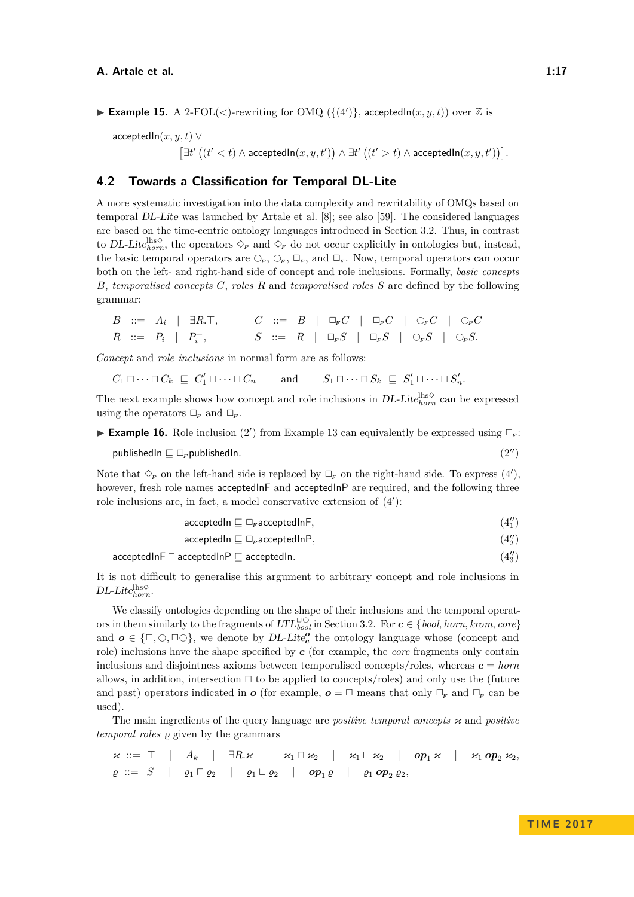**Example 15.** A 2-FOL(<)-rewriting for OMQ ( $\{(4')\}$  $\{(4')\}$  $\{(4')\}$ , acceptedIn $(x, y, t)$ ) over Z is

acceptedIn(*x, y, t*) ∨  $\left[ \exists t' \left( (t' < t) \land \text{acceptedIn}(x, y, t') \right) \land \exists t' \left( (t' > t) \land \text{acceptedIn}(x, y, t') \right) \right].$ 

### <span id="page-16-1"></span>**4.2 Towards a Classification for Temporal DL-Lite**

A more systematic investigation into the data complexity and rewritability of OMQs based on temporal DL-Lite was launched by Artale et al. [\[8\]](#page-31-3); see also [\[59\]](#page-35-10). The considered languages are based on the time-centric ontology languages introduced in Section [3.2.](#page-8-1) Thus, in contrast to DL-Lite<sup>lhs $\diamond$ </sup>, the operators  $\diamond$ <sub>*P*</sub> and  $\diamond$ <sub>*F*</sub> do not occur explicitly in ontologies but, instead, the basic temporal operators are  $\mathbb{O}_P$ ,  $\mathbb{O}_F$ ,  $\mathbb{D}_P$ , and  $\mathbb{D}_F$ . Now, temporal operators can occur both on the left- and right-hand side of concept and role inclusions. Formally, *basic concepts B*, *temporalised concepts C*, *roles R* and *temporalised roles S* are defined by the following grammar:

$$
\begin{array}{ccccccccccc} B & ::= & A_i & | & \exists R.\top, & & C & ::= & B & | & \Box_{\scriptscriptstyle F} C & | & \Box_{\scriptscriptstyle P} C & | & \bigcirc_{\scriptscriptstyle F} C & | & \bigcirc_{\scriptscriptstyle P} C \\[1mm] R & ::= & P_i & | & P_i^- , & & S & ::= & R & | & \Box_{\scriptscriptstyle F} S & | & \Box_{\scriptscriptstyle P} S & | & \bigcirc_{\scriptscriptstyle F} S & | & \bigcirc_{\scriptscriptstyle P} S. \end{array}
$$

*Concept* and *role inclusions* in normal form are as follows:

 $C_1 \sqcap \cdots \sqcap C_k \sqsubseteq C'_1 \sqcup \cdots \sqcup C_n$  and  $S_1 \sqcap \cdots \sqcap S_k \sqsubseteq S$  $S'_1 \sqcup \cdots \sqcup S'_n.$ 

The next example shows how concept and role inclusions in  $DL\text{-}Litel_{horn}^{hso}$  can be expressed using the operators  $\Box_P$  and  $\Box_F$ .

<span id="page-16-0"></span>**Example 16.** Role inclusion [\(2](#page-15-0)') from Example [13](#page-15-2) can equivalently be expressed using  $\Box_F$ :

publishedIn  $\sqsubseteq \Box_F$ publishedIn. [\(2](#page-3-5)<sup>n</sup>)

Note that  $\Diamond_p$  on the left-hand side is replaced by  $\Box_F$  on the right-hand side. To express [\(4](#page-15-1)'), however, fresh role names acceptedInF and acceptedInP are required, and the following three role inclusions are, in fact, a model conservative extension of  $(4')$  $(4')$ :

> acceptedIn  $\Box$ <sub>r</sub> acceptedInF,  $\binom{n}{1}$

acceptedIn  $\sqsubseteq \Box_p$  acceptedInP,  $\binom{n}{2}$ 

acceptedInF  $\sqcap$  acceptedInP  $\sqsubset$  acceptedIn.

It is not difficult to generalise this argument to arbitrary concept and role inclusions in  $DL\text{-}Like_{horn}^{\text{lhs}\diamondsuit}.$ 

We classify ontologies depending on the shape of their inclusions and the temporal operators in them similarly to the fragments of  $LTL_{bool}^{\square\bigcirc}$  in Section [3.2.](#page-8-1) For  $c \in \{bool, horn, krom, core\}$ and  $o \in {\square, \bigcirc, \square\bigcirc}$ , we denote by DL-Lite<sub>c</sub><sup>o</sup> the ontology language whose (concept and role) inclusions have the shape specified by *c* (for example, the *core* fragments only contain inclusions and disjointness axioms between temporalised concepts/roles, whereas  $c = \text{horn}$ allows, in addition, intersection  $\sqcap$  to be applied to concepts/roles) and only use the (future and past) operators indicated in *o* (for example,  $o = \Box$  means that only  $\Box_F$  and  $\Box_P$  can be used).

The main ingredients of the query language are *positive temporal concepts* κ and *positive temporal roles*  $\rho$  given by the grammars

$$
\begin{array}{ccccccccccc}\n\varkappa & ::= & \top & | & A_k & | & \exists R.\varkappa & | & \varkappa_1 \sqcap \varkappa_2 & | & \varkappa_1 \sqcup \varkappa_2 & | & op_1 \varkappa & | & \varkappa_1 op_2 \varkappa_2, \\
\varrho & ::= & S & | & \varrho_1 \sqcap \varrho_2 & | & \varrho_1 \sqcup \varrho_2 & | & op_1 \varrho & | & \varrho_1 op_2 \varrho_2,\n\end{array}
$$

3 )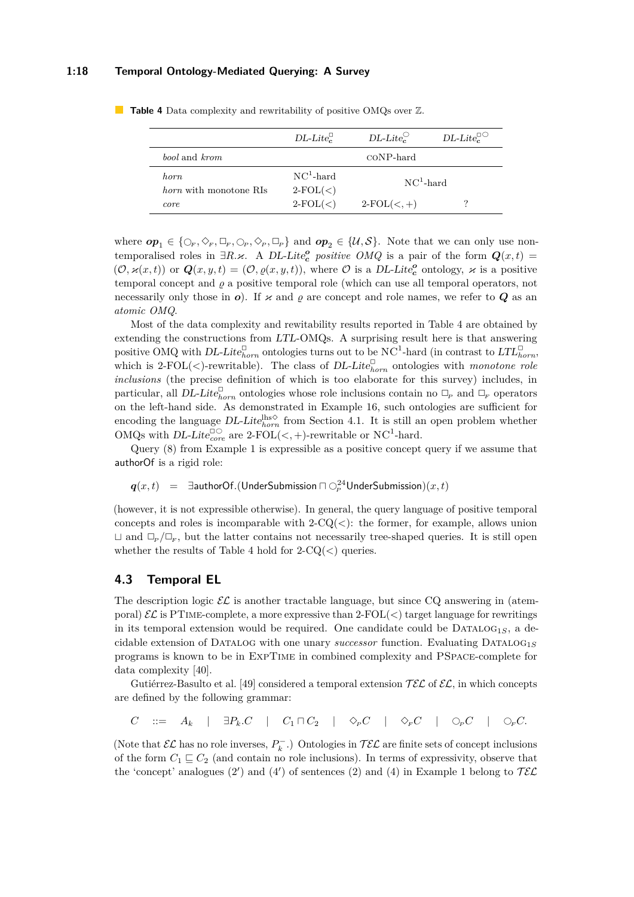### **1:18 Temporal Ontology-Mediated Querying: A Survey**

|                                        | $DL\text{-}Like_{c}^{\sqcup}$ | $DL\text{-}Lie_{\mathcal{C}}^{\mathcal{O}}$ | $DL\text{-}Life_c^{\Box\bigcirc}$ |
|----------------------------------------|-------------------------------|---------------------------------------------|-----------------------------------|
| <i>bool</i> and <i>krom</i>            |                               | CONP-hard                                   |                                   |
| horn.<br><i>horn</i> with monotone RIs | $NC1$ -hard<br>$2-FOL(<)$     | $NC1$ -hard                                 |                                   |
| core                                   | $2-FOL(<)$                    | $2-FOL(<,+)$                                |                                   |

<span id="page-17-0"></span>**Table 4** Data complexity and rewritability of positive OMQs over  $\mathbb{Z}$ .

where  $op_1 \in \{ \mathcal{O}_F, \mathcal{O}_F, \mathcal{O}_F, \mathcal{O}_P, \mathcal{O}_P, \mathcal{O}_P \}$  and  $op_2 \in \{ \mathcal{U}, \mathcal{S} \}$ . Note that we can only use nontemporalised roles in  $\exists R.\varkappa$ . A DL-Lite<sub>c</sub><sup>*c*</sup> *positive OMQ* is a pair of the form  $Q(x,t)$  =  $(\mathcal{O}, \varkappa(x,t))$  or  $\mathbf{Q}(x, y, t) = (\mathcal{O}, \varrho(x, y, t))$ , where  $\mathcal{O}$  is a DL-Lite<sub>c</sub><sup>o</sup> ontology,  $\varkappa$  is a positive temporal concept and  $\varrho$  a positive temporal role (which can use all temporal operators, not necessarily only those in  $o$ ). If  $\varkappa$  and  $\rho$  are concept and role names, we refer to  $Q$  as an *atomic OMQ*.

Most of the data complexity and rewitability results reported in Table [4](#page-17-0) are obtained by extending the constructions from LTL-OMQs. A surprising result here is that answering positive OMQ with  $DL\text{-}Lite_{horn}^{\Box}$  ontologies turns out to be NC<sup>1</sup>-hard (in contrast to  $LTL_{horn}^{\Box}$ ) which is 2-FOL( $\lt$ )-rewritable). The class of *DL-Lite* $_{horn}^{\Box}$  ontologies with *monotone role inclusions* (the precise definition of which is too elaborate for this survey) includes, in particular, all DL-Lite<sup> $\Box$ </sup> ontologies whose role inclusions contain no  $\Box_P$  and  $\Box_F$  operators on the left-hand side. As demonstrated in Example [16,](#page-16-0) such ontologies are sufficient for encoding the language  $DL\text{-}Lite_{horn}^{lhs\diamond}$  from Section [4.1.](#page-14-1) It is still an open problem whether OMQs with  $DL\text{-}Lie_{core}^{\Box\bigcirc}$  are 2-FOL( $\lt$ , +)-rewritable or NC<sup>1</sup>-hard.

Query [\(8\)](#page-4-1) from Example [1](#page-3-0) is expressible as a positive concept query if we assume that authorOf is a rigid role:

 $\bm{q}(x,t)$  =  $\exists$ authorOf.(UnderSubmission  $\sqcap\bigcirc^{24}_{\bm{\scriptstyle{P}}}$ UnderSubmission) $(x,t)$ 

(however, it is not expressible otherwise). In general, the query language of positive temporal concepts and roles is incomparable with  $2$ -C $Q(\langle\cdot\rangle)$ : the former, for example, allows union  $\Box$  and  $\Box_p/\Box_r$ , but the latter contains not necessarily tree-shaped queries. It is still open whether the results of Table [4](#page-17-0) hold for 2-CQ(*<*) queries.

### **4.3 Temporal EL**

The description logic  $\mathcal{EL}$  is another tractable language, but since CQ answering in (atemporal)  $\mathcal{EL}$  is PTIME-complete, a more expressive than  $2\text{-FOL}(\leq)$  target language for rewritings in its temporal extension would be required. One candidate could be  $DATALOG<sub>1S</sub>$ , a decidable extension of DATALOG with one unary *successor* function. Evaluating  $DATALOG_{1S}$ programs is known to be in ExpTime in combined complexity and PSpace-complete for data complexity [\[40\]](#page-34-13).

Gutiérrez-Basulto et al. [\[49\]](#page-34-14) considered a temporal extension  $\mathcal{TEL}$  of  $\mathcal{EL}$ , in which concepts are defined by the following grammar:

$$
C \quad ::= \quad A_k \quad | \quad \exists P_k.C \quad | \quad C_1 \sqcap C_2 \quad | \quad \Diamond_P C \quad | \quad \Diamond_P C \quad | \quad \Diamond_P C \quad | \quad \Diamond_P C.
$$

(Note that  $\mathcal{EL}$  has no role inverses,  $P_k^-$ .) Ontologies in  $\mathcal{TEL}$  are finite sets of concept inclusions of the form  $C_1 \sqsubseteq C_2$  (and contain no role inclusions). In terms of expressivity, observe that the 'concept' analogues [\(2](#page-3-5)') and [\(4](#page-3-2)') of sentences [\(2\)](#page-3-5) and [\(4\)](#page-3-2) in Example [1](#page-3-0) belong to  $\mathcal{TEL}$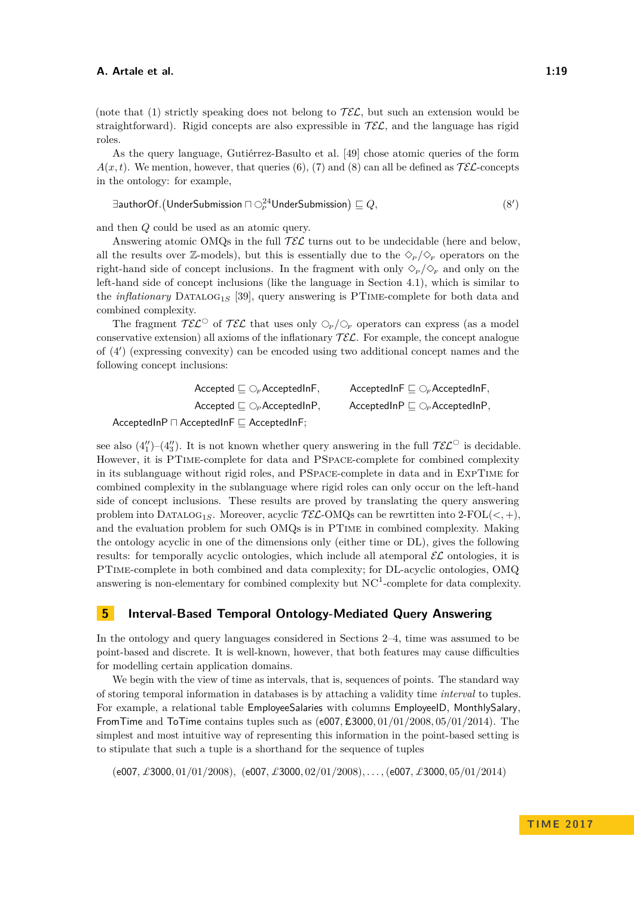(note that [\(1\)](#page-3-4) strictly speaking does not belong to  $\mathcal{TEL}$ , but such an extension would be straightforward). Rigid concepts are also expressible in  $\mathcal{TEL}$ , and the language has rigid roles.

As the query language, Gutiérrez-Basulto et al. [\[49\]](#page-34-14) chose atomic queries of the form  $A(x,t)$ . We mention, however, that queries [\(6\)](#page-4-3), [\(7\)](#page-4-4) and [\(8\)](#page-4-1) can all be defined as  $\mathcal{TE}$ -concepts in the ontology: for example,

$$
\exists \text{authorOf.}(\text{UnderSubmission} \sqcap \bigcirc^{24}_{\scriptscriptstyle{P}} \text{UnderSubmission}) \sqsubseteq Q, \qquad (8')
$$

and then *Q* could be used as an atomic query.

Answering atomic OMQs in the full  $\mathcal{TEL}$  turns out to be undecidable (here and below, all the results over Z-models), but this is essentially due to the  $\Diamond_{P}/\Diamond_{F}$  operators on the right-hand side of concept inclusions. In the fragment with only  $\Diamond_{P}/\Diamond_{F}$  and only on the left-hand side of concept inclusions (like the language in Section [4.1\)](#page-14-1), which is similar to the *inflationary* DATALOG<sub>1S</sub> [\[39\]](#page-34-15), query answering is PTIME-complete for both data and combined complexity.

The fragment  $\mathcal{TEL}^{\circ}$  of  $\mathcal{TEL}$  that uses only  $\mathcal{O}_P/\mathcal{O}_F$  operators can express (as a model conservative extension) all axioms of the inflationary  $\mathcal{TEL}$ . For example, the concept analogue of [\(4](#page-15-1)') (expressing convexity) can be encoded using two additional concept names and the following concept inclusions:

| Accepted $\sqsubseteq \bigcirc_F$ AcceptedInF,                              | AcceptedInF $\sqsubseteq \bigcirc_F$ AcceptedInF,   |
|-----------------------------------------------------------------------------|-----------------------------------------------------|
| $\mathsf{Accepted} \sqsubseteq \bigcirc_{\mathsf{P}} \mathsf{AcceptedInP},$ | $AcceptedInP \sqsubseteq \bigcirc_{P} AcceptedInP,$ |
| .                                                                           |                                                     |

 $AcceptedInP \sqcap AcceptedInF \sqsubseteq AcceptedInF;$ 

see also  $(4'_{1})$  $(4'_{1})$ - $(4'_{3})$ . It is not known whether query answering in the full  $\mathcal{TEL}^{\circ}$  is decidable. However, it is PTime-complete for data and PSpace-complete for combined complexity in its sublanguage without rigid roles, and PSpace-complete in data and in ExpTime for combined complexity in the sublanguage where rigid roles can only occur on the left-hand side of concept inclusions. These results are proved by translating the query answering problem into  $DATALOG_{1S}$ . Moreover, acyclic  $TE\mathcal{L}\text{-OMQs}$  can be rewrtitten into  $2\text{-}FOL(<, +)$ , and the evaluation problem for such OMQs is in PTime in combined complexity. Making the ontology acyclic in one of the dimensions only (either time or DL), gives the following results: for temporally acyclic ontologies, which include all atemporal  $\mathcal{EL}$  ontologies, it is PTime-complete in both combined and data complexity; for DL-acyclic ontologies, OMQ answering is non-elementary for combined complexity but  $NC<sup>1</sup>$ -complete for data complexity.

### <span id="page-18-0"></span>**5 Interval-Based Temporal Ontology-Mediated Query Answering**

In the ontology and query languages considered in Sections [2–](#page-2-0)[4,](#page-14-0) time was assumed to be point-based and discrete. It is well-known, however, that both features may cause difficulties for modelling certain application domains.

We begin with the view of time as intervals, that is, sequences of points. The standard way of storing temporal information in databases is by attaching a validity time *interval* to tuples. For example, a relational table EmployeeSalaries with columns EmployeeID, MonthlySalary, FromTime and ToTime contains tuples such as (e007*,* £3000*,* 01*/*01*/*2008*,* 05*/*01*/*2014). The simplest and most intuitive way of representing this information in the point-based setting is to stipulate that such a tuple is a shorthand for the sequence of tuples

(e007*, £*3000*,* 01*/*01*/*2008)*,* (e007*, £*3000*,* 02*/*01*/*2008)*, . . . ,*(e007*, £*3000*,* 05*/*01*/*2014)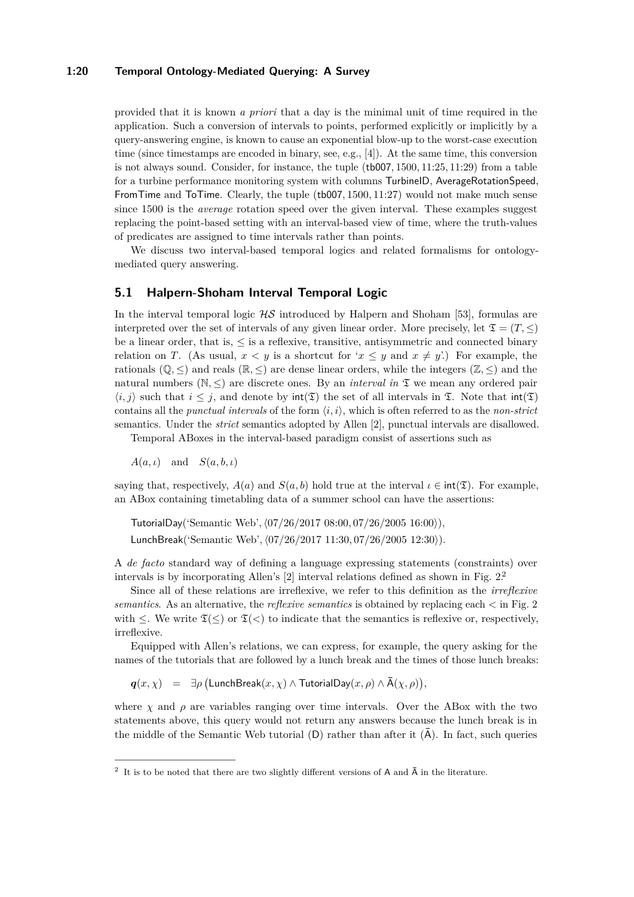### **1:20 Temporal Ontology-Mediated Querying: A Survey**

provided that it is known *a priori* that a day is the minimal unit of time required in the application. Such a conversion of intervals to points, performed explicitly or implicitly by a query-answering engine, is known to cause an exponential blow-up to the worst-case execution time (since timestamps are encoded in binary, see, e.g., [\[4\]](#page-31-4)). At the same time, this conversion is not always sound. Consider, for instance, the tuple (tb007*,* 1500*,* 11:25*,* 11:29) from a table for a turbine performance monitoring system with columns TurbineID, AverageRotationSpeed, FromTime and ToTime. Clearly, the tuple (tb007*,* 1500*,* 11:27) would not make much sense since 1500 is the *average* rotation speed over the given interval. These examples suggest replacing the point-based setting with an interval-based view of time, where the truth-values of predicates are assigned to time intervals rather than points.

We discuss two interval-based temporal logics and related formalisms for ontologymediated query answering.

### **5.1 Halpern-Shoham Interval Temporal Logic**

In the interval temporal logic  $H\mathcal{S}$  introduced by Halpern and Shoham [\[53\]](#page-34-16), formulas are interpreted over the set of intervals of any given linear order. More precisely, let  $\mathfrak{T} = (T, \leq)$ be a linear order, that is,  $\leq$  is a reflexive, transitive, antisymmetric and connected binary relation on *T*. (As usual,  $x < y$  is a shortcut for ' $x \leq y$  and  $x \neq y'$ .) For example, the rationals  $(\mathbb{Q}, \leq)$  and reals  $(\mathbb{R}, \leq)$  are dense linear orders, while the integers  $(\mathbb{Z}, \leq)$  and the natural numbers ( $\mathbb{N}, \leq$ ) are discrete ones. By an *interval in*  $\mathfrak{T}$  we mean any ordered pair  $\langle i, j \rangle$  such that  $i \leq j$ , and denote by  $\text{int}(\mathfrak{T})$  the set of all intervals in  $\mathfrak{T}$ . Note that  $\text{int}(\mathfrak{T})$ contains all the *punctual intervals* of the form  $\langle i, i \rangle$ , which is often referred to as the *non-strict* semantics. Under the *strict* semantics adopted by Allen [\[2\]](#page-31-5), punctual intervals are disallowed.

Temporal ABoxes in the interval-based paradigm consist of assertions such as

 $A(a, t)$  and  $S(a, b, t)$ 

saying that, respectively,  $A(a)$  and  $S(a, b)$  hold true at the interval  $\iota \in \text{int}(\mathfrak{T})$ . For example, an ABox containing timetabling data of a summer school can have the assertions:

TutorialDay('Semantic Web'*,*h07*/*26*/*2017 08:00*,* 07*/*26*/*2005 16:00i)*,* LunchBreak('Semantic Web'*,*h07*/*26*/*2017 11:30*,* 07*/*26*/*2005 12:30i)*.*

A *de facto* standard way of defining a language expressing statements (constraints) over intervals is by incorporating Allen's [\[2\]](#page-31-5) interval relations defined as shown in Fig. [2.](#page-20-0)[2](#page-19-0)

Since all of these relations are irreflexive, we refer to this definition as the *irreflexive semantics*. As an alternative, the *reflexive semantics* is obtained by replacing each *<* in Fig. [2](#page-20-0) with  $\leq$ . We write  $\mathfrak{T}(\leq)$  or  $\mathfrak{T}(\leq)$  to indicate that the semantics is reflexive or, respectively, irreflexive.

Equipped with Allen's relations, we can express, for example, the query asking for the names of the tutorials that are followed by a lunch break and the times of those lunch breaks:

 $q(x, \chi)$  =  $\exists \rho \text{ (LunchBreak}(x, \chi) \land \text{TutorialDay}(x, \rho) \land \bar{A}(\chi, \rho)),$ 

where  $\chi$  and  $\rho$  are variables ranging over time intervals. Over the ABox with the two statements above, this query would not return any answers because the lunch break is in the middle of the Semantic Web tutorial  $(D)$  rather than after it  $(\overline{A})$ . In fact, such queries

<span id="page-19-0"></span><sup>&</sup>lt;sup>2</sup> It is to be noted that there are two slightly different versions of A and  $\bar{A}$  in the literature.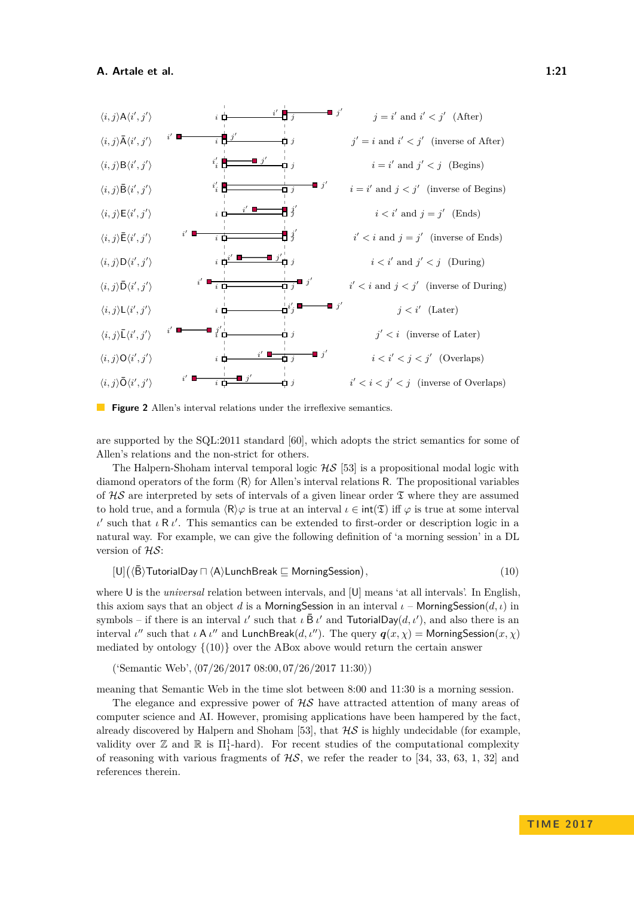<span id="page-20-0"></span>



are supported by the SQL:2011 standard [\[60\]](#page-35-11), which adopts the strict semantics for some of Allen's relations and the non-strict for others.

The Halpern-Shoham interval temporal logic  $HS$  [\[53\]](#page-34-16) is a propositional modal logic with diamond operators of the form  $\langle R \rangle$  for Allen's interval relations R. The propositional variables of  $HS$  are interpreted by sets of intervals of a given linear order  $\mathfrak T$  where they are assumed to hold true, and a formula  $\langle R \rangle \varphi$  is true at an interval  $\iota \in \text{int}(\mathfrak{T})$  iff  $\varphi$  is true at some interval *ι*' such that *ι* R *ι'*. This semantics can be extended to first-order or description logic in a natural way. For example, we can give the following definition of 'a morning session' in a DL version of HS:

<span id="page-20-1"></span> $[U]$  $(\langle \bar{B} \rangle)$ TutorialDay  $\Box$   $\langle A \rangle$ LunchBreak  $\sqsubseteq$  MorningSession) *,* (10)

where U is the *universal* relation between intervals, and [U] means 'at all intervals'. In English, this axiom says that an object *d* is a MorningSession in an interval  $\iota$  – MorningSession(*d,*  $\iota$ ) in symbols – if there is an interval *ι'* such that  $\iota \bar{B} \iota'$  and **TutorialDay** $(d, \iota')$ , and also there is an interval *ι*<sup>*n*</sup> such that *ι* A *ι*<sup>*n*</sup> and LunchBreak(*d, ι<sup><i>n*</sup>). The query  $q(x, \chi)$  = MorningSession(*x,*  $\chi$ ) mediated by ontology  $\{(10)\}$  $\{(10)\}$  $\{(10)\}$  over the ABox above would return the certain answer

('Semantic Web'*,*h07*/*26*/*2017 08:00*,* 07*/*26*/*2017 11:30i)

meaning that Semantic Web in the time slot between 8:00 and 11:30 is a morning session.

The elegance and expressive power of  $H\mathcal{S}$  have attracted attention of many areas of computer science and AI. However, promising applications have been hampered by the fact, already discovered by Halpern and Shoham [\[53\]](#page-34-16), that  $\mathcal{HS}$  is highly undecidable (for example, validity over  $\mathbb Z$  and  $\mathbb R$  is  $\Pi_1^1$ -hard). For recent studies of the computational complexity of reasoning with various fragments of  $\mathcal{HS}$ , we refer the reader to [\[34,](#page-33-10) [33,](#page-33-11) [63,](#page-35-12) [1,](#page-31-6) [32\]](#page-33-12) and references therein.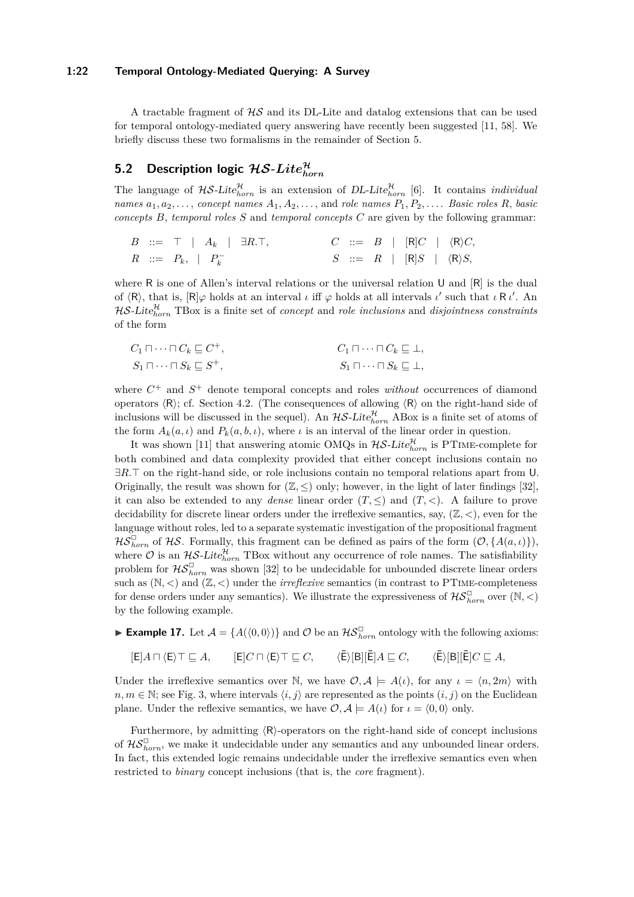### **1:22 Temporal Ontology-Mediated Querying: A Survey**

A tractable fragment of  $\mathcal{H}\mathcal{S}$  and its DL-Lite and datalog extensions that can be used for temporal ontology-mediated query answering have recently been suggested [\[11,](#page-32-13) [58\]](#page-35-13). We briefly discuss these two formalisms in the remainder of Section [5.](#page-18-0)

## <span id="page-21-1"></span> $5.2$  Description logic  $\mathcal{HS}\text{-}Lie_{horn}^{\mathcal{H}}$

The language of  $H\mathcal{S}\text{-}Lite_{horn}^{\mathcal{H}}$  is an extension of DL-Lite<sub>horn</sub> [\[6\]](#page-31-0). It contains *individual names*  $a_1, a_2, \ldots$ , *concept names*  $A_1, A_2, \ldots$ , and *role names*  $P_1, P_2, \ldots$ . *Basic roles*  $R$ , *basic concepts B*, *temporal roles S* and *temporal concepts C* are given by the following grammar:

*B* ::= > | *A<sup>k</sup>* | ∃*R.*>*, C* ::= *B* | [R]*C* | hRi*C, R* ::= *Pk,* | *P* − *<sup>k</sup> S* ::= *R* | [R]*S* | hRi*S,*

where R is one of Allen's interval relations or the universal relation U and  $[R]$  is the dual of  $\langle R \rangle$ , that is,  $[R] \varphi$  holds at an interval *ι* iff  $\varphi$  holds at all intervals *ι'* such that *ι* R *ι'*. An  $\mathcal{H} \mathcal{S}\text{-}Lite_{horn}^{\mathcal{H}}$  TBox is a finite set of *concept* and *role inclusions* and *disjointness constraints* of the form

| $C_1 \sqcap \cdots \sqcap C_k \sqsubseteq C^+,$ | $C_1 \sqcap \cdots \sqcap C_k \sqsubseteq \bot$ , |
|-------------------------------------------------|---------------------------------------------------|
| $S_1 \sqcap \cdots \sqcap S_k \sqsubseteq S^+,$ | $S_1 \sqcap \cdots \sqcap S_k \sqsubseteq \bot$ , |

where  $C^+$  and  $S^+$  denote temporal concepts and roles *without* occurrences of diamond operators  $\langle R \rangle$ ; cf. Section [4.2.](#page-16-1) (The consequences of allowing  $\langle R \rangle$  on the right-hand side of inclusions will be discussed in the sequel). An  $H\mathcal{S}\text{-}Like_{horn}^{\mathcal{H}}$  ABox is a finite set of atoms of the form  $A_k(a, \iota)$  and  $P_k(a, b, \iota)$ , where  $\iota$  is an interval of the linear order in question.

It was shown [\[11\]](#page-32-13) that answering atomic OMQs in  $H\mathcal{S}\text{-}Lite_{horn}^{\mathcal{H}}$  is PTIME-complete for both combined and data complexity provided that either concept inclusions contain no ∃*R*.<sup> $\top$ </sup> on the right-hand side, or role inclusions contain no temporal relations apart from U. Originally, the result was shown for  $(\mathbb{Z}, \leq)$  only; however, in the light of later findings [\[32\]](#page-33-12), it can also be extended to any *dense* linear order  $(T, \leq)$  and  $(T, <)$ . A failure to prove decidability for discrete linear orders under the irreflexive semantics, say, (Z*, <*), even for the language without roles, led to a separate systematic investigation of the propositional fragment  $\mathcal{H}\mathcal{S}_{horn}^{\Box}$  of  $\mathcal{H}\mathcal{S}$ . Formally, this fragment can be defined as pairs of the form  $(\mathcal{O}, \{A(a, \iota)\})$ , where  $\mathcal O$  is an  $\mathcal{HS}\text{-}Lite_{horn}^{\mathcal{H}}$  TBox without any occurrence of role names. The satisfiability problem for  $\mathcal{HS}_{horn}^{\Box}$  was shown [\[32\]](#page-33-12) to be undecidable for unbounded discrete linear orders such as  $(N, <)$  and  $(\mathbb{Z}, <)$  under the *irreflexive* semantics (in contrast to PTIME-completeness for dense orders under any semantics). We illustrate the expressiveness of  $\mathcal{HS}_{horn}^{\Box}$  over  $(\mathbb{N}, <)$ by the following example.

<span id="page-21-0"></span>► **Example 17.** Let  $\mathcal{A} = \{A(\langle 0, 0 \rangle)\}\$ and  $\mathcal{O}$  be an  $\mathcal{HS}_{horn}^{\square}$  ontology with the following axioms:

 $[E]A \sqcap \langle E \rangle \top \sqsubseteq A,$   $[E]C \sqcap \langle E \rangle \top \sqsubseteq C,$   $\langle \bar{E} \rangle [B][\bar{E}]A \sqsubseteq C,$   $\langle \bar{E} \rangle [B][\bar{E}]C \sqsubseteq A,$ 

Under the irreflexive semantics over N, we have  $\mathcal{O}, \mathcal{A} \models A(\iota)$ , for any  $\iota = \langle n, 2m \rangle$  with  $n, m \in \mathbb{N}$ ; see Fig. [3,](#page-22-0) where intervals  $\langle i, j \rangle$  are represented as the points  $(i, j)$  on the Euclidean plane. Under the reflexive semantics, we have  $\mathcal{O}, \mathcal{A} \models A(\iota)$  for  $\iota = \langle 0, 0 \rangle$  only.

Furthermore, by admitting  $\langle R \rangle$ -operators on the right-hand side of concept inclusions of  $\mathcal{H} \mathcal{S}_{horn}^{\Box}$ , we make it undecidable under any semantics and any unbounded linear orders. In fact, this extended logic remains undecidable under the irreflexive semantics even when restricted to *binary* concept inclusions (that is, the *core* fragment).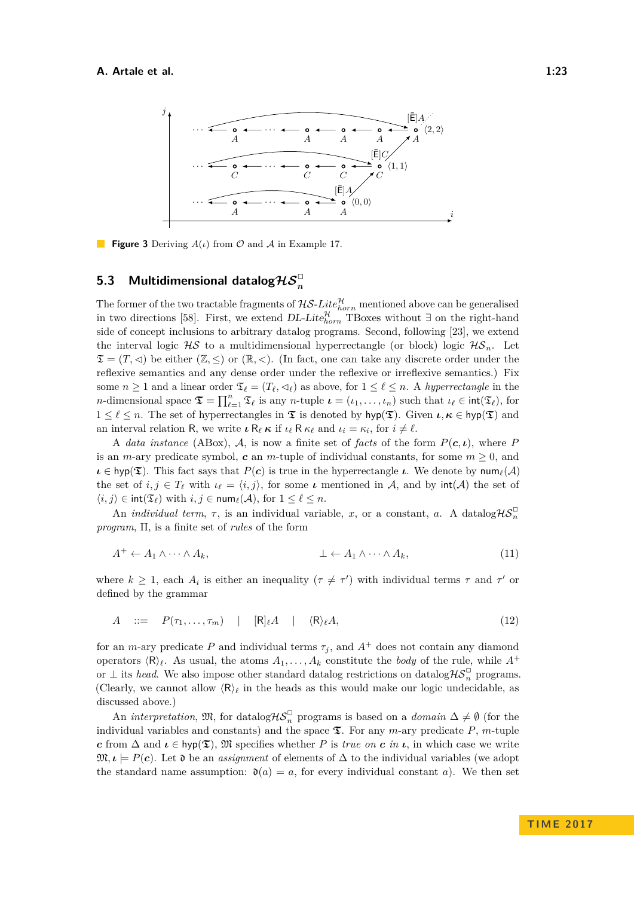<span id="page-22-0"></span>

**Figure 3** Deriving *A*(*ι*) from O and A in Example [17.](#page-21-0)

## <span id="page-22-1"></span> ${\bf 5.3}$   $\,$  Multidimensional datalog $\mathcal{H} \mathcal{S}_n^\square$

The former of the two tractable fragments of  $H\mathcal{S}\text{-}Lie_{horn}^{\mathcal{H}}$  mentioned above can be generalised in two directions [\[58\]](#page-35-13). First, we extend  $DL\text{-}Lite_{horn}^{\mathcal{H}}$  TBoxes without ∃ on the right-hand side of concept inclusions to arbitrary datalog programs. Second, following [\[23\]](#page-32-14), we extend the interval logic  $\mathcal{H}S$  to a multidimensional hyperrectangle (or block) logic  $\mathcal{H}S_n$ . Let  $\mathfrak{T} = (T, \leq)$  be either  $(\mathbb{Z}, \leq)$  or  $(\mathbb{R}, \leq)$ . (In fact, one can take any discrete order under the reflexive semantics and any dense order under the reflexive or irreflexive semantics.) Fix some  $n \geq 1$  and a linear order  $\mathfrak{T}_\ell = (T_\ell, \prec_\ell)$  as above, for  $1 \leq \ell \leq n$ . A *hyperrectangle* in the *n*-dimensional space  $\mathfrak{T} = \prod_{\ell=1}^n \mathfrak{T}_\ell$  is any *n*-tuple  $\iota = (\iota_1, \ldots, \iota_n)$  such that  $\iota_\ell \in \text{int}(\mathfrak{T}_\ell)$ , for  $1 \leq \ell \leq n$ . The set of hyperrectangles in  $\mathfrak{T}$  is denoted by hyp( $\mathfrak{T}$ ). Given  $\iota, \kappa \in \text{hyp}(\mathfrak{T})$  and an interval relation R, we write  $\iota \mathsf{R}_{\ell} \kappa$  if  $\iota_{\ell} \mathsf{R} \kappa_{\ell}$  and  $\iota_i = \kappa_i$ , for  $i \neq \ell$ .

A *data instance* (ABox), A, is now a finite set of *facts* of the form  $P(c, \iota)$ , where P is an *m*-ary predicate symbol, *c* an *m*-tuple of individual constants, for some  $m \geq 0$ , and  $\iota \in \mathsf{hyp}(\mathfrak{T})$ . This fact says that  $P(c)$  is true in the hyperrectangle  $\iota$ . We denote by  $\mathsf{num}_\ell(\mathcal{A})$ the set of  $i, j \in T_\ell$  with  $i_\ell = \langle i, j \rangle$ , for some  $\iota$  mentioned in A, and by  $\text{int}(\mathcal{A})$  the set of  $\langle i, j \rangle \in \text{int}(\mathfrak{T}_{\ell})$  with  $i, j \in \text{num}_{\ell}(\mathcal{A})$ , for  $1 \leq \ell \leq n$ .

An *individual term*,  $\tau$ , is an individual variable, *x*, or a constant, *a*. A datalog $\mathcal{H}S_n^{\square}$ *program*, Π, is a finite set of *rules* of the form

<span id="page-22-2"></span>
$$
A^+ \leftarrow A_1 \land \cdots \land A_k, \qquad \qquad \bot \leftarrow A_1 \land \cdots \land A_k, \tag{11}
$$

where  $k \geq 1$ , each  $A_i$  is either an inequality  $(\tau \neq \tau')$  with individual terms  $\tau$  and  $\tau'$  or defined by the grammar

<span id="page-22-3"></span>
$$
A \quad ::= \quad P(\tau_1, \ldots, \tau_m) \quad | \quad [\mathsf{R}]_\ell A \quad | \quad \langle \mathsf{R} \rangle_\ell A,\tag{12}
$$

for an *m*-ary predicate *P* and individual terms  $\tau_i$ , and  $A^+$  does not contain any diamond operators  $\langle \mathsf{R} \rangle_{\ell}$ . As usual, the atoms  $A_1, \ldots, A_k$  constitute the *body* of the rule, while  $A^+$ or  $\perp$  its *head*. We also impose other standard datalog restrictions on datalog $\mathcal{HS}_n^{\square}$  programs. (Clearly, we cannot allow  $\langle R \rangle_\ell$  in the heads as this would make our logic undecidable, as discussed above.)

An *interpretation*,  $\mathfrak{M}$ , for datalog  $\mathcal{H}S_n^{\square}$  programs is based on a *domain*  $\Delta \neq \emptyset$  (for the individual variables and constants) and the space  $\mathfrak{T}$ . For any *m*-ary predicate *P*, *m*-tuple *c* from  $\Delta$  and  $\iota \in \mathsf{hyp}(\mathfrak{T})$ ,  $\mathfrak{M}$  specifies whether *P* is *true on c in*  $\iota$ , in which case we write  $\mathfrak{M}, \iota$  |= *P*(*c*). Let ∂ be an *assignment* of elements of  $\Delta$  to the individual variables (we adopt the standard name assumption:  $\mathfrak{d}(a) = a$ , for every individual constant *a*). We then set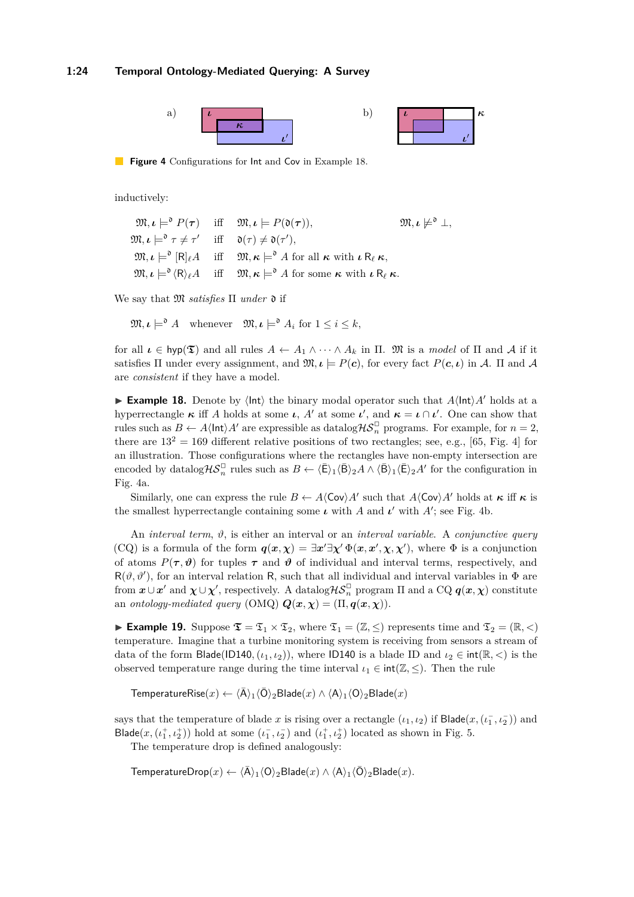<span id="page-23-1"></span>

**Figure 4** Configurations for Int and Cov in Example [18.](#page-23-0)

inductively:

 $\mathfrak{M}, \iota \models^{\mathfrak{d}} P(\boldsymbol{\tau})$  iff  $\mathfrak{M}, \iota \models P(\mathfrak{d}(\boldsymbol{\tau})),$   $\mathfrak{M}, \iota \not\models$  $m, \iota \not\models^{\mathfrak{d}} \bot,$  $\mathfrak{M}, \iota \models^{\mathfrak{d}} \tau \neq \tau' \quad \text{ iff } \quad \mathfrak{d}(\tau) \neq \mathfrak{d}(\tau'),$  $\mathfrak{M}, \iota \models^{\mathfrak{d}} [\mathsf{R}]_\ell A$  iff  $\mathfrak{M}, \kappa \models^{\mathfrak{d}} A$  for all  $\kappa$  with  $\iota \mathsf{R}_\ell \kappa,$  $\mathfrak{M}, \iota \models^{\mathfrak{d}} \langle \mathsf{R} \rangle_{\ell} A$  iff  $\mathfrak{M}, \kappa \models^{\mathfrak{d}} A$  for some  $\kappa$  with  $\iota \mathsf{R}_{\ell} \kappa$ .

We say that M *satisfies* Π *under* d if

 $\mathfrak{M}, \iota \models^{\mathfrak{d}} A$  whenever  $\mathfrak{M}, \iota \models^{\mathfrak{d}} A_i$  for  $1 \leq i \leq k$ ,

for all  $\iota \in \mathsf{hyp}(\mathfrak{T})$  and all rules  $A \leftarrow A_1 \wedge \cdots \wedge A_k$  in  $\Pi$ .  $\mathfrak{M}$  is a *model* of  $\Pi$  and  $A$  if it satisfies  $\Pi$  under every assignment, and  $\mathfrak{M}, \iota \models P(c)$ , for every fact  $P(c, \iota)$  in A.  $\Pi$  and A are *consistent* if they have a model.

<span id="page-23-0"></span>**Example 18.** Denote by  $\langle \text{Int} \rangle$  the binary modal operator such that  $A\langle \text{Int} \rangle A'$  holds at a hyperrectangle  $\kappa$  iff *A* holds at some *ι*, *A'* at some *ι'*, and  $\kappa = \iota \cap \iota'$ . One can show that rules such as  $B \leftarrow A \langle \text{Int} \rangle A'$  are expressible as datalog  $\mathcal{H} \mathcal{S}_n^{\square}$  programs. For example, for  $n = 2$ , there are  $13^2 = 169$  different relative positions of two rectangles; see, e.g., [\[65,](#page-35-14) Fig. 4] for an illustration. Those configurations where the rectangles have non-empty intersection are encoded by datalog  $H\mathcal{S}_n^{\square}$  rules such as  $B \leftarrow \langle \bar{E} \rangle_1 \langle \bar{B} \rangle_2 A \wedge \langle \bar{B} \rangle_1 \langle \bar{E} \rangle_2 A'$  for the configuration in Fig. [4a](#page-23-1).

Similarly, one can express the rule  $B \leftarrow A \langle \text{Cov} \rangle A'$  such that  $A \langle \text{Cov} \rangle A'$  holds at  $\kappa$  iff  $\kappa$  is the smallest hyperrectangle containing some  $\iota$  with *A* and  $\iota'$  with *A*<sup>'</sup>; see Fig. [4b](#page-23-1).

An *interval term*, *ϑ*, is either an interval or an *interval variable*. A *conjunctive query* (CQ) is a formula of the form  $q(x, \chi) = \exists x' \exists \chi' \Phi(x, x', \chi, \chi')$ , where  $\Phi$  is a conjunction of atoms  $P(\tau, \vartheta)$  for tuples  $\tau$  and  $\vartheta$  of individual and interval terms, respectively, and  $R(\vartheta, \vartheta')$ , for an interval relation R, such that all individual and interval variables in  $\Phi$  are from  $x \cup x'$  and  $\chi \cup \chi'$ , respectively. A datalog  $\mathcal{H}S_n^{\square}$  program  $\Pi$  and a CQ  $q(x, \chi)$  constitute an *ontology-mediated query* (OMQ)  $Q(x, \chi) = (\Pi, q(x, \chi))$ .

<span id="page-23-2"></span>► **Example 19.** Suppose  $\mathfrak{T} = \mathfrak{T}_1 \times \mathfrak{T}_2$ , where  $\mathfrak{T}_1 = (\mathbb{Z}, \leq)$  represents time and  $\mathfrak{T}_2 = (\mathbb{R}, <)$ temperature. Imagine that a turbine monitoring system is receiving from sensors a stream of data of the form Blade(ID140*,*( $\iota_1, \iota_2$ )), where ID140 is a blade ID and  $\iota_2 \in \text{int}(\mathbb{R}, \leq)$  is the observed temperature range during the time interval  $\iota_1 \in \text{int}(\mathbb{Z}, \leq)$ . Then the rule

TemperatureRise $(x) \leftarrow {\langle \bar{A} \rangle}_1 {\langle \bar{O} \rangle}_2$ Blade $(x) \wedge {\langle A \rangle}_1 {\langle O \rangle}_2$ Blade $(x)$ 

says that the temperature of blade *x* is rising over a rectangle  $(\iota_1, \iota_2)$  if  $\textsf{Blade}(x, (\iota_1^-, \iota_2^-))$  and Blade( $x, (\iota_1^+, \iota_2^+)$ ) hold at some ( $\iota_1^-, \iota_2^-$ ) and ( $\iota_1^+, \iota_2^+$ ) located as shown in Fig. [5.](#page-24-1)

The temperature drop is defined analogously:

TemperatureDrop $(x) \leftarrow \langle \overline{A} \rangle_1 \langle O \rangle_2$ Blade $(x) \wedge \langle A \rangle_1 \langle \overline{O} \rangle_2$ Blade $(x)$ *.*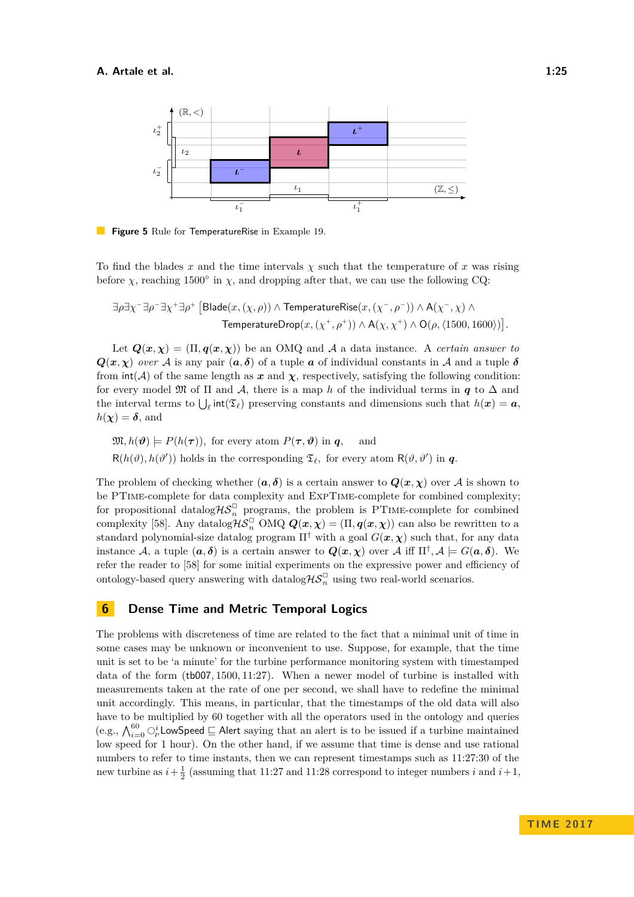<span id="page-24-1"></span>

**Figure 5** Rule for TemperatureRise in Example [19.](#page-23-2)

To find the blades x and the time intervals  $\chi$  such that the temperature of x was rising before  $\chi$ , reaching 1500° in  $\chi$ , and dropping after that, we can use the following CQ:

$$
\exists \rho \exists \chi^- \exists \rho^- \exists \chi^+ \exists \rho^+ \left[ \text{Blade}(x, (\chi, \rho)) \land \text{TemperatureRise}(x, (\chi^-, \rho^-)) \land \text{A}(\chi^-, \chi) \land \right]
$$
\n
$$
\text{TemperatureDrop}(x, (\chi^+, \rho^+)) \land \text{A}(\chi, \chi^+) \land \text{O}(\rho, \langle 1500, 1600 \rangle) \right].
$$

Let  $Q(x, \chi) = (\Pi, q(x, \chi))$  be an OMQ and A a data instance. A *certain answer to*  $Q(x, \chi)$  *over* A is any pair  $(a, \delta)$  of a tuple a of individual constants in A and a tuple  $\delta$ from  $\text{int}(\mathcal{A})$  of the same length as  $x$  and  $\chi$ , respectively, satisfying the following condition: for every model  $\mathfrak{M}$  of  $\Pi$  and  $\mathcal{A}$ , there is a map *h* of the individual terms in *q* to  $\Delta$  and the interval terms to  $\bigcup_{\ell} \text{int}(\mathfrak{T}_{\ell})$  preserving constants and dimensions such that  $h(x) = a$ ,  $h(\chi) = \delta$ , and

$$
\mathfrak{M}, h(\boldsymbol{\vartheta}) \models P(h(\boldsymbol{\tau})), \text{ for every atom } P(\boldsymbol{\tau}, \boldsymbol{\vartheta}) \text{ in } \boldsymbol{q}, \text{ and}
$$
  

$$
R(h(\vartheta), h(\vartheta')) \text{ holds in the corresponding } \mathfrak{T}_{\ell}, \text{ for every atom } R(\vartheta, \vartheta') \text{ in } \boldsymbol{q}.
$$

The problem of checking whether  $(a, \delta)$  is a certain answer to  $Q(x, \chi)$  over A is shown to be PTime-complete for data complexity and ExpTime-complete for combined complexity; for propositional datalog  $\mathcal{H}S_n^{\square}$  programs, the problem is PTIME-complete for combined complexity [\[58\]](#page-35-13). Any datalog $\mathcal{H}S_n^{\square}$  OMQ  $\mathbf{Q}(\mathbf{x}, \boldsymbol{\chi}) = (\Pi, \boldsymbol{q}(\mathbf{x}, \boldsymbol{\chi}))$  can also be rewritten to a standard polynomial-size datalog program  $\Pi^{\dagger}$  with a goal  $G(x, \chi)$  such that, for any data instance A, a tuple  $(a, \delta)$  is a certain answer to  $Q(x, \chi)$  over A iff  $\Pi^{\dagger}, A \models G(a, \delta)$ . We refer the reader to [\[58\]](#page-35-13) for some initial experiments on the expressive power and efficiency of ontology-based query answering with datalog $\mathcal{H}S_n^{\square}$  using two real-world scenarios.

### <span id="page-24-0"></span>**6 Dense Time and Metric Temporal Logics**

The problems with discreteness of time are related to the fact that a minimal unit of time in some cases may be unknown or inconvenient to use. Suppose, for example, that the time unit is set to be 'a minute' for the turbine performance monitoring system with timestamped data of the form (tb007*,* 1500*,* 11:27). When a newer model of turbine is installed with measurements taken at the rate of one per second, we shall have to redefine the minimal unit accordingly. This means, in particular, that the timestamps of the old data will also have to be multiplied by 60 together with all the operators used in the ontology and queries (e.g.,  $\bigwedge_{i=0}^{60} \bigcirc_P^i$  LowSpeed  $\sqsubseteq$  Alert saying that an alert is to be issued if a turbine maintained low speed for 1 hour). On the other hand, if we assume that time is dense and use rational numbers to refer to time instants, then we can represent timestamps such as 11:27:30 of the new turbine as  $i + \frac{1}{2}$  (assuming that 11:27 and 11:28 correspond to integer numbers *i* and  $i + 1$ ,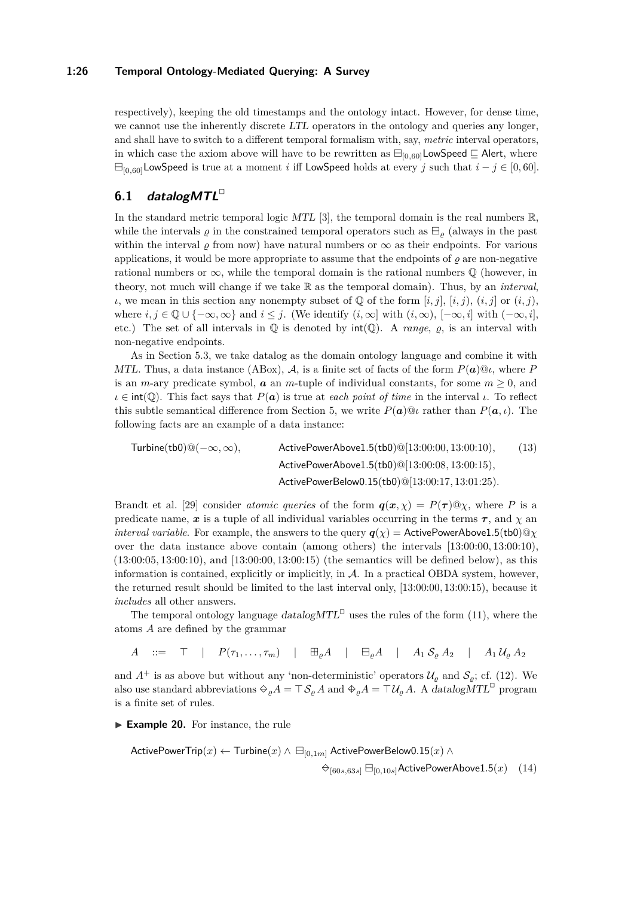### **1:26 Temporal Ontology-Mediated Querying: A Survey**

respectively), keeping the old timestamps and the ontology intact. However, for dense time, we cannot use the inherently discrete LTL operators in the ontology and queries any longer, and shall have to switch to a different temporal formalism with, say, *metric* interval operators, in which case the axiom above will have to be rewritten as  $\Box_{[0,60]}$ LowSpeed  $\Box$  Alert, where  $\Box$ <sub>[0,60]</sub>LowSpeed is true at a moment *i* iff LowSpeed holds at every *j* such that  $i - j \in [0, 60]$ .

### **6.1 datalogMTL**✷

In the standard metric temporal logic MTL [\[3\]](#page-31-7), the temporal domain is the real numbers  $\mathbb{R}$ , while the intervals  $\rho$  in the constrained temporal operators such as  $\Box$ <sub>o</sub> (always in the past within the interval  $\varrho$  from now) have natural numbers or  $\infty$  as their endpoints. For various applications, it would be more appropriate to assume that the endpoints of  $\rho$  are non-negative rational numbers or  $\infty$ , while the temporal domain is the rational numbers  $\mathbb Q$  (however, in theory, not much will change if we take R as the temporal domain). Thus, by an *interval*, *ι*, we mean in this section any nonempty subset of  $\varphi$  of the form  $[i, j]$ ,  $[i, j)$ ,  $(i, j)$  or  $(i, j)$ , where  $i, j \in \mathbb{Q} \cup \{-\infty, \infty\}$  and  $i \leq j$ . (We identify  $(i, \infty]$  with  $(i, \infty)$ ,  $[-\infty, i]$  with  $(-\infty, i]$ , etc.) The set of all intervals in  $\mathbb Q$  is denoted by  $int(\mathbb Q)$ . A *range*,  $\rho$ , is an interval with non-negative endpoints.

As in Section [5.3,](#page-22-1) we take datalog as the domain ontology language and combine it with MTL. Thus, a data instance (ABox), A, is a finite set of facts of the form  $P(\boldsymbol{a})@$ *ι*, where P is an *m*-ary predicate symbol,  $\boldsymbol{a}$  an *m*-tuple of individual constants, for some  $m \geq 0$ , and  $\iota \in \text{int}(\mathbb{Q})$ . This fact says that  $P(\mathbf{a})$  is true at *each point of time* in the interval  $\iota$ . To reflect this subtle semantical difference from Section [5,](#page-18-0) we write  $P(\boldsymbol{a})@$ *l* rather than  $P(\boldsymbol{a}, t)$ . The following facts are an example of a data instance:

<span id="page-25-1"></span>
$$
\text{Turbine(tb0)}@(-\infty,\infty), \qquad \text{ActivePowerAbove1.5(tb0)}@[13:00:00, 13:00:10), \qquad (13) \\ \text{ActivePowerAbove1.5(tb0)}@[13:00:08, 13:00:15), \\ \text{ActivePowerBelow0.15(tb0)}@[13:00:17, 13:01:25).
$$

Brandt et al. [\[29\]](#page-33-13) consider *atomic queries* of the form  $q(x, \chi) = P(\tau) \Omega \chi$ , where P is a predicate name,  $x$  is a tuple of all individual variables occurring in the terms  $\tau$ , and  $\chi$  and *interval variable.* For example, the answers to the query  $q(\chi) =$  ActivePowerAbove1.5(tb0)@ $\chi$ over the data instance above contain (among others) the intervals [13:00:00*,* 13:00:10), (13:00:05*,* 13:00:10), and [13:00:00*,* 13:00:15) (the semantics will be defined below), as this information is contained, explicitly or implicitly, in  $A$ . In a practical OBDA system, however, the returned result should be limited to the last interval only, [13:00:00*,* 13:00:15), because it *includes* all other answers.

The temporal ontology language  $datalogMTL^{\Box}$  uses the rules of the form [\(11\)](#page-22-2), where the atoms *A* are defined by the grammar

$$
A \quad ::= \quad \top \quad | \quad P(\tau_1, \ldots, \tau_m) \quad | \quad \boxplus_{\varrho} A \quad | \quad \boxminus_{\varrho} A \quad | \quad A_1 \, \mathcal{S}_{\varrho} \, A_2 \quad | \quad A_1 \, \mathcal{U}_{\varrho} \, A_2
$$

and  $A^+$  is as above but without any 'non-deterministic' operators  $\mathcal{U}_{\varrho}$  and  $\mathcal{S}_{\varrho}$ ; cf. [\(12\)](#page-22-3). We also use standard abbreviations  $\Theta_{\varrho}A = \top \mathcal{S}_{\varrho}A$  and  $\Phi_{\varrho}A = \top \mathcal{U}_{\varrho}A$ . A datalogMTL<sup>□</sup> program is a finite set of rules.

► **Example 20.** For instance, the rule

<span id="page-25-0"></span>
$$
\begin{aligned} \textsf{ActivePower Trip}(x) \leftarrow \textsf{Turbine}(x) \land \boxminus_{[0,1m]} \textsf{ActivePowerBelow0.15}(x) \land \\ \bigcirc_{[60s,63s]} \boxminus_{[0,10s]} \textsf{ActivePowerAbove1.5}(x) \end{aligned} \quad (14)
$$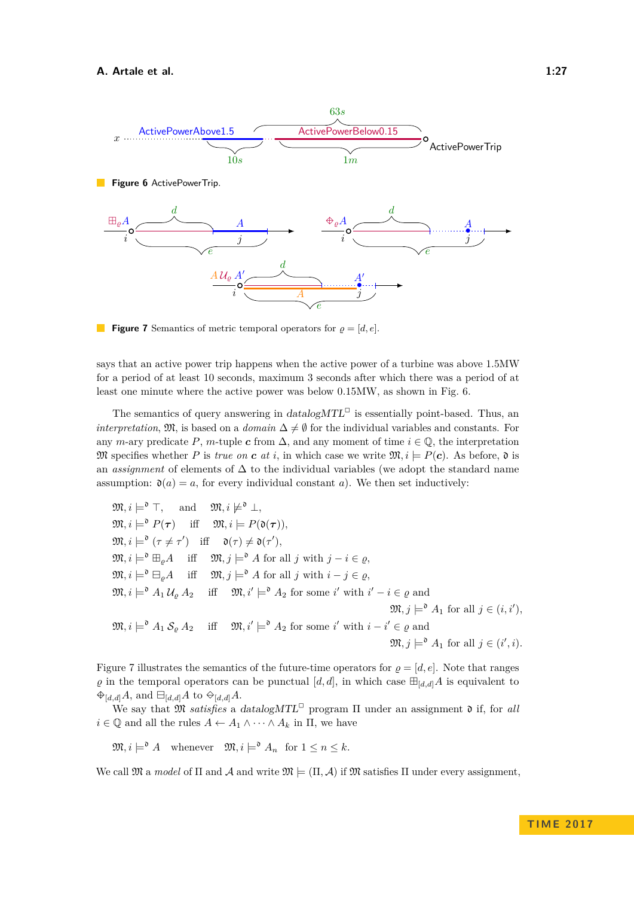<span id="page-26-1"></span><span id="page-26-0"></span>

**Figure 7** Semantics of metric temporal operators for  $\rho = [d, e]$ .

says that an active power trip happens when the active power of a turbine was above 1.5MW for a period of at least 10 seconds, maximum 3 seconds after which there was a period of at least one minute where the active power was below 0.15MW, as shown in Fig. [6.](#page-26-0)

The semantics of query answering in  $datalogMTL^{\square}$  is essentially point-based. Thus, an *interpretation*,  $\mathfrak{M}$ , is based on a *domain*  $\Delta \neq \emptyset$  for the individual variables and constants. For any *m*-ary predicate *P*, *m*-tuple *c* from  $\Delta$ , and any moment of time  $i \in \mathbb{Q}$ , the interpretation M specifies whether *P* is *true on c at i*, in which case we write  $\mathfrak{M}, i \models P(c)$ . As before,  $\mathfrak{d}$  is an *assignment* of elements of ∆ to the individual variables (we adopt the standard name assumption:  $\mathfrak{d}(a) = a$ , for every individual constant *a*). We then set inductively:

 $\mathfrak{M}, i \models^{\mathfrak{d}} \top$ , and  $\mathfrak{M}, i \not\models^{\mathfrak{d}} \bot$ ,  $\mathfrak{M}, i \models^{\mathfrak{d}} P(\boldsymbol{\tau})$  iff  $\mathfrak{M}, i \models P(\mathfrak{d}(\boldsymbol{\tau})),$  $\mathfrak{M}, i \models^{\mathfrak{d}} (\tau \neq \tau') \text{ iff } \mathfrak{d}(\tau) \neq \mathfrak{d}(\tau'),$  $\mathfrak{M}, i \models^{\mathfrak{d}} \boxplus_{\varrho} A$  iff  $\mathfrak{M}, j \models^{\mathfrak{d}} A$  for all *j* with  $j - i \in \varrho$ ,  $\mathfrak{M}, i \models^{\mathfrak{d}} \Box_{\varrho} A$  iff  $\mathfrak{M}, j \models^{\mathfrak{d}} A$  for all *j* with  $i - j \in \varrho$ ,  $\mathfrak{M}, i \models^{\mathfrak{d}} A_1 \mathcal{U}_{\varrho} A_2$  iff  $\mathfrak{M}, i' \models^{\mathfrak{d}} A_2$  for some *i*' with  $i' - i \in \varrho$  and  $\mathfrak{M}, j \models^{\mathfrak{d}} A_1 \text{ for all } j \in (i, i'),$  $\mathfrak{M}, i \models^{\mathfrak{d}} A_1 \mathcal{S}_{\varrho} A_2$  iff  $\mathfrak{M}, i' \models^{\mathfrak{d}} A_2$  for some  $i'$  with  $i - i' \in \varrho$  and  $\mathfrak{M}, j \models^{\mathfrak{d}} A_1$  for all  $j \in (i', i)$ *.* 

Figure [7](#page-26-1) illustrates the semantics of the future-time operators for  $\rho = [d, e]$ . Note that ranges  $\varrho$  in the temporal operators can be punctual  $[d, d]$ , in which case  $\boxplus_{[d,d]} A$  is equivalent to  $\bigoplus_{[d,d]} A$ , and  $\bigoplus_{[d,d]} A$  to  $\bigoplus_{[d,d]} A$ .

We say that M *satisfies* a datalogMTL✷ program Π under an assignment d if, for *all*  $i \in \mathbb{Q}$  and all the rules  $A \leftarrow A_1 \wedge \cdots \wedge A_k$  in  $\Pi$ , we have

 $\mathfrak{M}, i \models^{\mathfrak{d}} A$  whenever  $\mathfrak{M}, i \models^{\mathfrak{d}} A_n$  for  $1 \leq n \leq k$ .

We call  $\mathfrak{M}$  a *model* of  $\Pi$  and  $\mathcal A$  and write  $\mathfrak{M} \models (\Pi, \mathcal A)$  if  $\mathfrak{M}$  satisfies  $\Pi$  under every assignment,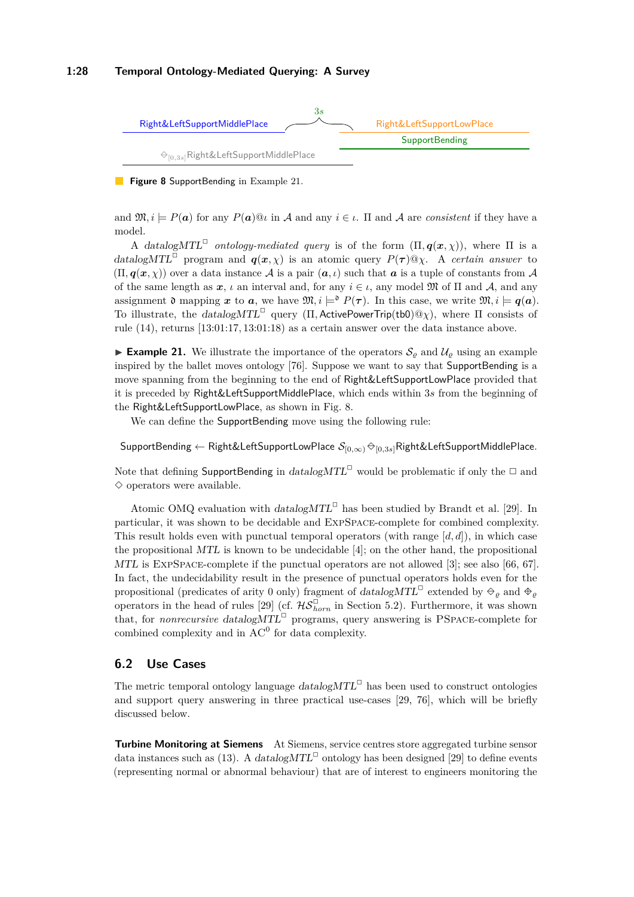### **1:28 Temporal Ontology-Mediated Querying: A Survey**

<span id="page-27-1"></span>

**Figure 8** SupportBending in Example [21.](#page-27-0)

and  $\mathfrak{M}, i \models P(\mathbf{a})$  for any  $P(\mathbf{a})@{\iota}$  in A and any  $i \in \iota$ . If and A are *consistent* if they have a model.

A datalog $MTL^{\Box}$  ontology-mediated query is of the form  $(\Pi, \boldsymbol{q}(\boldsymbol{x}, \chi))$ , where  $\Pi$  is a datalogMTL<sup> $\Box$ </sup> program and  $q(x, \chi)$  is an atomic query  $P(\tau) \mathbb{Q}\chi$ . A *certain answer* to  $(\Pi, \boldsymbol{q}(\boldsymbol{x}, \chi))$  over a data instance A is a pair  $(\boldsymbol{a}, \iota)$  such that  $\boldsymbol{a}$  is a tuple of constants from A of the same length as  $x, \iota$  an interval and, for any  $i \in \iota$ , any model M of  $\Pi$  and A, and any assignment  $\mathfrak d$  mapping  $x$  to  $a$ , we have  $\mathfrak M, i \models^{\mathfrak d} P(\tau)$ . In this case, we write  $\mathfrak M, i \models q(a)$ . To illustrate, the datalogMTL✷ query (Π*,* ActivePowerTrip(tb0)@*χ*), where Π consists of rule [\(14\)](#page-25-0), returns [13:01:17*,* 13:01:18) as a certain answer over the data instance above.

<span id="page-27-0"></span>**Example 21.** We illustrate the importance of the operators  $S_\rho$  and  $\mathcal{U}_\rho$  using an example inspired by the ballet moves ontology [\[76\]](#page-36-13). Suppose we want to say that SupportBending is a move spanning from the beginning to the end of Right&LeftSupportLowPlace provided that it is preceded by Right&LeftSupportMiddlePlace, which ends within 3*s* from the beginning of the Right&LeftSupportLowPlace, as shown in Fig. [8.](#page-27-1)

We can define the **SupportBending** move using the following rule:

SupportBending ← Right&LeftSupportLowPlace S[0*,*∞)✸−[0*,*3*s*]Right&LeftSupportMiddlePlace*.*

Note that defining SupportBending in  $datalogMTL^{\Box}$  would be problematic if only the  $\Box$  and  $\diamond$  operators were available.

Atomic OMQ evaluation with  $datalogMTL^{\Box}$  has been studied by Brandt et al. [\[29\]](#page-33-13). In particular, it was shown to be decidable and ExpSpace-complete for combined complexity. This result holds even with punctual temporal operators (with range [*d, d*]), in which case the propositional MTL is known to be undecidable  $[4]$ ; on the other hand, the propositional MTL is ExpSpace-complete if the punctual operators are not allowed [\[3\]](#page-31-7); see also [\[66,](#page-35-15) [67\]](#page-35-16). In fact, the undecidability result in the presence of punctual operators holds even for the propositional (predicates of arity 0 only) fragment of  $datalogMTL^{\Box}$  extended by  $\Theta_{\varrho}$  and  $\Phi_{\varrho}$ operators in the head of rules [\[29\]](#page-33-13) (cf.  $\mathcal{HS}_{horn}^{\Box}$  in Section [5.2\)](#page-21-1). Furthermore, it was shown that, for *nonrecursive* datalog MTL<sup> $\Box$ </sup> programs, query answering is PSPACE-complete for combined complexity and in  $AC^0$  for data complexity.

### <span id="page-27-2"></span>**6.2 Use Cases**

The metric temporal ontology language  $datalogMTL^{\Box}$  has been used to construct ontologies and support query answering in three practical use-cases [\[29,](#page-33-13) [76\]](#page-36-13), which will be briefly discussed below.

**Turbine Monitoring at Siemens** At Siemens, service centres store aggregated turbine sensor data instances such as [\(13\)](#page-25-1). A datalog  $MTL^{\Box}$  ontology has been designed [\[29\]](#page-33-13) to define events (representing normal or abnormal behaviour) that are of interest to engineers monitoring the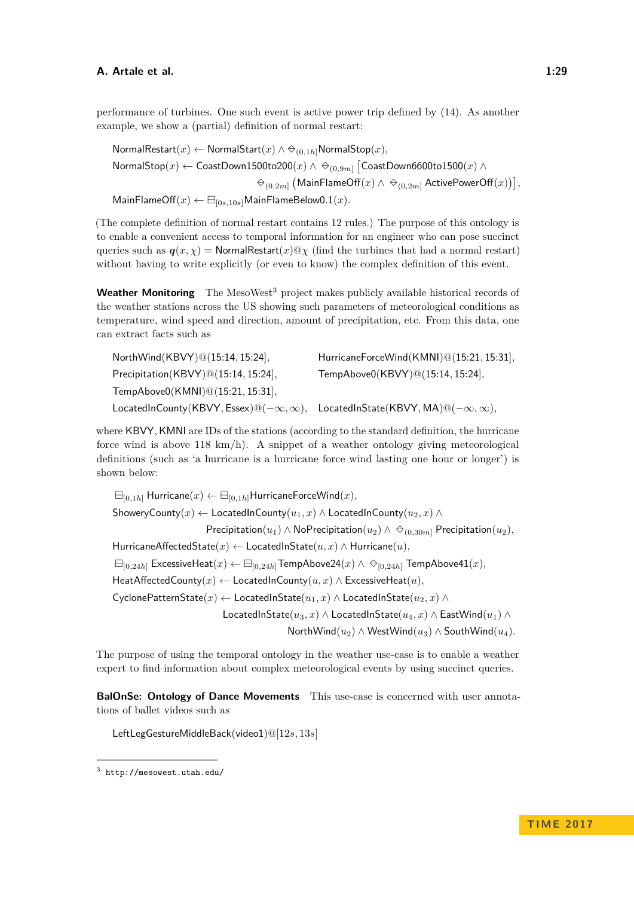performance of turbines. One such event is active power trip defined by [\(14\)](#page-25-0). As another example, we show a (partial) definition of normal restart:

NormalRestart $(x)$  ← NormalStart $(x)$  ∧  $\ominus_{(0,1h]}$ NormalStop $(x)$ *,*  ${\sf NormalStop}(x) \leftarrow {\sf CoastDown1500to200}(x) \land \; {\Leftrightarrow}_{(0,9m]} \left[{\sf CoastDown6600to1500}(x) \land \;$  $\ominus_{(0,2m]} \big(\mathsf{MainFlameOff}(x) \wedge \, \ominus_{(0,2m]} \mathsf{ActivePowerOff}(x)\big)\big],$  $\mathsf{MainFlameOff}(x) \leftarrow \boxminus_{[0s,10s]} \mathsf{MainFlameBelow0.1}(x)$ .

(The complete definition of normal restart contains 12 rules.) The purpose of this ontology is to enable a convenient access to temporal information for an engineer who can pose succinct queries such as  $q(x, \chi)$  = NormalRestart(*x*)@ $\chi$  (find the turbines that had a normal restart) without having to write explicitly (or even to know) the complex definition of this event.

**Weather Monitoring** The MesoWest<sup>[3](#page-28-0)</sup> project makes publicly available historical records of the weather stations across the US showing such parameters of meteorological conditions as temperature, wind speed and direction, amount of precipitation, etc. From this data, one can extract facts such as

| NorthWind(KBVY)@(15:14, 15:24],                                                                     | HurricaneForceWind(KMNI)@(15:21, 15:31), |
|-----------------------------------------------------------------------------------------------------|------------------------------------------|
| Precipitation(KBVY)@(15:14, 15:24],                                                                 | TempAbove0(KBVY)@(15:14, 15:24],         |
| TempAbove0(KMNI)@(15:21, 15:31],                                                                    |                                          |
| LocatedInCounty(KBVY, Essex) $@(-\infty, \infty)$ , LocatedInState(KBVY, MA) $@(-\infty, \infty)$ , |                                          |

where KBVY, KMNI are IDs of the stations (according to the standard definition, the hurricane force wind is above 118 km/h). A snippet of a weather ontology giving meteorological definitions (such as 'a hurricane is a hurricane force wind lasting one hour or longer') is shown below:

 $\Box$ [0,1*h*] Hurricane $(x) \leftarrow \Box$ [0,1*h*] HurricaneForceWind $(x)$ *,* ShoweryCounty( $x$ ) ← LocatedInCounty( $u_1, x$ ) ∧ LocatedInCounty( $u_2, x$ ) ∧ Precipitation( $u_1$ ) ∧ NoPrecipitation( $u_2$ ) ∧  $\Leftrightarrow$ <sub>(0,30*m*]</sub> Precipitation( $u_2$ )*,* HurricaneAffectedState(*x*) ← LocatedInState(*u, x*) ∧ Hurricane(*u*)*,*  $\boxminus$  ExcessiveHeat(*x*) ←  $\boxminus$ <sub>[0,24*h*]</sub> TempAbove24(*x*) ∧  $\ominus$ <sub>[0,24*h*]</sub> TempAbove41(*x*)*,* HeatAffectedCounty(x) ← LocatedInCounty( $u, x$ ) ∧ ExcessiveHeat( $u$ ), CyclonePatternState( $x$ ) ← LocatedInState( $u_1, x$ ) ∧ LocatedInState( $u_2, x$ ) ∧ LocatedInState( $u_3, x$ ) ∧ LocatedInState( $u_4, x$ ) ∧ EastWind( $u_1$ ) ∧ NorthWind( $u_2$ ) ∧ WestWind( $u_3$ ) ∧ SouthWind( $u_4$ ).

The purpose of using the temporal ontology in the weather use-case is to enable a weather expert to find information about complex meteorological events by using succinct queries.

**BalOnSe: Ontology of Dance Movements** This use-case is concerned with user annotations of ballet videos such as

LeftLegGestureMiddleBack(video1)@[12*s,* 13*s*]

<span id="page-28-0"></span><sup>3</sup> <http://mesowest.utah.edu/>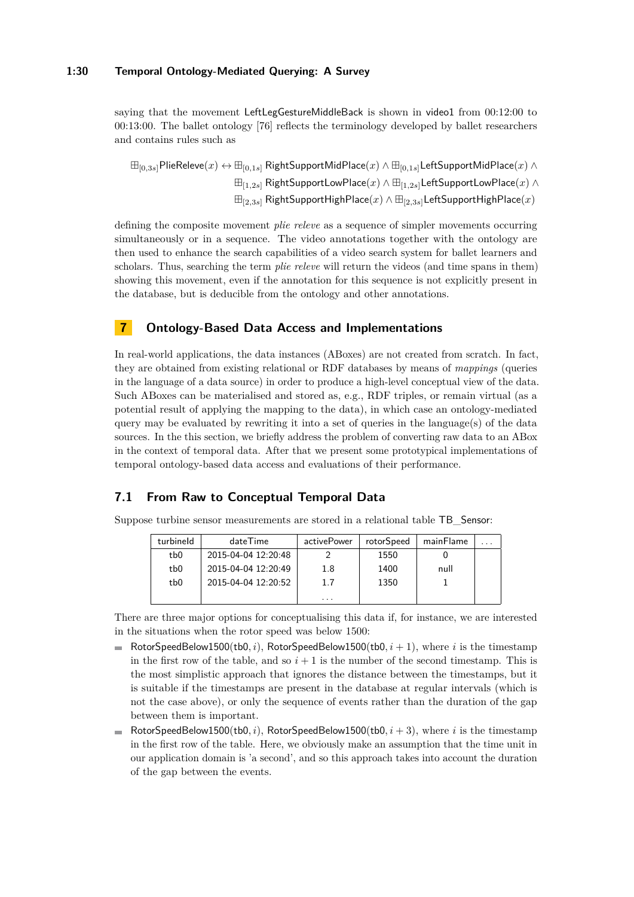saying that the movement LeftLegGestureMiddleBack is shown in video1 from 00:12:00 to 00:13:00. The ballet ontology [\[76\]](#page-36-13) reflects the terminology developed by ballet researchers and contains rules such as

 $\boxplus_{[0,3s]}$ PlieReleve $(x)$  ↔  $\boxplus_{[0,1s]}$  RightSupportMidPlace $(x)$  ∧  $\boxplus_{[0,1s]}$ LeftSupportMidPlace $(x)$  ∧ [1*,*2*s*] RightSupportLowPlace(*x*) ∧ [1*,*2*s*]LeftSupportLowPlace(*x*) ∧ [2*,*3*s*] RightSupportHighPlace(*x*) ∧ [2*,*3*s*]LeftSupportHighPlace(*x*)

defining the composite movement *plie releve* as a sequence of simpler movements occurring simultaneously or in a sequence. The video annotations together with the ontology are then used to enhance the search capabilities of a video search system for ballet learners and scholars. Thus, searching the term *plie releve* will return the videos (and time spans in them) showing this movement, even if the annotation for this sequence is not explicitly present in the database, but is deducible from the ontology and other annotations.

### <span id="page-29-0"></span>**7 Ontology-Based Data Access and Implementations**

In real-world applications, the data instances (ABoxes) are not created from scratch. In fact, they are obtained from existing relational or RDF databases by means of *mappings* (queries in the language of a data source) in order to produce a high-level conceptual view of the data. Such ABoxes can be materialised and stored as, e.g., RDF triples, or remain virtual (as a potential result of applying the mapping to the data), in which case an ontology-mediated query may be evaluated by rewriting it into a set of queries in the language(s) of the data sources. In the this section, we briefly address the problem of converting raw data to an ABox in the context of temporal data. After that we present some prototypical implementations of temporal ontology-based data access and evaluations of their performance.

### **7.1 From Raw to Conceptual Temporal Data**

Suppose turbine sensor measurements are stored in a relational table TB\_Sensor:

| turbineld | dateTime            | activePower | rotorSpeed | mainFlame |  |
|-----------|---------------------|-------------|------------|-----------|--|
| tb0       | 2015-04-04 12:20:48 |             | 1550       |           |  |
| tb0       | 2015-04-04 12:20:49 | $1.8\,$     | 1400       | null      |  |
| tb0       | 2015-04-04 12:20:52 | 1.7         | 1350       |           |  |
|           |                     | .           |            |           |  |

There are three major options for conceptualising this data if, for instance, we are interested in the situations when the rotor speed was below 1500:

- RotorSpeedBelow1500(tb0, i), RotorSpeedBelow1500(tb0,  $i + 1$ ), where i is the timestamp in the first row of the table, and so  $i + 1$  is the number of the second timestamp. This is the most simplistic approach that ignores the distance between the timestamps, but it is suitable if the timestamps are present in the database at regular intervals (which is not the case above), or only the sequence of events rather than the duration of the gap between them is important.
- RotorSpeedBelow1500(tb0, i), RotorSpeedBelow1500(tb0,  $i + 3$ ), where i is the timestamp in the first row of the table. Here, we obviously make an assumption that the time unit in our application domain is 'a second', and so this approach takes into account the duration of the gap between the events.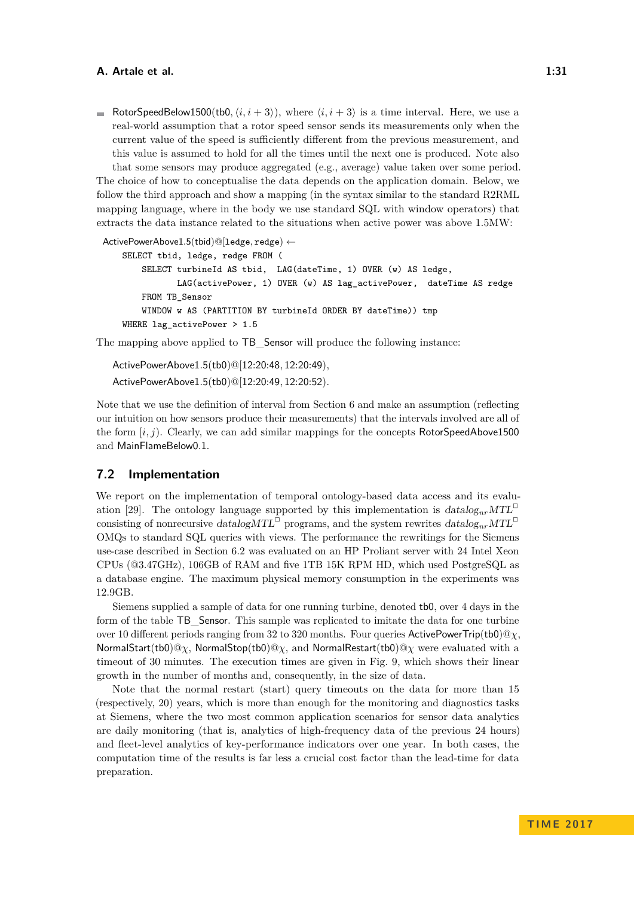RotorSpeedBelow1500(tb0,  $\langle i, i+3 \rangle$ ), where  $\langle i, i+3 \rangle$  is a time interval. Here, we use a real-world assumption that a rotor speed sensor sends its measurements only when the current value of the speed is sufficiently different from the previous measurement, and this value is assumed to hold for all the times until the next one is produced. Note also that some sensors may produce aggregated (e.g., average) value taken over some period.

The choice of how to conceptualise the data depends on the application domain. Below, we follow the third approach and show a mapping (in the syntax similar to the standard R2RML mapping language, where in the body we use standard SQL with window operators) that extracts the data instance related to the situations when active power was above 1.5MW:

```
ActivePowerAbove1.5(tbid)@[ledge, redge) ←
    SELECT tbid, ledge, redge FROM (
       SELECT turbineId AS tbid, LAG(dateTime, 1) OVER (w) AS ledge,
               LAG(activePower, 1) OVER (w) AS lag_activePower, dateTime AS redge
       FROM TB_Sensor
       WINDOW w AS (PARTITION BY turbineId ORDER BY dateTime)) tmp
    WHERE lag_activePower > 1.5
```
The mapping above applied to TB Sensor will produce the following instance:

ActivePowerAbove1*.*5(tb0)@[12:20:48*,* 12:20:49)*,* ActivePowerAbove1*.*5(tb0)@[12:20:49*,* 12:20:52)*.*

Note that we use the definition of interval from Section [6](#page-24-0) and make an assumption (reflecting our intuition on how sensors produce their measurements) that the intervals involved are all of the form [*i, j*). Clearly, we can add similar mappings for the concepts RotorSpeedAbove1500 and MainFlameBelow0*.*1.

### **7.2 Implementation**

We report on the implementation of temporal ontology-based data access and its evalu-ation [\[29\]](#page-33-13). The ontology language supported by this implementation is  $datalog_{nr}MTL^{\Box}$ consisting of nonrecursive datalog $MTL^{\Box}$  programs, and the system rewrites  $datalog_{nr}MTL^{\Box}$ OMQs to standard SQL queries with views. The performance the rewritings for the Siemens use-case described in Section [6.2](#page-27-2) was evaluated on an HP Proliant server with 24 Intel Xeon CPUs (@3.47GHz), 106GB of RAM and five 1TB 15K RPM HD, which used PostgreSQL as a database engine. The maximum physical memory consumption in the experiments was 12.9GB.

Siemens supplied a sample of data for one running turbine, denoted tb0, over 4 days in the form of the table TB Sensor. This sample was replicated to imitate the data for one turbine over 10 different periods ranging from 32 to 320 months. Four queries ActivePowerTrip(tb0)@*χ*, NormalStart(tb0)@*χ*, NormalStop(tb0)@*χ*, and NormalRestart(tb0)@*χ* were evaluated with a timeout of 30 minutes. The execution times are given in Fig. [9,](#page-31-8) which shows their linear growth in the number of months and, consequently, in the size of data.

Note that the normal restart (start) query timeouts on the data for more than 15 (respectively, 20) years, which is more than enough for the monitoring and diagnostics tasks at Siemens, where the two most common application scenarios for sensor data analytics are daily monitoring (that is, analytics of high-frequency data of the previous 24 hours) and fleet-level analytics of key-performance indicators over one year. In both cases, the computation time of the results is far less a crucial cost factor than the lead-time for data preparation.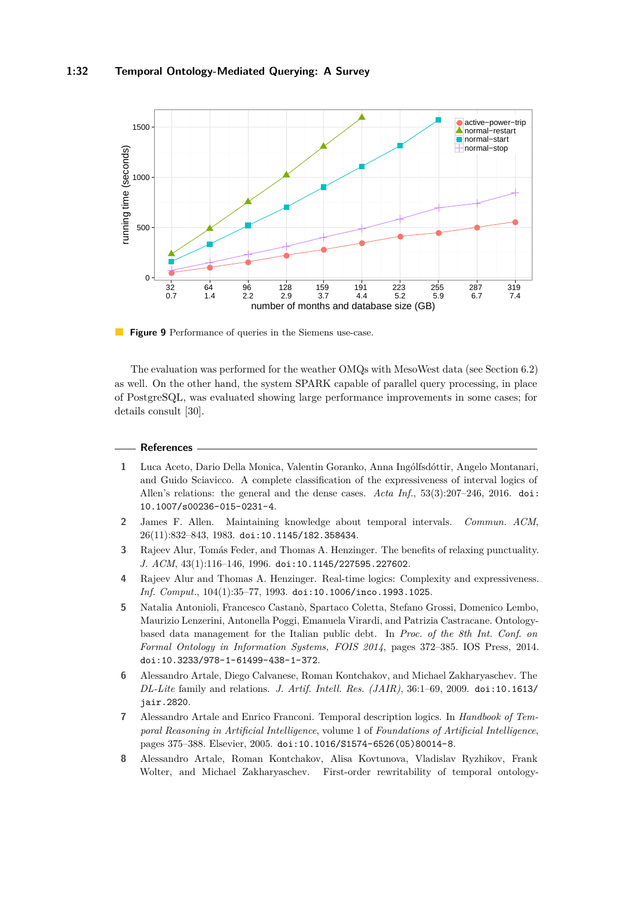<span id="page-31-8"></span>

**Figure 9** Performance of queries in the Siemens use-case.

The evaluation was performed for the weather OMQs with MesoWest data (see Section [6.2\)](#page-27-2) as well. On the other hand, the system SPARK capable of parallel query processing, in place of PostgreSQL, was evaluated showing large performance improvements in some cases; for details consult [\[30\]](#page-33-14).

#### **References**

- <span id="page-31-6"></span>**1** Luca Aceto, Dario Della Monica, Valentin Goranko, Anna Ingólfsdóttir, Angelo Montanari, and Guido Sciavicco. A complete classification of the expressiveness of interval logics of Allen's relations: the general and the dense cases. *Acta Inf.*, 53(3):207–246, 2016. [doi:](http://dx.doi.org/10.1007/s00236-015-0231-4) [10.1007/s00236-015-0231-4](http://dx.doi.org/10.1007/s00236-015-0231-4).
- <span id="page-31-5"></span>**2** James F. Allen. Maintaining knowledge about temporal intervals. *Commun. ACM*, 26(11):832–843, 1983. [doi:10.1145/182.358434](http://dx.doi.org/10.1145/182.358434).
- <span id="page-31-7"></span>**3** Rajeev Alur, Tomás Feder, and Thomas A. Henzinger. The benefits of relaxing punctuality. *J. ACM*, 43(1):116–146, 1996. [doi:10.1145/227595.227602](http://dx.doi.org/10.1145/227595.227602).
- <span id="page-31-4"></span>**4** Rajeev Alur and Thomas A. Henzinger. Real-time logics: Complexity and expressiveness. *Inf. Comput.*, 104(1):35–77, 1993. [doi:10.1006/inco.1993.1025](http://dx.doi.org/10.1006/inco.1993.1025).
- <span id="page-31-1"></span>**5** Natalia Antonioli, Francesco Castanò, Spartaco Coletta, Stefano Grossi, Domenico Lembo, Maurizio Lenzerini, Antonella Poggi, Emanuela Virardi, and Patrizia Castracane. Ontologybased data management for the Italian public debt. In *Proc. of the 8th Int. Conf. on Formal Ontology in Information Systems, FOIS 2014*, pages 372–385. IOS Press, 2014. [doi:10.3233/978-1-61499-438-1-372](http://dx.doi.org/10.3233/978-1-61499-438-1-372).
- <span id="page-31-0"></span>**6** Alessandro Artale, Diego Calvanese, Roman Kontchakov, and Michael Zakharyaschev. The *DL-Lite* family and relations. *J. Artif. Intell. Res. (JAIR)*, 36:1–69, 2009. [doi:10.1613/](http://dx.doi.org/10.1613/jair.2820) [jair.2820](http://dx.doi.org/10.1613/jair.2820).
- <span id="page-31-2"></span>**7** Alessandro Artale and Enrico Franconi. Temporal description logics. In *Handbook of Temporal Reasoning in Artificial Intelligence*, volume 1 of *Foundations of Artificial Intelligence*, pages 375–388. Elsevier, 2005. [doi:10.1016/S1574-6526\(05\)80014-8](http://dx.doi.org/10.1016/S1574-6526(05)80014-8).
- <span id="page-31-3"></span>**8** Alessandro Artale, Roman Kontchakov, Alisa Kovtunova, Vladislav Ryzhikov, Frank Wolter, and Michael Zakharyaschev. First-order rewritability of temporal ontology-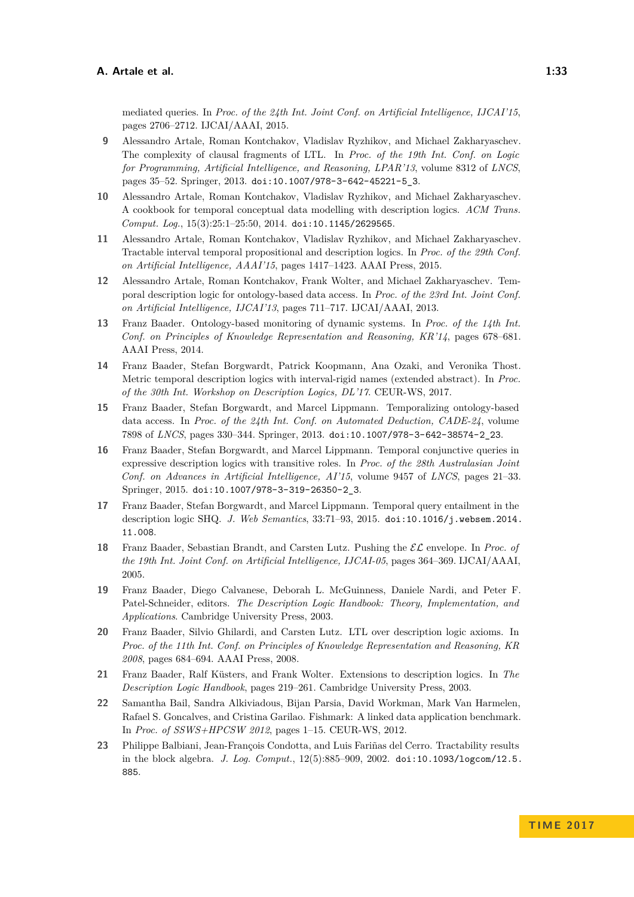mediated queries. In *Proc. of the 24th Int. Joint Conf. on Artificial Intelligence, IJCAI'15*, pages 2706–2712. IJCAI/AAAI, 2015.

- <span id="page-32-7"></span>**9** Alessandro Artale, Roman Kontchakov, Vladislav Ryzhikov, and Michael Zakharyaschev. The complexity of clausal fragments of LTL. In *Proc. of the 19th Int. Conf. on Logic for Programming, Artificial Intelligence, and Reasoning, LPAR'13*, volume 8312 of *LNCS*, pages 35–52. Springer, 2013. [doi:10.1007/978-3-642-45221-5\\_3](http://dx.doi.org/10.1007/978-3-642-45221-5_3).
- <span id="page-32-2"></span>**10** Alessandro Artale, Roman Kontchakov, Vladislav Ryzhikov, and Michael Zakharyaschev. A cookbook for temporal conceptual data modelling with description logics. *ACM Trans. Comput. Log.*, 15(3):25:1–25:50, 2014. [doi:10.1145/2629565](http://dx.doi.org/10.1145/2629565).
- <span id="page-32-13"></span>**11** Alessandro Artale, Roman Kontchakov, Vladislav Ryzhikov, and Michael Zakharyaschev. Tractable interval temporal propositional and description logics. In *Proc. of the 29th Conf. on Artificial Intelligence, AAAI'15*, pages 1417–1423. AAAI Press, 2015.
- <span id="page-32-12"></span>**12** Alessandro Artale, Roman Kontchakov, Frank Wolter, and Michael Zakharyaschev. Temporal description logic for ontology-based data access. In *Proc. of the 23rd Int. Joint Conf. on Artificial Intelligence, IJCAI'13*, pages 711–717. IJCAI/AAAI, 2013.
- <span id="page-32-9"></span>**13** Franz Baader. Ontology-based monitoring of dynamic systems. In *Proc. of the 14th Int. Conf. on Principles of Knowledge Representation and Reasoning, KR'14*, pages 678–681. AAAI Press, 2014.
- <span id="page-32-3"></span>**14** Franz Baader, Stefan Borgwardt, Patrick Koopmann, Ana Ozaki, and Veronika Thost. Metric temporal description logics with interval-rigid names (extended abstract). In *Proc. of the 30th Int. Workshop on Description Logics, DL'17*. CEUR-WS, 2017.
- <span id="page-32-8"></span>**15** Franz Baader, Stefan Borgwardt, and Marcel Lippmann. Temporalizing ontology-based data access. In *Proc. of the 24th Int. Conf. on Automated Deduction, CADE-24*, volume 7898 of *LNCS*, pages 330–344. Springer, 2013. [doi:10.1007/978-3-642-38574-2\\_23](http://dx.doi.org/10.1007/978-3-642-38574-2_23).
- <span id="page-32-11"></span>**16** Franz Baader, Stefan Borgwardt, and Marcel Lippmann. Temporal conjunctive queries in expressive description logics with transitive roles. In *Proc. of the 28th Australasian Joint Conf. on Advances in Artificial Intelligence, AI'15*, volume 9457 of *LNCS*, pages 21–33. Springer, 2015. [doi:10.1007/978-3-319-26350-2\\_3](http://dx.doi.org/10.1007/978-3-319-26350-2_3).
- <span id="page-32-10"></span>**17** Franz Baader, Stefan Borgwardt, and Marcel Lippmann. Temporal query entailment in the description logic SHQ. *J. Web Semantics*, 33:71–93, 2015. [doi:10.1016/j.websem.2014.](http://dx.doi.org/10.1016/j.websem.2014.11.008) [11.008](http://dx.doi.org/10.1016/j.websem.2014.11.008).
- <span id="page-32-5"></span>**18** Franz Baader, Sebastian Brandt, and Carsten Lutz. Pushing the EL envelope. In *Proc. of the 19th Int. Joint Conf. on Artificial Intelligence, IJCAI-05*, pages 364–369. IJCAI/AAAI, 2005.
- <span id="page-32-4"></span>**19** Franz Baader, Diego Calvanese, Deborah L. McGuinness, Daniele Nardi, and Peter F. Patel-Schneider, editors. *The Description Logic Handbook: Theory, Implementation, and Applications*. Cambridge University Press, 2003.
- <span id="page-32-6"></span>**20** Franz Baader, Silvio Ghilardi, and Carsten Lutz. LTL over description logic axioms. In *Proc. of the 11th Int. Conf. on Principles of Knowledge Representation and Reasoning, KR 2008*, pages 684–694. AAAI Press, 2008.
- <span id="page-32-1"></span>**21** Franz Baader, Ralf Küsters, and Frank Wolter. Extensions to description logics. In *The Description Logic Handbook*, pages 219–261. Cambridge University Press, 2003.
- <span id="page-32-0"></span>**22** Samantha Bail, Sandra Alkiviadous, Bijan Parsia, David Workman, Mark Van Harmelen, Rafael S. Goncalves, and Cristina Garilao. Fishmark: A linked data application benchmark. In *Proc. of SSWS+HPCSW 2012*, pages 1–15. CEUR-WS, 2012.
- <span id="page-32-14"></span>**23** Philippe Balbiani, Jean-François Condotta, and Luis Fariñas del Cerro. Tractability results in the block algebra. *J. Log. Comput.*, 12(5):885–909, 2002. [doi:10.1093/logcom/12.5.](http://dx.doi.org/10.1093/logcom/12.5.885) [885](http://dx.doi.org/10.1093/logcom/12.5.885).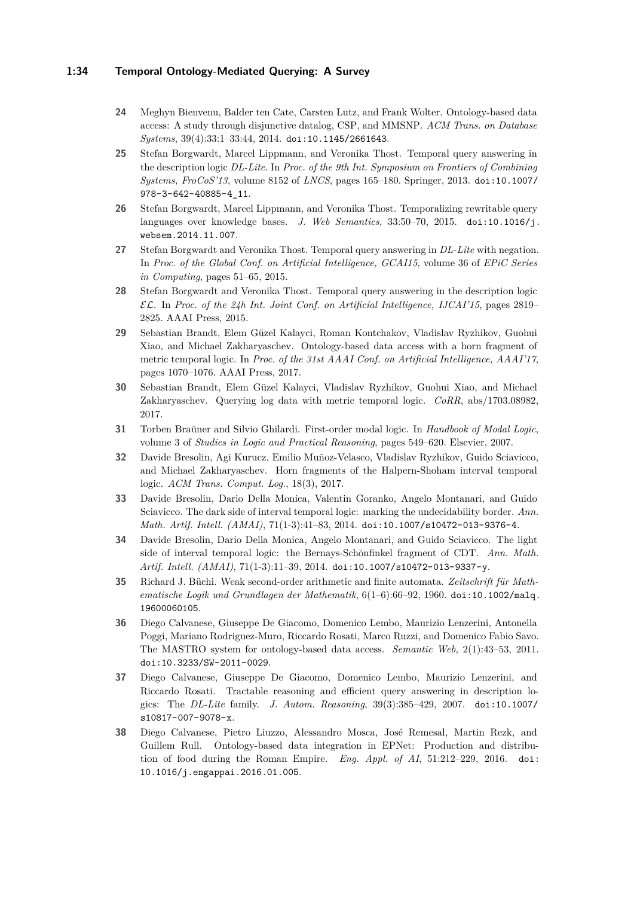### **1:34 Temporal Ontology-Mediated Querying: A Survey**

- <span id="page-33-6"></span>**24** Meghyn Bienvenu, Balder ten Cate, Carsten Lutz, and Frank Wolter. Ontology-based data access: A study through disjunctive datalog, CSP, and MMSNP. *ACM Trans. on Database Systems*, 39(4):33:1–33:44, 2014. [doi:10.1145/2661643](http://dx.doi.org/10.1145/2661643).
- <span id="page-33-8"></span>**25** Stefan Borgwardt, Marcel Lippmann, and Veronika Thost. Temporal query answering in the description logic *DL-Lite*. In *Proc. of the 9th Int. Symposium on Frontiers of Combining Systems, FroCoS'13*, volume 8152 of *LNCS*, pages 165–180. Springer, 2013. [doi:10.1007/](http://dx.doi.org/10.1007/978-3-642-40885-4_11) [978-3-642-40885-4\\_11](http://dx.doi.org/10.1007/978-3-642-40885-4_11).
- <span id="page-33-9"></span>**26** Stefan Borgwardt, Marcel Lippmann, and Veronika Thost. Temporalizing rewritable query languages over knowledge bases. *J. Web Semantics*, 33:50–70, 2015. [doi:10.1016/j.](http://dx.doi.org/10.1016/j.websem.2014.11.007) [websem.2014.11.007](http://dx.doi.org/10.1016/j.websem.2014.11.007).
- <span id="page-33-7"></span>**27** Stefan Borgwardt and Veronika Thost. Temporal query answering in *DL-Lite* with negation. In *Proc. of the Global Conf. on Artificial Intelligence, GCAI15*, volume 36 of *EPiC Series in Computing*, pages 51–65, 2015.
- <span id="page-33-4"></span>**28** Stefan Borgwardt and Veronika Thost. Temporal query answering in the description logic EL. In *Proc. of the 24h Int. Joint Conf. on Artificial Intelligence, IJCAI'15*, pages 2819– 2825. AAAI Press, 2015.
- <span id="page-33-13"></span>**29** Sebastian Brandt, Elem Güzel Kalayci, Roman Kontchakov, Vladislav Ryzhikov, Guohui Xiao, and Michael Zakharyaschev. Ontology-based data access with a horn fragment of metric temporal logic. In *Proc. of the 31st AAAI Conf. on Artificial Intelligence, AAAI'17*, pages 1070–1076. AAAI Press, 2017.
- <span id="page-33-14"></span>**30** Sebastian Brandt, Elem Güzel Kalayci, Vladislav Ryzhikov, Guohui Xiao, and Michael Zakharyaschev. Querying log data with metric temporal logic. *CoRR*, abs/1703.08982, 2017.
- <span id="page-33-3"></span>**31** Torben Braüner and Silvio Ghilardi. First-order modal logic. In *Handbook of Modal Logic*, volume 3 of *Studies in Logic and Practical Reasoning*, pages 549–620. Elsevier, 2007.
- <span id="page-33-12"></span>**32** Davide Bresolin, Agi Kurucz, Emilio Muñoz-Velasco, Vladislav Ryzhikov, Guido Sciavicco, and Michael Zakharyaschev. Horn fragments of the Halpern-Shoham interval temporal logic. *ACM Trans. Comput. Log.*, 18(3), 2017.
- <span id="page-33-11"></span>**33** Davide Bresolin, Dario Della Monica, Valentin Goranko, Angelo Montanari, and Guido Sciavicco. The dark side of interval temporal logic: marking the undecidability border. *Ann. Math. Artif. Intell. (AMAI)*, 71(1-3):41–83, 2014. [doi:10.1007/s10472-013-9376-4](http://dx.doi.org/10.1007/s10472-013-9376-4).
- <span id="page-33-10"></span>**34** Davide Bresolin, Dario Della Monica, Angelo Montanari, and Guido Sciavicco. The light side of interval temporal logic: the Bernays-Schönfinkel fragment of CDT. *Ann. Math. Artif. Intell. (AMAI)*, 71(1-3):11–39, 2014. [doi:10.1007/s10472-013-9337-y](http://dx.doi.org/10.1007/s10472-013-9337-y).
- <span id="page-33-5"></span>**35** Richard J. Büchi. Weak second-order arithmetic and finite automata. *Zeitschrift für Mathematische Logik und Grundlagen der Mathematik*, 6(1–6):66–92, 1960. [doi:10.1002/malq.](http://dx.doi.org/10.1002/malq.19600060105) [19600060105](http://dx.doi.org/10.1002/malq.19600060105).
- <span id="page-33-1"></span>**36** Diego Calvanese, Giuseppe De Giacomo, Domenico Lembo, Maurizio Lenzerini, Antonella Poggi, Mariano Rodriguez-Muro, Riccardo Rosati, Marco Ruzzi, and Domenico Fabio Savo. The MASTRO system for ontology-based data access. *Semantic Web*, 2(1):43–53, 2011. [doi:10.3233/SW-2011-0029](http://dx.doi.org/10.3233/SW-2011-0029).
- <span id="page-33-0"></span>**37** Diego Calvanese, Giuseppe De Giacomo, Domenico Lembo, Maurizio Lenzerini, and Riccardo Rosati. Tractable reasoning and efficient query answering in description logics: The *DL-Lite* family. *J. Autom. Reasoning*, 39(3):385–429, 2007. [doi:10.1007/](http://dx.doi.org/10.1007/s10817-007-9078-x) [s10817-007-9078-x](http://dx.doi.org/10.1007/s10817-007-9078-x).
- <span id="page-33-2"></span>**38** Diego Calvanese, Pietro Liuzzo, Alessandro Mosca, José Remesal, Martin Rezk, and Guillem Rull. Ontology-based data integration in EPNet: Production and distribution of food during the Roman Empire. *Eng. Appl. of AI*, 51:212–229, 2016. [doi:](http://dx.doi.org/10.1016/j.engappai.2016.01.005) [10.1016/j.engappai.2016.01.005](http://dx.doi.org/10.1016/j.engappai.2016.01.005).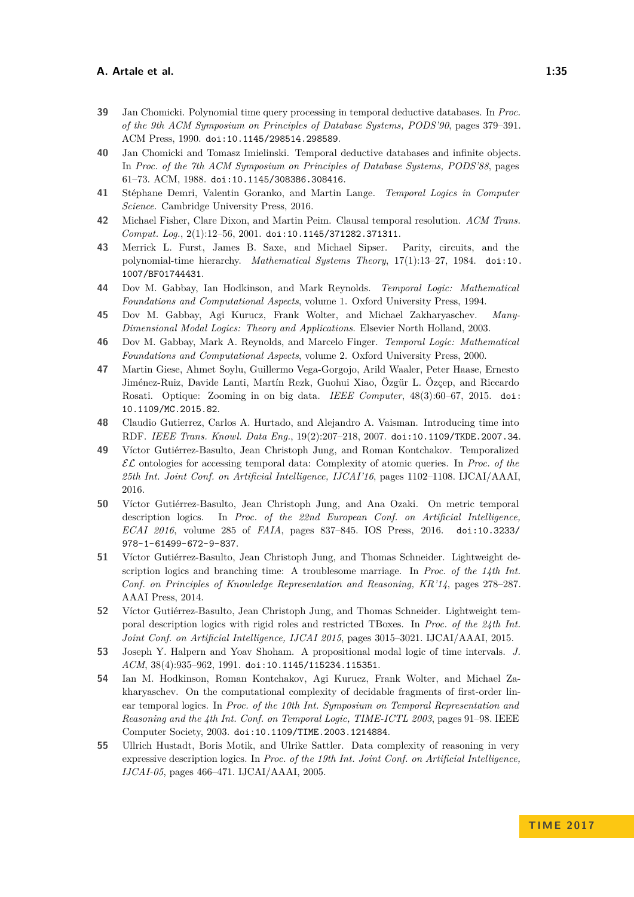- <span id="page-34-15"></span>**39** Jan Chomicki. Polynomial time query processing in temporal deductive databases. In *Proc. of the 9th ACM Symposium on Principles of Database Systems, PODS'90*, pages 379–391. ACM Press, 1990. [doi:10.1145/298514.298589](http://dx.doi.org/10.1145/298514.298589).
- <span id="page-34-13"></span>**40** Jan Chomicki and Tomasz Imielinski. Temporal deductive databases and infinite objects. In *Proc. of the 7th ACM Symposium on Principles of Database Systems, PODS'88*, pages 61–73. ACM, 1988. [doi:10.1145/308386.308416](http://dx.doi.org/10.1145/308386.308416).
- <span id="page-34-3"></span>**41** Stéphane Demri, Valentin Goranko, and Martin Lange. *Temporal Logics in Computer Science*. Cambridge University Press, 2016.
- <span id="page-34-8"></span>**42** Michael Fisher, Clare Dixon, and Martin Peim. Clausal temporal resolution. *ACM Trans. Comput. Log.*, 2(1):12–56, 2001. [doi:10.1145/371282.371311](http://dx.doi.org/10.1145/371282.371311).
- <span id="page-34-9"></span>**43** Merrick L. Furst, James B. Saxe, and Michael Sipser. Parity, circuits, and the polynomial-time hierarchy. *Mathematical Systems Theory*, 17(1):13–27, 1984. [doi:10.](http://dx.doi.org/10.1007/BF01744431) [1007/BF01744431](http://dx.doi.org/10.1007/BF01744431).
- <span id="page-34-1"></span>**44** Dov M. Gabbay, Ian Hodkinson, and Mark Reynolds. *Temporal Logic: Mathematical Foundations and Computational Aspects*, volume 1. Oxford University Press, 1994.
- <span id="page-34-2"></span>**45** Dov M. Gabbay, Agi Kurucz, Frank Wolter, and Michael Zakharyaschev. *Many-Dimensional Modal Logics: Theory and Applications*. Elsevier North Holland, 2003.
- <span id="page-34-10"></span>**46** Dov M. Gabbay, Mark A. Reynolds, and Marcelo Finger. *Temporal Logic: Mathematical Foundations and Computational Aspects*, volume 2. Oxford University Press, 2000.
- <span id="page-34-0"></span>**47** Martin Giese, Ahmet Soylu, Guillermo Vega-Gorgojo, Arild Waaler, Peter Haase, Ernesto Jiménez-Ruiz, Davide Lanti, Martín Rezk, Guohui Xiao, Özgür L. Özçep, and Riccardo Rosati. Optique: Zooming in on big data. *IEEE Computer*, 48(3):60–67, 2015. [doi:](http://dx.doi.org/10.1109/MC.2015.82) [10.1109/MC.2015.82](http://dx.doi.org/10.1109/MC.2015.82).
- <span id="page-34-7"></span>**48** Claudio Gutierrez, Carlos A. Hurtado, and Alejandro A. Vaisman. Introducing time into RDF. *IEEE Trans. Knowl. Data Eng.*, 19(2):207–218, 2007. [doi:10.1109/TKDE.2007.34](http://dx.doi.org/10.1109/TKDE.2007.34).
- <span id="page-34-14"></span>**49** Víctor Gutiérrez-Basulto, Jean Christoph Jung, and Roman Kontchakov. Temporalized EL ontologies for accessing temporal data: Complexity of atomic queries. In *Proc. of the 25th Int. Joint Conf. on Artificial Intelligence, IJCAI'16*, pages 1102–1108. IJCAI/AAAI, 2016.
- <span id="page-34-6"></span>**50** Víctor Gutiérrez-Basulto, Jean Christoph Jung, and Ana Ozaki. On metric temporal description logics. In *Proc. of the 22nd European Conf. on Artificial Intelligence, ECAI 2016*, volume 285 of *FAIA*, pages 837–845. IOS Press, 2016. [doi:10.3233/](http://dx.doi.org/10.3233/978-1-61499-672-9-837) [978-1-61499-672-9-837](http://dx.doi.org/10.3233/978-1-61499-672-9-837).
- <span id="page-34-4"></span>**51** Víctor Gutiérrez-Basulto, Jean Christoph Jung, and Thomas Schneider. Lightweight description logics and branching time: A troublesome marriage. In *Proc. of the 14th Int. Conf. on Principles of Knowledge Representation and Reasoning, KR'14*, pages 278–287. AAAI Press, 2014.
- <span id="page-34-5"></span>**52** Víctor Gutiérrez-Basulto, Jean Christoph Jung, and Thomas Schneider. Lightweight temporal description logics with rigid roles and restricted TBoxes. In *Proc. of the 24th Int. Joint Conf. on Artificial Intelligence, IJCAI 2015*, pages 3015–3021. IJCAI/AAAI, 2015.
- <span id="page-34-16"></span>**53** Joseph Y. Halpern and Yoav Shoham. A propositional modal logic of time intervals. *J. ACM*, 38(4):935–962, 1991. [doi:10.1145/115234.115351](http://dx.doi.org/10.1145/115234.115351).
- <span id="page-34-12"></span>**54** Ian M. Hodkinson, Roman Kontchakov, Agi Kurucz, Frank Wolter, and Michael Zakharyaschev. On the computational complexity of decidable fragments of first-order linear temporal logics. In *Proc. of the 10th Int. Symposium on Temporal Representation and Reasoning and the 4th Int. Conf. on Temporal Logic, TIME-ICTL 2003*, pages 91–98. IEEE Computer Society, 2003. [doi:10.1109/TIME.2003.1214884](http://dx.doi.org/10.1109/TIME.2003.1214884).
- <span id="page-34-11"></span>**55** Ullrich Hustadt, Boris Motik, and Ulrike Sattler. Data complexity of reasoning in very expressive description logics. In *Proc. of the 19th Int. Joint Conf. on Artificial Intelligence, IJCAI-05*, pages 466–471. IJCAI/AAAI, 2005.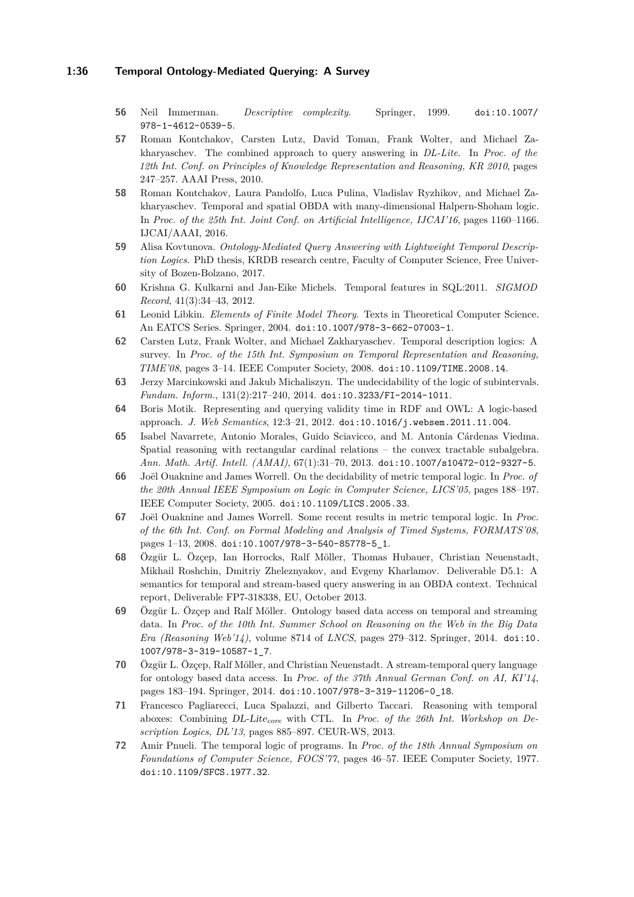### **1:36 Temporal Ontology-Mediated Querying: A Survey**

- <span id="page-35-5"></span>**56** Neil Immerman. *Descriptive complexity*. Springer, 1999. [doi:10.1007/](http://dx.doi.org/10.1007/978-1-4612-0539-5) [978-1-4612-0539-5](http://dx.doi.org/10.1007/978-1-4612-0539-5).
- <span id="page-35-6"></span>**57** Roman Kontchakov, Carsten Lutz, David Toman, Frank Wolter, and Michael Zakharyaschev. The combined approach to query answering in *DL-Lite*. In *Proc. of the 12th Int. Conf. on Principles of Knowledge Representation and Reasoning, KR 2010*, pages 247–257. AAAI Press, 2010.
- <span id="page-35-13"></span>**58** Roman Kontchakov, Laura Pandolfo, Luca Pulina, Vladislav Ryzhikov, and Michael Zakharyaschev. Temporal and spatial OBDA with many-dimensional Halpern-Shoham logic. In *Proc. of the 25th Int. Joint Conf. on Artificial Intelligence, IJCAI'16*, pages 1160–1166. IJCAI/AAAI, 2016.
- <span id="page-35-10"></span>**59** Alisa Kovtunova. *Ontology-Mediated Query Answering with Lightweight Temporal Description Logics*. PhD thesis, KRDB research centre, Faculty of Computer Science, Free University of Bozen-Bolzano, 2017.
- <span id="page-35-11"></span>**60** Krishna G. Kulkarni and Jan-Eike Michels. Temporal features in SQL:2011. *SIGMOD Record*, 41(3):34–43, 2012.
- <span id="page-35-2"></span>**61** Leonid Libkin. *Elements of Finite Model Theory*. Texts in Theoretical Computer Science. An EATCS Series. Springer, 2004. [doi:10.1007/978-3-662-07003-1](http://dx.doi.org/10.1007/978-3-662-07003-1).
- <span id="page-35-0"></span>**62** Carsten Lutz, Frank Wolter, and Michael Zakharyaschev. Temporal description logics: A survey. In *Proc. of the 15th Int. Symposium on Temporal Representation and Reasoning, TIME'08*, pages 3–14. IEEE Computer Society, 2008. [doi:10.1109/TIME.2008.14](http://dx.doi.org/10.1109/TIME.2008.14).
- <span id="page-35-12"></span>**63** Jerzy Marcinkowski and Jakub Michaliszyn. The undecidability of the logic of subintervals. *Fundam. Inform.*, 131(2):217–240, 2014. [doi:10.3233/FI-2014-1011](http://dx.doi.org/10.3233/FI-2014-1011).
- <span id="page-35-3"></span>**64** Boris Motik. Representing and querying validity time in RDF and OWL: A logic-based approach. *J. Web Semantics*, 12:3–21, 2012. [doi:10.1016/j.websem.2011.11.004](http://dx.doi.org/10.1016/j.websem.2011.11.004).
- <span id="page-35-14"></span>**65** Isabel Navarrete, Antonio Morales, Guido Sciavicco, and M. Antonia Cárdenas Viedma. Spatial reasoning with rectangular cardinal relations – the convex tractable subalgebra. *Ann. Math. Artif. Intell. (AMAI)*, 67(1):31–70, 2013. [doi:10.1007/s10472-012-9327-5](http://dx.doi.org/10.1007/s10472-012-9327-5).
- <span id="page-35-15"></span>**66** Joël Ouaknine and James Worrell. On the decidability of metric temporal logic. In *Proc. of the 20th Annual IEEE Symposium on Logic in Computer Science, LICS'05*, pages 188–197. IEEE Computer Society, 2005. [doi:10.1109/LICS.2005.33](http://dx.doi.org/10.1109/LICS.2005.33).
- <span id="page-35-16"></span>**67** Joël Ouaknine and James Worrell. Some recent results in metric temporal logic. In *Proc. of the 6th Int. Conf. on Formal Modeling and Analysis of Timed Systems, FORMATS'08*, pages 1–13, 2008. [doi:10.1007/978-3-540-85778-5\\_1](http://dx.doi.org/10.1007/978-3-540-85778-5_1).
- <span id="page-35-7"></span>**68** Özgür L. Özçep, Ian Horrocks, Ralf Möller, Thomas Hubauer, Christian Neuenstadt, Mikhail Roshchin, Dmitriy Zheleznyakov, and Evgeny Kharlamov. Deliverable D5.1: A semantics for temporal and stream-based query answering in an OBDA context. Technical report, Deliverable FP7-318338, EU, October 2013.
- <span id="page-35-8"></span>**69** Özgür L. Özçep and Ralf Möller. Ontology based data access on temporal and streaming data. In *Proc. of the 10th Int. Summer School on Reasoning on the Web in the Big Data Era (Reasoning Web'14)*, volume 8714 of *LNCS*, pages 279–312. Springer, 2014. [doi:10.](http://dx.doi.org/10.1007/978-3-319-10587-1_7) [1007/978-3-319-10587-1\\_7](http://dx.doi.org/10.1007/978-3-319-10587-1_7).
- <span id="page-35-9"></span>**70** Özgür L. Özçep, Ralf Möller, and Christian Neuenstadt. A stream-temporal query language for ontology based data access. In *Proc. of the 37th Annual German Conf. on AI, KI'14*, pages 183–194. Springer, 2014. [doi:10.1007/978-3-319-11206-0\\_18](http://dx.doi.org/10.1007/978-3-319-11206-0_18).
- <span id="page-35-1"></span>**71** Francesco Pagliarecci, Luca Spalazzi, and Gilberto Taccari. Reasoning with temporal aboxes: Combining DL-Lite*core* with CTL. In *Proc. of the 26th Int. Workshop on Description Logics, DL'13*, pages 885–897. CEUR-WS, 2013.
- <span id="page-35-4"></span>**72** Amir Pnueli. The temporal logic of programs. In *Proc. of the 18th Annual Symposium on Foundations of Computer Science, FOCS'77*, pages 46–57. IEEE Computer Society, 1977. [doi:10.1109/SFCS.1977.32](http://dx.doi.org/10.1109/SFCS.1977.32).